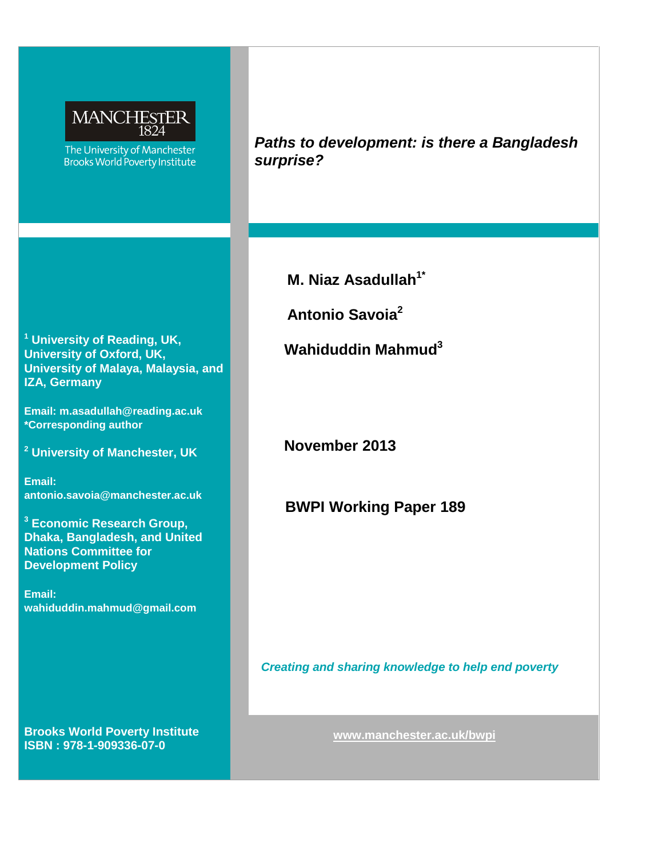

The University of Manchester **Brooks World Poverty Institute**  *Paths to development: is there a Bangladesh surprise?*

**M. Niaz Asadullah<sup>1\*</sup>** 

 **Antonio Savoia2**

 **Wahiduddin Mahmud3**

**November 2013**

**BWPI Working Paper 189**

*Creating and sharing knowledge to help end poverty*

**<sup>1</sup> University of Reading, UK, University of Oxford, UK, University of Malaya, Malaysia, and IZA, Germany**

**Email: [m.asadullah@reading.ac.uk](mailto:m.asadullah@reading.ac.uk) \*Corresponding author**

**<sup>2</sup> University of Manchester, UK**

**Email: [antonio.savoia@manchester.ac.uk](mailto:antonio.savoia@manchester.ac.uk)**

**<sup>3</sup> Economic Research Group, Dhaka, Bangladesh, and United Nations Committee for Development Policy**

**Email: wahiduddin.mahmud@gmail.com**

**Brooks World Poverty Institute ISBN : 978-1-909336-07-0**

**[www.manchester.ac.uk/b](http://www.manchester.ac.uk/)wpi**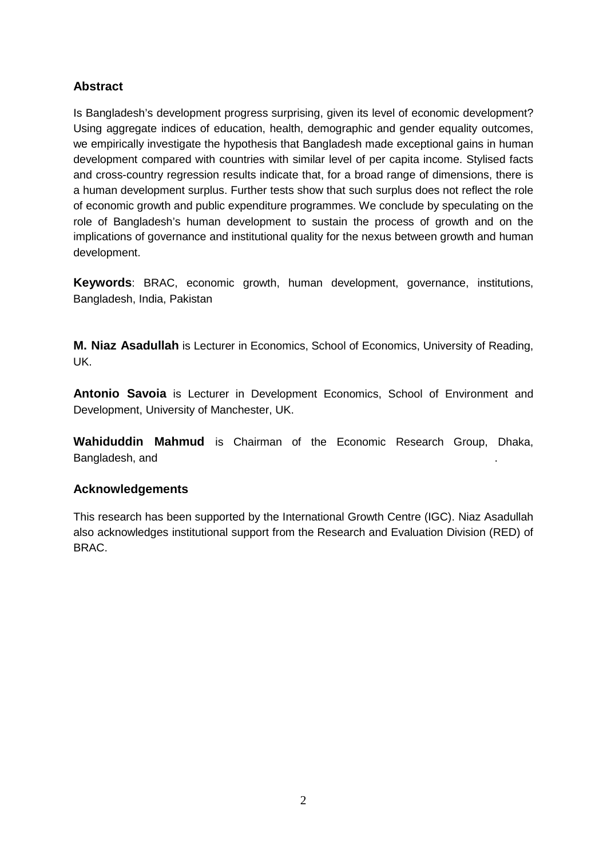# **Abstract**

Is Bangladesh's development progress surprising, given its level of economic development? Using aggregate indices of education, health, demographic and gender equality outcomes, we empirically investigate the hypothesis that Bangladesh made exceptional gains in human development compared with countries with similar level of per capita income. Stylised facts and cross-country regression results indicate that, for a broad range of dimensions, there is a human development surplus. Further tests show that such surplus does not reflect the role of economic growth and public expenditure programmes. We conclude by speculating on the role of Bangladesh's human development to sustain the process of growth and on the implications of governance and institutional quality for the nexus between growth and human development.

**Keywords**: BRAC, economic growth, human development, governance, institutions, Bangladesh, India, Pakistan

**M. Niaz Asadullah** is Lecturer in Economics, School of Economics, University of Reading, UK.

**Antonio Savoia** is Lecturer in Development Economics, School of Environment and Development, University of Manchester, UK.

**Wahiduddin Mahmud** is Chairman of the Economic Research Group, Dhaka, Bangladesh, and

# **Acknowledgements**

This research has been supported by the International Growth Centre (IGC). Niaz Asadullah also acknowledges institutional support from the Research and Evaluation Division (RED) of BRAC.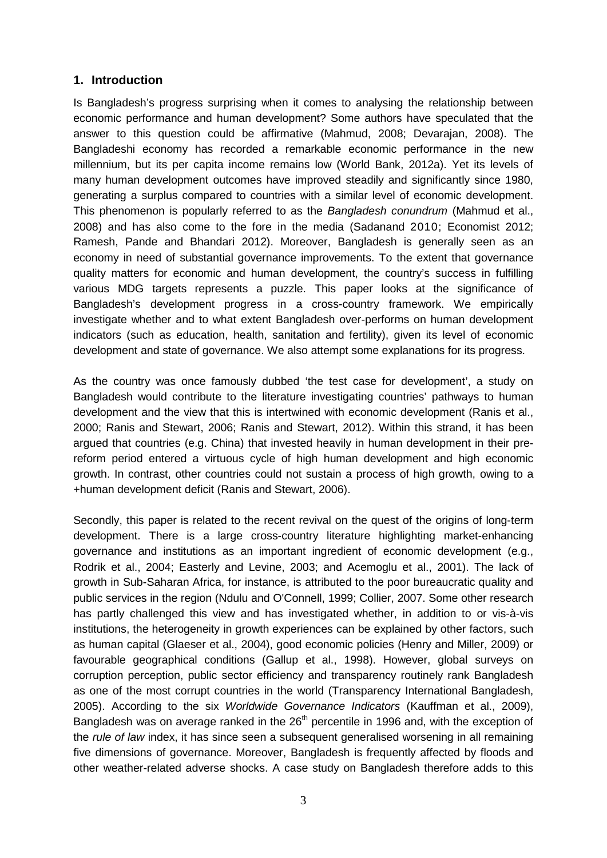# **1. Introduction**

Is Bangladesh's progress surprising when it comes to analysing the relationship between economic performance and human development? Some authors have speculated that the answer to this question could be affirmative (Mahmud, 2008; Devarajan, 2008). The Bangladeshi economy has recorded a remarkable economic performance in the new millennium, but its per capita income remains low (World Bank, 2012a). Yet its levels of many human development outcomes have improved steadily and significantly since 1980, generating a surplus compared to countries with a similar level of economic development. This phenomenon is popularly referred to as the *Bangladesh conundrum* (Mahmud et al., 2008) and has also come to the fore in the media (Sadanand 2010; Economist 2012; Ramesh, Pande and Bhandari 2012). Moreover, Bangladesh is generally seen as an economy in need of substantial governance improvements. To the extent that governance quality matters for economic and human development, the country's success in fulfilling various MDG targets represents a puzzle. This paper looks at the significance of Bangladesh's development progress in a cross-country framework. We empirically investigate whether and to what extent Bangladesh over-performs on human development indicators (such as education, health, sanitation and fertility), given its level of economic development and state of governance. We also attempt some explanations for its progress.

As the country was once famously dubbed 'the test case for development', a study on Bangladesh would contribute to the literature investigating countries' pathways to human development and the view that this is intertwined with economic development (Ranis et al., 2000; Ranis and Stewart, 2006; Ranis and Stewart, 2012). Within this strand, it has been argued that countries (e.g. China) that invested heavily in human development in their prereform period entered a virtuous cycle of high human development and high economic growth. In contrast, other countries could not sustain a process of high growth, owing to a +human development deficit (Ranis and Stewart, 2006).

Secondly, this paper is related to the recent revival on the quest of the origins of long-term development. There is a large cross-country literature highlighting market-enhancing governance and institutions as an important ingredient of economic development (e.g., Rodrik et al., 2004; Easterly and Levine, 2003; and Acemoglu et al., 2001). The lack of growth in Sub-Saharan Africa, for instance, is attributed to the poor bureaucratic quality and public services in the region (Ndulu and O'Connell, 1999; Collier, 2007. Some other research has partly challenged this view and has investigated whether, in addition to or vis-à-vis institutions, the heterogeneity in growth experiences can be explained by other factors, such as human capital (Glaeser et al., 2004), good economic policies (Henry and Miller, 2009) or favourable geographical conditions (Gallup et al., 1998). However, global surveys on corruption perception, public sector efficiency and transparency routinely rank Bangladesh as one of the most corrupt countries in the world (Transparency International Bangladesh, 2005). According to the six *Worldwide Governance Indicators* (Kauffman et al., 2009), Bangladesh was on average ranked in the 26<sup>th</sup> percentile in 1996 and, with the exception of the *rule of law* index, it has since seen a subsequent generalised worsening in all remaining five dimensions of governance. Moreover, Bangladesh is frequently affected by floods and other weather-related adverse shocks. A case study on Bangladesh therefore adds to this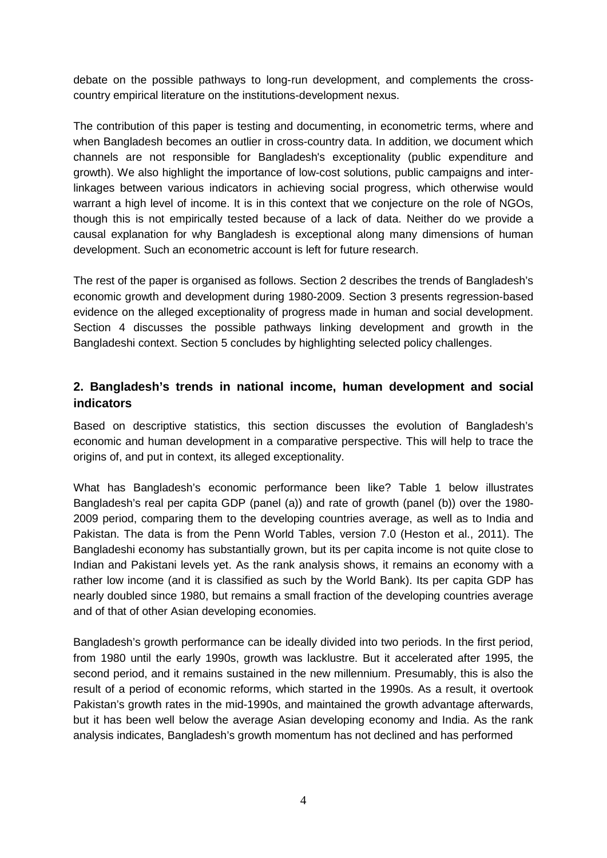debate on the possible pathways to long-run development, and complements the crosscountry empirical literature on the institutions-development nexus.

The contribution of this paper is testing and documenting, in econometric terms, where and when Bangladesh becomes an outlier in cross-country data. In addition, we document which channels are not responsible for Bangladesh's exceptionality (public expenditure and growth). We also highlight the importance of low-cost solutions, public campaigns and interlinkages between various indicators in achieving social progress, which otherwise would warrant a high level of income. It is in this context that we conjecture on the role of NGOs, though this is not empirically tested because of a lack of data. Neither do we provide a causal explanation for why Bangladesh is exceptional along many dimensions of human development. Such an econometric account is left for future research.

The rest of the paper is organised as follows. Section 2 describes the trends of Bangladesh's economic growth and development during 1980-2009. Section 3 presents regression-based evidence on the alleged exceptionality of progress made in human and social development. Section 4 discusses the possible pathways linking development and growth in the Bangladeshi context. Section 5 concludes by highlighting selected policy challenges.

# **2. Bangladesh's trends in national income, human development and social indicators**

Based on descriptive statistics, this section discusses the evolution of Bangladesh's economic and human development in a comparative perspective. This will help to trace the origins of, and put in context, its alleged exceptionality.

What has Bangladesh's economic performance been like? Table 1 below illustrates Bangladesh's real per capita GDP (panel (a)) and rate of growth (panel (b)) over the 1980- 2009 period, comparing them to the developing countries average, as well as to India and Pakistan. The data is from the Penn World Tables, version 7.0 (Heston et al., 2011). The Bangladeshi economy has substantially grown, but its per capita income is not quite close to Indian and Pakistani levels yet. As the rank analysis shows, it remains an economy with a rather low income (and it is classified as such by the World Bank). Its per capita GDP has nearly doubled since 1980, but remains a small fraction of the developing countries average and of that of other Asian developing economies.

Bangladesh's growth performance can be ideally divided into two periods. In the first period, from 1980 until the early 1990s, growth was lacklustre. But it accelerated after 1995, the second period, and it remains sustained in the new millennium. Presumably, this is also the result of a period of economic reforms, which started in the 1990s. As a result, it overtook Pakistan's growth rates in the mid-1990s, and maintained the growth advantage afterwards, but it has been well below the average Asian developing economy and India. As the rank analysis indicates, Bangladesh's growth momentum has not declined and has performed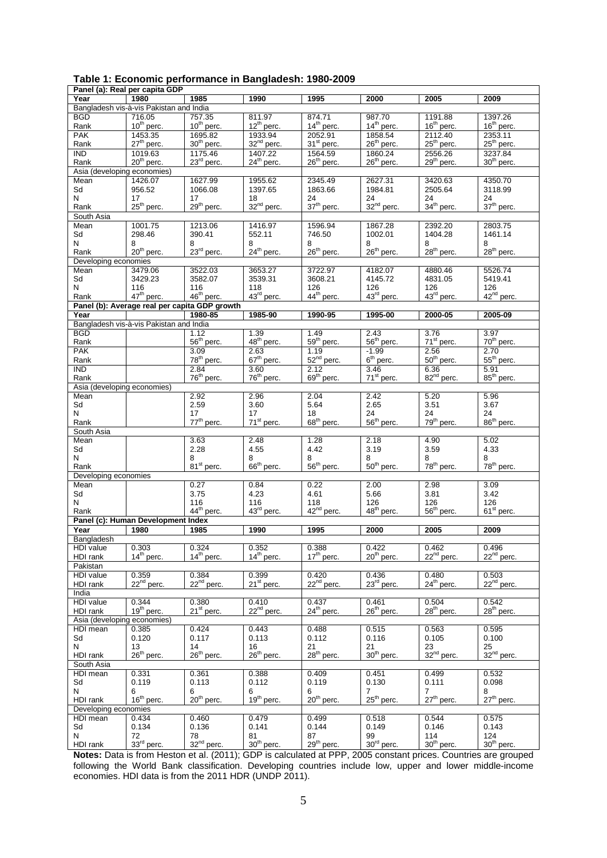| Bangladesh vis-à-vis Pakistan and India<br>811.97<br>874.71<br>987.70<br>1191.88<br>1397.26<br>716.05<br>757.35<br>BGD<br>$12^{th}$ perc.<br>14 <sup>th</sup> perc.<br>14 <sup>th</sup> perc.<br>16 <sup>th</sup> perc.<br>$10^{th}$ perc.<br>$10^{th}$ perc.<br>$16th$ perc.<br>Rank<br>1858.54<br>2112.40<br>2353.11<br><b>PAK</b><br>1453.35<br>1695.82<br>1933.94<br>2052.91<br>25 <sup>th</sup> perc.<br>27 <sup>th</sup> perc.<br>30 <sup>th</sup> perc.<br>32 <sup>nd</sup> perc.<br>31 <sup>st</sup> perc.<br>26 <sup>th</sup> perc.<br>$25th$ perc.<br>Rank<br>1019.63<br>2556.26<br>3237.84<br>IND.<br>1175.46<br>1407.22<br>1564.59<br>1860.24<br>$20th$ perc.<br>$23rd$ perc.<br>$24th$ perc.<br>$26th$ perc.<br>$26th$ perc.<br>$29th$ perc.<br>$30th$ perc.<br>Rank<br>Asia (developing economies)<br>4350.70<br>Mean<br>1426.07<br>1627.99<br>1955.62<br>2345.49<br>2627.31<br>3420.63<br>Sd<br>956.52<br>1066.08<br>1397.65<br>1863.66<br>1984.81<br>2505.64<br>3118.99<br>N<br>24<br>24<br>24<br>17<br>17<br>18<br>24<br>32 <sup>nd</sup> perc.<br>$37th$ perc.<br>25 <sup>th</sup> perc.<br>29 <sup>th</sup> perc.<br>37 <sup>th</sup> perc.<br>32 <sup>nd</sup> perc.<br>34 <sup>th</sup> perc.<br>Rank<br>South Asia<br>1213.06<br>Mean<br>1001.75<br>1416.97<br>1596.94<br>1867.28<br>2392.20<br>2803.75<br>Sd<br>298.46<br>390.41<br>552.11<br>746.50<br>1002.01<br>1404.28<br>1461.14<br>N<br>8<br>8<br>8<br>8<br>8<br>8<br>8<br>20 <sup>th</sup> perc.<br>24 <sup>th</sup> perc.<br>26 <sup>th</sup> perc.<br>26 <sup>th</sup> perc.<br>28 <sup>th</sup> perc.<br>28 <sup>th</sup> perc.<br>$23rd$ perc.<br>Rank<br>Developing economies<br>5526.74<br>3479.06<br>3522.03<br>3653.27<br>3722.97<br>4182.07<br>4880.46<br>Mean<br>Sd<br>3429.23<br>3582.07<br>3539.31<br>3608.21<br>4145.72<br>4831.05<br>5419.41<br>N<br>116<br>116<br>118<br>126<br>126<br>126<br>126<br>$43rd$ perc.<br>42 <sup>nd</sup> perc.<br>47 <sup>th</sup> perc.<br>46 <sup>th</sup> perc.<br>44 <sup>th</sup> perc.<br>43rd perc.<br>43 <sup>rd</sup> perc.<br>Rank<br>Panel (b): Average real per capita GDP growth<br>1985-90<br>Year<br>1980-85<br>1990-95<br>1995-00<br>2000-05<br>2005-09<br>Bangladesh vis-à-vis Pakistan and India<br><b>BGD</b><br>1.39<br>1.49<br>2.43<br>3.76<br>3.97<br>1.12<br>48 <sup>th</sup> perc.<br>59 <sup>th</sup> perc.<br>56 <sup>th</sup> perc.<br>70 <sup>th</sup> perc.<br>56 <sup>th</sup> perc.<br>71 <sup>st</sup> perc.<br>Rank<br><b>PAK</b><br>3.09<br>2.63<br>1.19<br>$-1.99$<br>2.56<br>2.70<br>52 <sup>nd</sup> perc.<br>$6th$ perc.<br>55 <sup>th</sup> perc.<br>78 <sup>th</sup> perc.<br>$67th$ perc.<br>50 <sup>th</sup> perc.<br>Rank<br><b>IND</b><br>2.84<br>3.60<br>2.12<br>3.46<br>6.36<br>5.91<br>82 <sup>nd</sup> perc.<br>76 <sup>th</sup> perc.<br>69 <sup>th</sup> perc.<br>85 <sup>th</sup> perc.<br>76 <sup>th</sup> perc.<br>71 <sup>st</sup> perc.<br>Rank<br>Asia (developing economies)<br>2.92<br>2.96<br>2.04<br>2.42<br>5.20<br>Mean<br>5.96<br>5.64<br>3.51<br>Sd<br>2.59<br>3.60<br>2.65<br>3.67<br>N<br>24<br>24<br>24<br>17<br>17<br>18<br>86 <sup>th</sup> perc.<br>77 <sup>th</sup> perc.<br>$68th$ perc.<br>$56th$ perc.<br>79 <sup>th</sup> perc.<br>71 <sup>st</sup> perc.<br>Rank<br>South Asia<br>1.28<br>5.02<br>Mean<br>3.63<br>2.48<br>2.18<br>4.90<br>4.33<br>Sd<br>2.28<br>4.55<br>4.42<br>3.19<br>3.59<br>N<br>8<br>8<br>8<br>8<br>8<br>8<br>$66th$ perc.<br>56 <sup>th</sup> perc.<br>$50th$ perc.<br>78 <sup>th</sup> perc.<br>78 <sup>th</sup> perc.<br>81 <sup>st</sup> perc.<br>Rank<br>Developing economies<br>3.09<br>0.27<br>0.84<br>0.22<br>2.00<br>2.98<br>Mean<br>Sd<br>3.75<br>4.23<br>4.61<br>5.66<br>3.81<br>3.42<br>N<br>116<br>116<br>118<br>126<br>126<br>126<br>42 <sup>nd</sup> perc.<br>44 <sup>th</sup> perc.<br>43rd perc.<br>48 <sup>th</sup> perc.<br>$56th$ perc.<br>61 <sup>st</sup> perc.<br>Rank<br>Panel (c): Human Development Index<br>1980<br>1985<br>1995<br>2000<br>2005<br>2009<br>Year<br>1990<br>Bangladesh<br>0.324<br>0.422<br>0.462<br>HDI value<br>0.303<br>0.352<br>0.388<br>0.496<br>14 <sup>th</sup> perc.<br>17 <sup>th</sup> perc.<br>22 <sup>nd</sup> perc.<br>22 <sup>nd</sup> perc.<br>$14th$ perc.<br>14 <sup>th</sup> perc.<br>$20th$ perc.<br>HDI rank<br>Pakistan<br>0.384<br>0.399<br>0.420<br>0.436<br><b>HDI</b> value<br>0.359<br>0.480<br>0.503<br>22 <sup>nd</sup> perc.<br>22 <sup>nd</sup> perc.<br>$22nd$ perc.<br>22 <sup>nd</sup> perc.<br>23 <sup>rd</sup> perc.<br>$24th$ perc.<br>$21st$ perc.<br>HDI rank<br>India<br>HDI value<br>0.344<br>0.380<br>0.410<br>0.437<br>0.461<br>0.504<br>0.542<br>19 <sup>th</sup> perc.<br>22 <sup>nd</sup> perc.<br>24 <sup>th</sup> perc.<br>$26th$ perc.<br>$28th$ perc.<br>28 <sup>th</sup> perc.<br>21 <sup>st</sup> perc.<br>HDI rank<br>Asia (developing economies)<br>0.595<br>HDI mean<br>0.424<br>0.443<br>0.488<br>0.515<br>0.563<br>0.385<br>Sd<br>0.120<br>0.117<br>0.113<br>0.112<br>0.116<br>0.105<br>0.100<br>N<br>14<br>21<br>21<br>23<br>25<br>13<br>16<br>26 <sup>th</sup> perc.<br>28 <sup>th</sup> perc.<br>30 <sup>th</sup> perc.<br>32 <sup>nd</sup> perc.<br>$26th$ perc.<br>26 <sup>th</sup> perc.<br>32 <sup>nd</sup> perc.<br>HDI rank<br>South Asia<br>0.532<br>HDI mean<br>0.331<br>0.361<br>0.388<br>0.409<br>0.451<br>0.499<br>0.119<br>0.113<br>0.112<br>0.119<br>0.130<br>0.111<br>0.098<br>Sd<br>N<br>$\overline{7}$<br>$\overline{7}$<br>6<br>6<br>6<br>8<br>6<br>16 <sup>th</sup> perc.<br>19 <sup>th</sup> perc.<br>20 <sup>th</sup> perc.<br>25 <sup>th</sup> perc.<br>27 <sup>th</sup> perc.<br>20 <sup>th</sup> perc.<br>27 <sup>th</sup> perc.<br>HDI rank<br>Developing economies<br>0.479<br>0.499<br>0.544<br>0.575<br>HDI mean<br>0.434<br>0.460<br>0.518<br>0.141<br>0.149<br>0.134<br>0.136<br>0.144<br>0.146<br>0.143<br>Sd<br>N<br>87<br>114<br>124<br>72<br>78<br>81<br>99 |          | Panel (a): Real per capita GDP |                        |                        |              |                        |                        |                        |
|-------------------------------------------------------------------------------------------------------------------------------------------------------------------------------------------------------------------------------------------------------------------------------------------------------------------------------------------------------------------------------------------------------------------------------------------------------------------------------------------------------------------------------------------------------------------------------------------------------------------------------------------------------------------------------------------------------------------------------------------------------------------------------------------------------------------------------------------------------------------------------------------------------------------------------------------------------------------------------------------------------------------------------------------------------------------------------------------------------------------------------------------------------------------------------------------------------------------------------------------------------------------------------------------------------------------------------------------------------------------------------------------------------------------------------------------------------------------------------------------------------------------------------------------------------------------------------------------------------------------------------------------------------------------------------------------------------------------------------------------------------------------------------------------------------------------------------------------------------------------------------------------------------------------------------------------------------------------------------------------------------------------------------------------------------------------------------------------------------------------------------------------------------------------------------------------------------------------------------------------------------------------------------------------------------------------------------------------------------------------------------------------------------------------------------------------------------------------------------------------------------------------------------------------------------------------------------------------------------------------------------------------------------------------------------------------------------------------------------------------------------------------------------------------------------------------------------------------------------------------------------------------------------------------------------------------------------------------------------------------------------------------------------------------------------------------------------------------------------------------------------------------------------------------------------------------------------------------------------------------------------------------------------------------------------------------------------------------------------------------------------------------------------------------------------------------------------------------------------------------------------------------------------------------------------------------------------------------------------------------------------------------------------------------------------------------------------------------------------------------------------------------------------------------------------------------------------------------------------------------------------------------------------------------------------------------------------------------------------------------------------------------------------------------------------------------------------------------------------------------------------------------------------------------------------------------------------------------------------------------------------------------------------------------------------------------------------------------------------------------------------------------------------------------------------------------------------------------------------------------------------------------------------------------------------------------------------------------------------------------------------------------------------------------------------------------------------------------------------------------------------------------------------------------------------------------------------------------------------------------------------------------------------------------------------------------------------------------------------------------------------------------------------------------------------------------------------------------------------------------------------------------------------------------------------------------------------------------------------------------------------------------------------------------------------------------------------------------------------------------------------------------------------------------------------------------------------------------------------------------------------------------------------------------------------------------------------------------------------------------------------------------------------------------------------------------------------------------------------------------------------------------------------------------------------------------------------------------------------------------------------------------------------------------------------|----------|--------------------------------|------------------------|------------------------|--------------|------------------------|------------------------|------------------------|
|                                                                                                                                                                                                                                                                                                                                                                                                                                                                                                                                                                                                                                                                                                                                                                                                                                                                                                                                                                                                                                                                                                                                                                                                                                                                                                                                                                                                                                                                                                                                                                                                                                                                                                                                                                                                                                                                                                                                                                                                                                                                                                                                                                                                                                                                                                                                                                                                                                                                                                                                                                                                                                                                                                                                                                                                                                                                                                                                                                                                                                                                                                                                                                                                                                                                                                                                                                                                                                                                                                                                                                                                                                                                                                                                                                                                                                                                                                                                                                                                                                                                                                                                                                                                                                                                                                                                                                                                                                                                                                                                                                                                                                                                                                                                                                                                                                                                                                                                                                                                                                                                                                                                                                                                                                                                                                                                                                                                                                                                                                                                                                                                                                                                                                                                                                                                                                                                                                                               | Year     | 1980                           | 1985                   | 1990                   | 1995         | 2000                   | 2005                   | 2009                   |
|                                                                                                                                                                                                                                                                                                                                                                                                                                                                                                                                                                                                                                                                                                                                                                                                                                                                                                                                                                                                                                                                                                                                                                                                                                                                                                                                                                                                                                                                                                                                                                                                                                                                                                                                                                                                                                                                                                                                                                                                                                                                                                                                                                                                                                                                                                                                                                                                                                                                                                                                                                                                                                                                                                                                                                                                                                                                                                                                                                                                                                                                                                                                                                                                                                                                                                                                                                                                                                                                                                                                                                                                                                                                                                                                                                                                                                                                                                                                                                                                                                                                                                                                                                                                                                                                                                                                                                                                                                                                                                                                                                                                                                                                                                                                                                                                                                                                                                                                                                                                                                                                                                                                                                                                                                                                                                                                                                                                                                                                                                                                                                                                                                                                                                                                                                                                                                                                                                                               |          |                                |                        |                        |              |                        |                        |                        |
|                                                                                                                                                                                                                                                                                                                                                                                                                                                                                                                                                                                                                                                                                                                                                                                                                                                                                                                                                                                                                                                                                                                                                                                                                                                                                                                                                                                                                                                                                                                                                                                                                                                                                                                                                                                                                                                                                                                                                                                                                                                                                                                                                                                                                                                                                                                                                                                                                                                                                                                                                                                                                                                                                                                                                                                                                                                                                                                                                                                                                                                                                                                                                                                                                                                                                                                                                                                                                                                                                                                                                                                                                                                                                                                                                                                                                                                                                                                                                                                                                                                                                                                                                                                                                                                                                                                                                                                                                                                                                                                                                                                                                                                                                                                                                                                                                                                                                                                                                                                                                                                                                                                                                                                                                                                                                                                                                                                                                                                                                                                                                                                                                                                                                                                                                                                                                                                                                                                               |          |                                |                        |                        |              |                        |                        |                        |
|                                                                                                                                                                                                                                                                                                                                                                                                                                                                                                                                                                                                                                                                                                                                                                                                                                                                                                                                                                                                                                                                                                                                                                                                                                                                                                                                                                                                                                                                                                                                                                                                                                                                                                                                                                                                                                                                                                                                                                                                                                                                                                                                                                                                                                                                                                                                                                                                                                                                                                                                                                                                                                                                                                                                                                                                                                                                                                                                                                                                                                                                                                                                                                                                                                                                                                                                                                                                                                                                                                                                                                                                                                                                                                                                                                                                                                                                                                                                                                                                                                                                                                                                                                                                                                                                                                                                                                                                                                                                                                                                                                                                                                                                                                                                                                                                                                                                                                                                                                                                                                                                                                                                                                                                                                                                                                                                                                                                                                                                                                                                                                                                                                                                                                                                                                                                                                                                                                                               |          |                                |                        |                        |              |                        |                        |                        |
|                                                                                                                                                                                                                                                                                                                                                                                                                                                                                                                                                                                                                                                                                                                                                                                                                                                                                                                                                                                                                                                                                                                                                                                                                                                                                                                                                                                                                                                                                                                                                                                                                                                                                                                                                                                                                                                                                                                                                                                                                                                                                                                                                                                                                                                                                                                                                                                                                                                                                                                                                                                                                                                                                                                                                                                                                                                                                                                                                                                                                                                                                                                                                                                                                                                                                                                                                                                                                                                                                                                                                                                                                                                                                                                                                                                                                                                                                                                                                                                                                                                                                                                                                                                                                                                                                                                                                                                                                                                                                                                                                                                                                                                                                                                                                                                                                                                                                                                                                                                                                                                                                                                                                                                                                                                                                                                                                                                                                                                                                                                                                                                                                                                                                                                                                                                                                                                                                                                               |          |                                |                        |                        |              |                        |                        |                        |
|                                                                                                                                                                                                                                                                                                                                                                                                                                                                                                                                                                                                                                                                                                                                                                                                                                                                                                                                                                                                                                                                                                                                                                                                                                                                                                                                                                                                                                                                                                                                                                                                                                                                                                                                                                                                                                                                                                                                                                                                                                                                                                                                                                                                                                                                                                                                                                                                                                                                                                                                                                                                                                                                                                                                                                                                                                                                                                                                                                                                                                                                                                                                                                                                                                                                                                                                                                                                                                                                                                                                                                                                                                                                                                                                                                                                                                                                                                                                                                                                                                                                                                                                                                                                                                                                                                                                                                                                                                                                                                                                                                                                                                                                                                                                                                                                                                                                                                                                                                                                                                                                                                                                                                                                                                                                                                                                                                                                                                                                                                                                                                                                                                                                                                                                                                                                                                                                                                                               |          |                                |                        |                        |              |                        |                        |                        |
|                                                                                                                                                                                                                                                                                                                                                                                                                                                                                                                                                                                                                                                                                                                                                                                                                                                                                                                                                                                                                                                                                                                                                                                                                                                                                                                                                                                                                                                                                                                                                                                                                                                                                                                                                                                                                                                                                                                                                                                                                                                                                                                                                                                                                                                                                                                                                                                                                                                                                                                                                                                                                                                                                                                                                                                                                                                                                                                                                                                                                                                                                                                                                                                                                                                                                                                                                                                                                                                                                                                                                                                                                                                                                                                                                                                                                                                                                                                                                                                                                                                                                                                                                                                                                                                                                                                                                                                                                                                                                                                                                                                                                                                                                                                                                                                                                                                                                                                                                                                                                                                                                                                                                                                                                                                                                                                                                                                                                                                                                                                                                                                                                                                                                                                                                                                                                                                                                                                               |          |                                |                        |                        |              |                        |                        |                        |
|                                                                                                                                                                                                                                                                                                                                                                                                                                                                                                                                                                                                                                                                                                                                                                                                                                                                                                                                                                                                                                                                                                                                                                                                                                                                                                                                                                                                                                                                                                                                                                                                                                                                                                                                                                                                                                                                                                                                                                                                                                                                                                                                                                                                                                                                                                                                                                                                                                                                                                                                                                                                                                                                                                                                                                                                                                                                                                                                                                                                                                                                                                                                                                                                                                                                                                                                                                                                                                                                                                                                                                                                                                                                                                                                                                                                                                                                                                                                                                                                                                                                                                                                                                                                                                                                                                                                                                                                                                                                                                                                                                                                                                                                                                                                                                                                                                                                                                                                                                                                                                                                                                                                                                                                                                                                                                                                                                                                                                                                                                                                                                                                                                                                                                                                                                                                                                                                                                                               |          |                                |                        |                        |              |                        |                        |                        |
|                                                                                                                                                                                                                                                                                                                                                                                                                                                                                                                                                                                                                                                                                                                                                                                                                                                                                                                                                                                                                                                                                                                                                                                                                                                                                                                                                                                                                                                                                                                                                                                                                                                                                                                                                                                                                                                                                                                                                                                                                                                                                                                                                                                                                                                                                                                                                                                                                                                                                                                                                                                                                                                                                                                                                                                                                                                                                                                                                                                                                                                                                                                                                                                                                                                                                                                                                                                                                                                                                                                                                                                                                                                                                                                                                                                                                                                                                                                                                                                                                                                                                                                                                                                                                                                                                                                                                                                                                                                                                                                                                                                                                                                                                                                                                                                                                                                                                                                                                                                                                                                                                                                                                                                                                                                                                                                                                                                                                                                                                                                                                                                                                                                                                                                                                                                                                                                                                                                               |          |                                |                        |                        |              |                        |                        |                        |
|                                                                                                                                                                                                                                                                                                                                                                                                                                                                                                                                                                                                                                                                                                                                                                                                                                                                                                                                                                                                                                                                                                                                                                                                                                                                                                                                                                                                                                                                                                                                                                                                                                                                                                                                                                                                                                                                                                                                                                                                                                                                                                                                                                                                                                                                                                                                                                                                                                                                                                                                                                                                                                                                                                                                                                                                                                                                                                                                                                                                                                                                                                                                                                                                                                                                                                                                                                                                                                                                                                                                                                                                                                                                                                                                                                                                                                                                                                                                                                                                                                                                                                                                                                                                                                                                                                                                                                                                                                                                                                                                                                                                                                                                                                                                                                                                                                                                                                                                                                                                                                                                                                                                                                                                                                                                                                                                                                                                                                                                                                                                                                                                                                                                                                                                                                                                                                                                                                                               |          |                                |                        |                        |              |                        |                        |                        |
|                                                                                                                                                                                                                                                                                                                                                                                                                                                                                                                                                                                                                                                                                                                                                                                                                                                                                                                                                                                                                                                                                                                                                                                                                                                                                                                                                                                                                                                                                                                                                                                                                                                                                                                                                                                                                                                                                                                                                                                                                                                                                                                                                                                                                                                                                                                                                                                                                                                                                                                                                                                                                                                                                                                                                                                                                                                                                                                                                                                                                                                                                                                                                                                                                                                                                                                                                                                                                                                                                                                                                                                                                                                                                                                                                                                                                                                                                                                                                                                                                                                                                                                                                                                                                                                                                                                                                                                                                                                                                                                                                                                                                                                                                                                                                                                                                                                                                                                                                                                                                                                                                                                                                                                                                                                                                                                                                                                                                                                                                                                                                                                                                                                                                                                                                                                                                                                                                                                               |          |                                |                        |                        |              |                        |                        |                        |
|                                                                                                                                                                                                                                                                                                                                                                                                                                                                                                                                                                                                                                                                                                                                                                                                                                                                                                                                                                                                                                                                                                                                                                                                                                                                                                                                                                                                                                                                                                                                                                                                                                                                                                                                                                                                                                                                                                                                                                                                                                                                                                                                                                                                                                                                                                                                                                                                                                                                                                                                                                                                                                                                                                                                                                                                                                                                                                                                                                                                                                                                                                                                                                                                                                                                                                                                                                                                                                                                                                                                                                                                                                                                                                                                                                                                                                                                                                                                                                                                                                                                                                                                                                                                                                                                                                                                                                                                                                                                                                                                                                                                                                                                                                                                                                                                                                                                                                                                                                                                                                                                                                                                                                                                                                                                                                                                                                                                                                                                                                                                                                                                                                                                                                                                                                                                                                                                                                                               |          |                                |                        |                        |              |                        |                        |                        |
|                                                                                                                                                                                                                                                                                                                                                                                                                                                                                                                                                                                                                                                                                                                                                                                                                                                                                                                                                                                                                                                                                                                                                                                                                                                                                                                                                                                                                                                                                                                                                                                                                                                                                                                                                                                                                                                                                                                                                                                                                                                                                                                                                                                                                                                                                                                                                                                                                                                                                                                                                                                                                                                                                                                                                                                                                                                                                                                                                                                                                                                                                                                                                                                                                                                                                                                                                                                                                                                                                                                                                                                                                                                                                                                                                                                                                                                                                                                                                                                                                                                                                                                                                                                                                                                                                                                                                                                                                                                                                                                                                                                                                                                                                                                                                                                                                                                                                                                                                                                                                                                                                                                                                                                                                                                                                                                                                                                                                                                                                                                                                                                                                                                                                                                                                                                                                                                                                                                               |          |                                |                        |                        |              |                        |                        |                        |
|                                                                                                                                                                                                                                                                                                                                                                                                                                                                                                                                                                                                                                                                                                                                                                                                                                                                                                                                                                                                                                                                                                                                                                                                                                                                                                                                                                                                                                                                                                                                                                                                                                                                                                                                                                                                                                                                                                                                                                                                                                                                                                                                                                                                                                                                                                                                                                                                                                                                                                                                                                                                                                                                                                                                                                                                                                                                                                                                                                                                                                                                                                                                                                                                                                                                                                                                                                                                                                                                                                                                                                                                                                                                                                                                                                                                                                                                                                                                                                                                                                                                                                                                                                                                                                                                                                                                                                                                                                                                                                                                                                                                                                                                                                                                                                                                                                                                                                                                                                                                                                                                                                                                                                                                                                                                                                                                                                                                                                                                                                                                                                                                                                                                                                                                                                                                                                                                                                                               |          |                                |                        |                        |              |                        |                        |                        |
|                                                                                                                                                                                                                                                                                                                                                                                                                                                                                                                                                                                                                                                                                                                                                                                                                                                                                                                                                                                                                                                                                                                                                                                                                                                                                                                                                                                                                                                                                                                                                                                                                                                                                                                                                                                                                                                                                                                                                                                                                                                                                                                                                                                                                                                                                                                                                                                                                                                                                                                                                                                                                                                                                                                                                                                                                                                                                                                                                                                                                                                                                                                                                                                                                                                                                                                                                                                                                                                                                                                                                                                                                                                                                                                                                                                                                                                                                                                                                                                                                                                                                                                                                                                                                                                                                                                                                                                                                                                                                                                                                                                                                                                                                                                                                                                                                                                                                                                                                                                                                                                                                                                                                                                                                                                                                                                                                                                                                                                                                                                                                                                                                                                                                                                                                                                                                                                                                                                               |          |                                |                        |                        |              |                        |                        |                        |
|                                                                                                                                                                                                                                                                                                                                                                                                                                                                                                                                                                                                                                                                                                                                                                                                                                                                                                                                                                                                                                                                                                                                                                                                                                                                                                                                                                                                                                                                                                                                                                                                                                                                                                                                                                                                                                                                                                                                                                                                                                                                                                                                                                                                                                                                                                                                                                                                                                                                                                                                                                                                                                                                                                                                                                                                                                                                                                                                                                                                                                                                                                                                                                                                                                                                                                                                                                                                                                                                                                                                                                                                                                                                                                                                                                                                                                                                                                                                                                                                                                                                                                                                                                                                                                                                                                                                                                                                                                                                                                                                                                                                                                                                                                                                                                                                                                                                                                                                                                                                                                                                                                                                                                                                                                                                                                                                                                                                                                                                                                                                                                                                                                                                                                                                                                                                                                                                                                                               |          |                                |                        |                        |              |                        |                        |                        |
|                                                                                                                                                                                                                                                                                                                                                                                                                                                                                                                                                                                                                                                                                                                                                                                                                                                                                                                                                                                                                                                                                                                                                                                                                                                                                                                                                                                                                                                                                                                                                                                                                                                                                                                                                                                                                                                                                                                                                                                                                                                                                                                                                                                                                                                                                                                                                                                                                                                                                                                                                                                                                                                                                                                                                                                                                                                                                                                                                                                                                                                                                                                                                                                                                                                                                                                                                                                                                                                                                                                                                                                                                                                                                                                                                                                                                                                                                                                                                                                                                                                                                                                                                                                                                                                                                                                                                                                                                                                                                                                                                                                                                                                                                                                                                                                                                                                                                                                                                                                                                                                                                                                                                                                                                                                                                                                                                                                                                                                                                                                                                                                                                                                                                                                                                                                                                                                                                                                               |          |                                |                        |                        |              |                        |                        |                        |
|                                                                                                                                                                                                                                                                                                                                                                                                                                                                                                                                                                                                                                                                                                                                                                                                                                                                                                                                                                                                                                                                                                                                                                                                                                                                                                                                                                                                                                                                                                                                                                                                                                                                                                                                                                                                                                                                                                                                                                                                                                                                                                                                                                                                                                                                                                                                                                                                                                                                                                                                                                                                                                                                                                                                                                                                                                                                                                                                                                                                                                                                                                                                                                                                                                                                                                                                                                                                                                                                                                                                                                                                                                                                                                                                                                                                                                                                                                                                                                                                                                                                                                                                                                                                                                                                                                                                                                                                                                                                                                                                                                                                                                                                                                                                                                                                                                                                                                                                                                                                                                                                                                                                                                                                                                                                                                                                                                                                                                                                                                                                                                                                                                                                                                                                                                                                                                                                                                                               |          |                                |                        |                        |              |                        |                        |                        |
|                                                                                                                                                                                                                                                                                                                                                                                                                                                                                                                                                                                                                                                                                                                                                                                                                                                                                                                                                                                                                                                                                                                                                                                                                                                                                                                                                                                                                                                                                                                                                                                                                                                                                                                                                                                                                                                                                                                                                                                                                                                                                                                                                                                                                                                                                                                                                                                                                                                                                                                                                                                                                                                                                                                                                                                                                                                                                                                                                                                                                                                                                                                                                                                                                                                                                                                                                                                                                                                                                                                                                                                                                                                                                                                                                                                                                                                                                                                                                                                                                                                                                                                                                                                                                                                                                                                                                                                                                                                                                                                                                                                                                                                                                                                                                                                                                                                                                                                                                                                                                                                                                                                                                                                                                                                                                                                                                                                                                                                                                                                                                                                                                                                                                                                                                                                                                                                                                                                               |          |                                |                        |                        |              |                        |                        |                        |
|                                                                                                                                                                                                                                                                                                                                                                                                                                                                                                                                                                                                                                                                                                                                                                                                                                                                                                                                                                                                                                                                                                                                                                                                                                                                                                                                                                                                                                                                                                                                                                                                                                                                                                                                                                                                                                                                                                                                                                                                                                                                                                                                                                                                                                                                                                                                                                                                                                                                                                                                                                                                                                                                                                                                                                                                                                                                                                                                                                                                                                                                                                                                                                                                                                                                                                                                                                                                                                                                                                                                                                                                                                                                                                                                                                                                                                                                                                                                                                                                                                                                                                                                                                                                                                                                                                                                                                                                                                                                                                                                                                                                                                                                                                                                                                                                                                                                                                                                                                                                                                                                                                                                                                                                                                                                                                                                                                                                                                                                                                                                                                                                                                                                                                                                                                                                                                                                                                                               |          |                                |                        |                        |              |                        |                        |                        |
|                                                                                                                                                                                                                                                                                                                                                                                                                                                                                                                                                                                                                                                                                                                                                                                                                                                                                                                                                                                                                                                                                                                                                                                                                                                                                                                                                                                                                                                                                                                                                                                                                                                                                                                                                                                                                                                                                                                                                                                                                                                                                                                                                                                                                                                                                                                                                                                                                                                                                                                                                                                                                                                                                                                                                                                                                                                                                                                                                                                                                                                                                                                                                                                                                                                                                                                                                                                                                                                                                                                                                                                                                                                                                                                                                                                                                                                                                                                                                                                                                                                                                                                                                                                                                                                                                                                                                                                                                                                                                                                                                                                                                                                                                                                                                                                                                                                                                                                                                                                                                                                                                                                                                                                                                                                                                                                                                                                                                                                                                                                                                                                                                                                                                                                                                                                                                                                                                                                               |          |                                |                        |                        |              |                        |                        |                        |
|                                                                                                                                                                                                                                                                                                                                                                                                                                                                                                                                                                                                                                                                                                                                                                                                                                                                                                                                                                                                                                                                                                                                                                                                                                                                                                                                                                                                                                                                                                                                                                                                                                                                                                                                                                                                                                                                                                                                                                                                                                                                                                                                                                                                                                                                                                                                                                                                                                                                                                                                                                                                                                                                                                                                                                                                                                                                                                                                                                                                                                                                                                                                                                                                                                                                                                                                                                                                                                                                                                                                                                                                                                                                                                                                                                                                                                                                                                                                                                                                                                                                                                                                                                                                                                                                                                                                                                                                                                                                                                                                                                                                                                                                                                                                                                                                                                                                                                                                                                                                                                                                                                                                                                                                                                                                                                                                                                                                                                                                                                                                                                                                                                                                                                                                                                                                                                                                                                                               |          |                                |                        |                        |              |                        |                        |                        |
|                                                                                                                                                                                                                                                                                                                                                                                                                                                                                                                                                                                                                                                                                                                                                                                                                                                                                                                                                                                                                                                                                                                                                                                                                                                                                                                                                                                                                                                                                                                                                                                                                                                                                                                                                                                                                                                                                                                                                                                                                                                                                                                                                                                                                                                                                                                                                                                                                                                                                                                                                                                                                                                                                                                                                                                                                                                                                                                                                                                                                                                                                                                                                                                                                                                                                                                                                                                                                                                                                                                                                                                                                                                                                                                                                                                                                                                                                                                                                                                                                                                                                                                                                                                                                                                                                                                                                                                                                                                                                                                                                                                                                                                                                                                                                                                                                                                                                                                                                                                                                                                                                                                                                                                                                                                                                                                                                                                                                                                                                                                                                                                                                                                                                                                                                                                                                                                                                                                               |          |                                |                        |                        |              |                        |                        |                        |
|                                                                                                                                                                                                                                                                                                                                                                                                                                                                                                                                                                                                                                                                                                                                                                                                                                                                                                                                                                                                                                                                                                                                                                                                                                                                                                                                                                                                                                                                                                                                                                                                                                                                                                                                                                                                                                                                                                                                                                                                                                                                                                                                                                                                                                                                                                                                                                                                                                                                                                                                                                                                                                                                                                                                                                                                                                                                                                                                                                                                                                                                                                                                                                                                                                                                                                                                                                                                                                                                                                                                                                                                                                                                                                                                                                                                                                                                                                                                                                                                                                                                                                                                                                                                                                                                                                                                                                                                                                                                                                                                                                                                                                                                                                                                                                                                                                                                                                                                                                                                                                                                                                                                                                                                                                                                                                                                                                                                                                                                                                                                                                                                                                                                                                                                                                                                                                                                                                                               |          |                                |                        |                        |              |                        |                        |                        |
|                                                                                                                                                                                                                                                                                                                                                                                                                                                                                                                                                                                                                                                                                                                                                                                                                                                                                                                                                                                                                                                                                                                                                                                                                                                                                                                                                                                                                                                                                                                                                                                                                                                                                                                                                                                                                                                                                                                                                                                                                                                                                                                                                                                                                                                                                                                                                                                                                                                                                                                                                                                                                                                                                                                                                                                                                                                                                                                                                                                                                                                                                                                                                                                                                                                                                                                                                                                                                                                                                                                                                                                                                                                                                                                                                                                                                                                                                                                                                                                                                                                                                                                                                                                                                                                                                                                                                                                                                                                                                                                                                                                                                                                                                                                                                                                                                                                                                                                                                                                                                                                                                                                                                                                                                                                                                                                                                                                                                                                                                                                                                                                                                                                                                                                                                                                                                                                                                                                               |          |                                |                        |                        |              |                        |                        |                        |
|                                                                                                                                                                                                                                                                                                                                                                                                                                                                                                                                                                                                                                                                                                                                                                                                                                                                                                                                                                                                                                                                                                                                                                                                                                                                                                                                                                                                                                                                                                                                                                                                                                                                                                                                                                                                                                                                                                                                                                                                                                                                                                                                                                                                                                                                                                                                                                                                                                                                                                                                                                                                                                                                                                                                                                                                                                                                                                                                                                                                                                                                                                                                                                                                                                                                                                                                                                                                                                                                                                                                                                                                                                                                                                                                                                                                                                                                                                                                                                                                                                                                                                                                                                                                                                                                                                                                                                                                                                                                                                                                                                                                                                                                                                                                                                                                                                                                                                                                                                                                                                                                                                                                                                                                                                                                                                                                                                                                                                                                                                                                                                                                                                                                                                                                                                                                                                                                                                                               |          |                                |                        |                        |              |                        |                        |                        |
|                                                                                                                                                                                                                                                                                                                                                                                                                                                                                                                                                                                                                                                                                                                                                                                                                                                                                                                                                                                                                                                                                                                                                                                                                                                                                                                                                                                                                                                                                                                                                                                                                                                                                                                                                                                                                                                                                                                                                                                                                                                                                                                                                                                                                                                                                                                                                                                                                                                                                                                                                                                                                                                                                                                                                                                                                                                                                                                                                                                                                                                                                                                                                                                                                                                                                                                                                                                                                                                                                                                                                                                                                                                                                                                                                                                                                                                                                                                                                                                                                                                                                                                                                                                                                                                                                                                                                                                                                                                                                                                                                                                                                                                                                                                                                                                                                                                                                                                                                                                                                                                                                                                                                                                                                                                                                                                                                                                                                                                                                                                                                                                                                                                                                                                                                                                                                                                                                                                               |          |                                |                        |                        |              |                        |                        |                        |
|                                                                                                                                                                                                                                                                                                                                                                                                                                                                                                                                                                                                                                                                                                                                                                                                                                                                                                                                                                                                                                                                                                                                                                                                                                                                                                                                                                                                                                                                                                                                                                                                                                                                                                                                                                                                                                                                                                                                                                                                                                                                                                                                                                                                                                                                                                                                                                                                                                                                                                                                                                                                                                                                                                                                                                                                                                                                                                                                                                                                                                                                                                                                                                                                                                                                                                                                                                                                                                                                                                                                                                                                                                                                                                                                                                                                                                                                                                                                                                                                                                                                                                                                                                                                                                                                                                                                                                                                                                                                                                                                                                                                                                                                                                                                                                                                                                                                                                                                                                                                                                                                                                                                                                                                                                                                                                                                                                                                                                                                                                                                                                                                                                                                                                                                                                                                                                                                                                                               |          |                                |                        |                        |              |                        |                        |                        |
|                                                                                                                                                                                                                                                                                                                                                                                                                                                                                                                                                                                                                                                                                                                                                                                                                                                                                                                                                                                                                                                                                                                                                                                                                                                                                                                                                                                                                                                                                                                                                                                                                                                                                                                                                                                                                                                                                                                                                                                                                                                                                                                                                                                                                                                                                                                                                                                                                                                                                                                                                                                                                                                                                                                                                                                                                                                                                                                                                                                                                                                                                                                                                                                                                                                                                                                                                                                                                                                                                                                                                                                                                                                                                                                                                                                                                                                                                                                                                                                                                                                                                                                                                                                                                                                                                                                                                                                                                                                                                                                                                                                                                                                                                                                                                                                                                                                                                                                                                                                                                                                                                                                                                                                                                                                                                                                                                                                                                                                                                                                                                                                                                                                                                                                                                                                                                                                                                                                               |          |                                |                        |                        |              |                        |                        |                        |
|                                                                                                                                                                                                                                                                                                                                                                                                                                                                                                                                                                                                                                                                                                                                                                                                                                                                                                                                                                                                                                                                                                                                                                                                                                                                                                                                                                                                                                                                                                                                                                                                                                                                                                                                                                                                                                                                                                                                                                                                                                                                                                                                                                                                                                                                                                                                                                                                                                                                                                                                                                                                                                                                                                                                                                                                                                                                                                                                                                                                                                                                                                                                                                                                                                                                                                                                                                                                                                                                                                                                                                                                                                                                                                                                                                                                                                                                                                                                                                                                                                                                                                                                                                                                                                                                                                                                                                                                                                                                                                                                                                                                                                                                                                                                                                                                                                                                                                                                                                                                                                                                                                                                                                                                                                                                                                                                                                                                                                                                                                                                                                                                                                                                                                                                                                                                                                                                                                                               |          |                                |                        |                        |              |                        |                        |                        |
|                                                                                                                                                                                                                                                                                                                                                                                                                                                                                                                                                                                                                                                                                                                                                                                                                                                                                                                                                                                                                                                                                                                                                                                                                                                                                                                                                                                                                                                                                                                                                                                                                                                                                                                                                                                                                                                                                                                                                                                                                                                                                                                                                                                                                                                                                                                                                                                                                                                                                                                                                                                                                                                                                                                                                                                                                                                                                                                                                                                                                                                                                                                                                                                                                                                                                                                                                                                                                                                                                                                                                                                                                                                                                                                                                                                                                                                                                                                                                                                                                                                                                                                                                                                                                                                                                                                                                                                                                                                                                                                                                                                                                                                                                                                                                                                                                                                                                                                                                                                                                                                                                                                                                                                                                                                                                                                                                                                                                                                                                                                                                                                                                                                                                                                                                                                                                                                                                                                               |          |                                |                        |                        |              |                        |                        |                        |
|                                                                                                                                                                                                                                                                                                                                                                                                                                                                                                                                                                                                                                                                                                                                                                                                                                                                                                                                                                                                                                                                                                                                                                                                                                                                                                                                                                                                                                                                                                                                                                                                                                                                                                                                                                                                                                                                                                                                                                                                                                                                                                                                                                                                                                                                                                                                                                                                                                                                                                                                                                                                                                                                                                                                                                                                                                                                                                                                                                                                                                                                                                                                                                                                                                                                                                                                                                                                                                                                                                                                                                                                                                                                                                                                                                                                                                                                                                                                                                                                                                                                                                                                                                                                                                                                                                                                                                                                                                                                                                                                                                                                                                                                                                                                                                                                                                                                                                                                                                                                                                                                                                                                                                                                                                                                                                                                                                                                                                                                                                                                                                                                                                                                                                                                                                                                                                                                                                                               |          |                                |                        |                        |              |                        |                        |                        |
|                                                                                                                                                                                                                                                                                                                                                                                                                                                                                                                                                                                                                                                                                                                                                                                                                                                                                                                                                                                                                                                                                                                                                                                                                                                                                                                                                                                                                                                                                                                                                                                                                                                                                                                                                                                                                                                                                                                                                                                                                                                                                                                                                                                                                                                                                                                                                                                                                                                                                                                                                                                                                                                                                                                                                                                                                                                                                                                                                                                                                                                                                                                                                                                                                                                                                                                                                                                                                                                                                                                                                                                                                                                                                                                                                                                                                                                                                                                                                                                                                                                                                                                                                                                                                                                                                                                                                                                                                                                                                                                                                                                                                                                                                                                                                                                                                                                                                                                                                                                                                                                                                                                                                                                                                                                                                                                                                                                                                                                                                                                                                                                                                                                                                                                                                                                                                                                                                                                               |          |                                |                        |                        |              |                        |                        |                        |
|                                                                                                                                                                                                                                                                                                                                                                                                                                                                                                                                                                                                                                                                                                                                                                                                                                                                                                                                                                                                                                                                                                                                                                                                                                                                                                                                                                                                                                                                                                                                                                                                                                                                                                                                                                                                                                                                                                                                                                                                                                                                                                                                                                                                                                                                                                                                                                                                                                                                                                                                                                                                                                                                                                                                                                                                                                                                                                                                                                                                                                                                                                                                                                                                                                                                                                                                                                                                                                                                                                                                                                                                                                                                                                                                                                                                                                                                                                                                                                                                                                                                                                                                                                                                                                                                                                                                                                                                                                                                                                                                                                                                                                                                                                                                                                                                                                                                                                                                                                                                                                                                                                                                                                                                                                                                                                                                                                                                                                                                                                                                                                                                                                                                                                                                                                                                                                                                                                                               |          |                                |                        |                        |              |                        |                        |                        |
|                                                                                                                                                                                                                                                                                                                                                                                                                                                                                                                                                                                                                                                                                                                                                                                                                                                                                                                                                                                                                                                                                                                                                                                                                                                                                                                                                                                                                                                                                                                                                                                                                                                                                                                                                                                                                                                                                                                                                                                                                                                                                                                                                                                                                                                                                                                                                                                                                                                                                                                                                                                                                                                                                                                                                                                                                                                                                                                                                                                                                                                                                                                                                                                                                                                                                                                                                                                                                                                                                                                                                                                                                                                                                                                                                                                                                                                                                                                                                                                                                                                                                                                                                                                                                                                                                                                                                                                                                                                                                                                                                                                                                                                                                                                                                                                                                                                                                                                                                                                                                                                                                                                                                                                                                                                                                                                                                                                                                                                                                                                                                                                                                                                                                                                                                                                                                                                                                                                               |          |                                |                        |                        |              |                        |                        |                        |
|                                                                                                                                                                                                                                                                                                                                                                                                                                                                                                                                                                                                                                                                                                                                                                                                                                                                                                                                                                                                                                                                                                                                                                                                                                                                                                                                                                                                                                                                                                                                                                                                                                                                                                                                                                                                                                                                                                                                                                                                                                                                                                                                                                                                                                                                                                                                                                                                                                                                                                                                                                                                                                                                                                                                                                                                                                                                                                                                                                                                                                                                                                                                                                                                                                                                                                                                                                                                                                                                                                                                                                                                                                                                                                                                                                                                                                                                                                                                                                                                                                                                                                                                                                                                                                                                                                                                                                                                                                                                                                                                                                                                                                                                                                                                                                                                                                                                                                                                                                                                                                                                                                                                                                                                                                                                                                                                                                                                                                                                                                                                                                                                                                                                                                                                                                                                                                                                                                                               |          |                                |                        |                        |              |                        |                        |                        |
|                                                                                                                                                                                                                                                                                                                                                                                                                                                                                                                                                                                                                                                                                                                                                                                                                                                                                                                                                                                                                                                                                                                                                                                                                                                                                                                                                                                                                                                                                                                                                                                                                                                                                                                                                                                                                                                                                                                                                                                                                                                                                                                                                                                                                                                                                                                                                                                                                                                                                                                                                                                                                                                                                                                                                                                                                                                                                                                                                                                                                                                                                                                                                                                                                                                                                                                                                                                                                                                                                                                                                                                                                                                                                                                                                                                                                                                                                                                                                                                                                                                                                                                                                                                                                                                                                                                                                                                                                                                                                                                                                                                                                                                                                                                                                                                                                                                                                                                                                                                                                                                                                                                                                                                                                                                                                                                                                                                                                                                                                                                                                                                                                                                                                                                                                                                                                                                                                                                               |          |                                |                        |                        |              |                        |                        |                        |
|                                                                                                                                                                                                                                                                                                                                                                                                                                                                                                                                                                                                                                                                                                                                                                                                                                                                                                                                                                                                                                                                                                                                                                                                                                                                                                                                                                                                                                                                                                                                                                                                                                                                                                                                                                                                                                                                                                                                                                                                                                                                                                                                                                                                                                                                                                                                                                                                                                                                                                                                                                                                                                                                                                                                                                                                                                                                                                                                                                                                                                                                                                                                                                                                                                                                                                                                                                                                                                                                                                                                                                                                                                                                                                                                                                                                                                                                                                                                                                                                                                                                                                                                                                                                                                                                                                                                                                                                                                                                                                                                                                                                                                                                                                                                                                                                                                                                                                                                                                                                                                                                                                                                                                                                                                                                                                                                                                                                                                                                                                                                                                                                                                                                                                                                                                                                                                                                                                                               |          |                                |                        |                        |              |                        |                        |                        |
|                                                                                                                                                                                                                                                                                                                                                                                                                                                                                                                                                                                                                                                                                                                                                                                                                                                                                                                                                                                                                                                                                                                                                                                                                                                                                                                                                                                                                                                                                                                                                                                                                                                                                                                                                                                                                                                                                                                                                                                                                                                                                                                                                                                                                                                                                                                                                                                                                                                                                                                                                                                                                                                                                                                                                                                                                                                                                                                                                                                                                                                                                                                                                                                                                                                                                                                                                                                                                                                                                                                                                                                                                                                                                                                                                                                                                                                                                                                                                                                                                                                                                                                                                                                                                                                                                                                                                                                                                                                                                                                                                                                                                                                                                                                                                                                                                                                                                                                                                                                                                                                                                                                                                                                                                                                                                                                                                                                                                                                                                                                                                                                                                                                                                                                                                                                                                                                                                                                               |          |                                |                        |                        |              |                        |                        |                        |
|                                                                                                                                                                                                                                                                                                                                                                                                                                                                                                                                                                                                                                                                                                                                                                                                                                                                                                                                                                                                                                                                                                                                                                                                                                                                                                                                                                                                                                                                                                                                                                                                                                                                                                                                                                                                                                                                                                                                                                                                                                                                                                                                                                                                                                                                                                                                                                                                                                                                                                                                                                                                                                                                                                                                                                                                                                                                                                                                                                                                                                                                                                                                                                                                                                                                                                                                                                                                                                                                                                                                                                                                                                                                                                                                                                                                                                                                                                                                                                                                                                                                                                                                                                                                                                                                                                                                                                                                                                                                                                                                                                                                                                                                                                                                                                                                                                                                                                                                                                                                                                                                                                                                                                                                                                                                                                                                                                                                                                                                                                                                                                                                                                                                                                                                                                                                                                                                                                                               |          |                                |                        |                        |              |                        |                        |                        |
|                                                                                                                                                                                                                                                                                                                                                                                                                                                                                                                                                                                                                                                                                                                                                                                                                                                                                                                                                                                                                                                                                                                                                                                                                                                                                                                                                                                                                                                                                                                                                                                                                                                                                                                                                                                                                                                                                                                                                                                                                                                                                                                                                                                                                                                                                                                                                                                                                                                                                                                                                                                                                                                                                                                                                                                                                                                                                                                                                                                                                                                                                                                                                                                                                                                                                                                                                                                                                                                                                                                                                                                                                                                                                                                                                                                                                                                                                                                                                                                                                                                                                                                                                                                                                                                                                                                                                                                                                                                                                                                                                                                                                                                                                                                                                                                                                                                                                                                                                                                                                                                                                                                                                                                                                                                                                                                                                                                                                                                                                                                                                                                                                                                                                                                                                                                                                                                                                                                               |          |                                |                        |                        |              |                        |                        |                        |
|                                                                                                                                                                                                                                                                                                                                                                                                                                                                                                                                                                                                                                                                                                                                                                                                                                                                                                                                                                                                                                                                                                                                                                                                                                                                                                                                                                                                                                                                                                                                                                                                                                                                                                                                                                                                                                                                                                                                                                                                                                                                                                                                                                                                                                                                                                                                                                                                                                                                                                                                                                                                                                                                                                                                                                                                                                                                                                                                                                                                                                                                                                                                                                                                                                                                                                                                                                                                                                                                                                                                                                                                                                                                                                                                                                                                                                                                                                                                                                                                                                                                                                                                                                                                                                                                                                                                                                                                                                                                                                                                                                                                                                                                                                                                                                                                                                                                                                                                                                                                                                                                                                                                                                                                                                                                                                                                                                                                                                                                                                                                                                                                                                                                                                                                                                                                                                                                                                                               |          |                                |                        |                        |              |                        |                        |                        |
|                                                                                                                                                                                                                                                                                                                                                                                                                                                                                                                                                                                                                                                                                                                                                                                                                                                                                                                                                                                                                                                                                                                                                                                                                                                                                                                                                                                                                                                                                                                                                                                                                                                                                                                                                                                                                                                                                                                                                                                                                                                                                                                                                                                                                                                                                                                                                                                                                                                                                                                                                                                                                                                                                                                                                                                                                                                                                                                                                                                                                                                                                                                                                                                                                                                                                                                                                                                                                                                                                                                                                                                                                                                                                                                                                                                                                                                                                                                                                                                                                                                                                                                                                                                                                                                                                                                                                                                                                                                                                                                                                                                                                                                                                                                                                                                                                                                                                                                                                                                                                                                                                                                                                                                                                                                                                                                                                                                                                                                                                                                                                                                                                                                                                                                                                                                                                                                                                                                               |          |                                |                        |                        |              |                        |                        |                        |
|                                                                                                                                                                                                                                                                                                                                                                                                                                                                                                                                                                                                                                                                                                                                                                                                                                                                                                                                                                                                                                                                                                                                                                                                                                                                                                                                                                                                                                                                                                                                                                                                                                                                                                                                                                                                                                                                                                                                                                                                                                                                                                                                                                                                                                                                                                                                                                                                                                                                                                                                                                                                                                                                                                                                                                                                                                                                                                                                                                                                                                                                                                                                                                                                                                                                                                                                                                                                                                                                                                                                                                                                                                                                                                                                                                                                                                                                                                                                                                                                                                                                                                                                                                                                                                                                                                                                                                                                                                                                                                                                                                                                                                                                                                                                                                                                                                                                                                                                                                                                                                                                                                                                                                                                                                                                                                                                                                                                                                                                                                                                                                                                                                                                                                                                                                                                                                                                                                                               |          |                                |                        |                        |              |                        |                        |                        |
|                                                                                                                                                                                                                                                                                                                                                                                                                                                                                                                                                                                                                                                                                                                                                                                                                                                                                                                                                                                                                                                                                                                                                                                                                                                                                                                                                                                                                                                                                                                                                                                                                                                                                                                                                                                                                                                                                                                                                                                                                                                                                                                                                                                                                                                                                                                                                                                                                                                                                                                                                                                                                                                                                                                                                                                                                                                                                                                                                                                                                                                                                                                                                                                                                                                                                                                                                                                                                                                                                                                                                                                                                                                                                                                                                                                                                                                                                                                                                                                                                                                                                                                                                                                                                                                                                                                                                                                                                                                                                                                                                                                                                                                                                                                                                                                                                                                                                                                                                                                                                                                                                                                                                                                                                                                                                                                                                                                                                                                                                                                                                                                                                                                                                                                                                                                                                                                                                                                               |          |                                |                        |                        |              |                        |                        |                        |
|                                                                                                                                                                                                                                                                                                                                                                                                                                                                                                                                                                                                                                                                                                                                                                                                                                                                                                                                                                                                                                                                                                                                                                                                                                                                                                                                                                                                                                                                                                                                                                                                                                                                                                                                                                                                                                                                                                                                                                                                                                                                                                                                                                                                                                                                                                                                                                                                                                                                                                                                                                                                                                                                                                                                                                                                                                                                                                                                                                                                                                                                                                                                                                                                                                                                                                                                                                                                                                                                                                                                                                                                                                                                                                                                                                                                                                                                                                                                                                                                                                                                                                                                                                                                                                                                                                                                                                                                                                                                                                                                                                                                                                                                                                                                                                                                                                                                                                                                                                                                                                                                                                                                                                                                                                                                                                                                                                                                                                                                                                                                                                                                                                                                                                                                                                                                                                                                                                                               |          |                                |                        |                        |              |                        |                        |                        |
|                                                                                                                                                                                                                                                                                                                                                                                                                                                                                                                                                                                                                                                                                                                                                                                                                                                                                                                                                                                                                                                                                                                                                                                                                                                                                                                                                                                                                                                                                                                                                                                                                                                                                                                                                                                                                                                                                                                                                                                                                                                                                                                                                                                                                                                                                                                                                                                                                                                                                                                                                                                                                                                                                                                                                                                                                                                                                                                                                                                                                                                                                                                                                                                                                                                                                                                                                                                                                                                                                                                                                                                                                                                                                                                                                                                                                                                                                                                                                                                                                                                                                                                                                                                                                                                                                                                                                                                                                                                                                                                                                                                                                                                                                                                                                                                                                                                                                                                                                                                                                                                                                                                                                                                                                                                                                                                                                                                                                                                                                                                                                                                                                                                                                                                                                                                                                                                                                                                               |          |                                |                        |                        |              |                        |                        |                        |
|                                                                                                                                                                                                                                                                                                                                                                                                                                                                                                                                                                                                                                                                                                                                                                                                                                                                                                                                                                                                                                                                                                                                                                                                                                                                                                                                                                                                                                                                                                                                                                                                                                                                                                                                                                                                                                                                                                                                                                                                                                                                                                                                                                                                                                                                                                                                                                                                                                                                                                                                                                                                                                                                                                                                                                                                                                                                                                                                                                                                                                                                                                                                                                                                                                                                                                                                                                                                                                                                                                                                                                                                                                                                                                                                                                                                                                                                                                                                                                                                                                                                                                                                                                                                                                                                                                                                                                                                                                                                                                                                                                                                                                                                                                                                                                                                                                                                                                                                                                                                                                                                                                                                                                                                                                                                                                                                                                                                                                                                                                                                                                                                                                                                                                                                                                                                                                                                                                                               |          |                                |                        |                        |              |                        |                        |                        |
|                                                                                                                                                                                                                                                                                                                                                                                                                                                                                                                                                                                                                                                                                                                                                                                                                                                                                                                                                                                                                                                                                                                                                                                                                                                                                                                                                                                                                                                                                                                                                                                                                                                                                                                                                                                                                                                                                                                                                                                                                                                                                                                                                                                                                                                                                                                                                                                                                                                                                                                                                                                                                                                                                                                                                                                                                                                                                                                                                                                                                                                                                                                                                                                                                                                                                                                                                                                                                                                                                                                                                                                                                                                                                                                                                                                                                                                                                                                                                                                                                                                                                                                                                                                                                                                                                                                                                                                                                                                                                                                                                                                                                                                                                                                                                                                                                                                                                                                                                                                                                                                                                                                                                                                                                                                                                                                                                                                                                                                                                                                                                                                                                                                                                                                                                                                                                                                                                                                               |          |                                |                        |                        |              |                        |                        |                        |
|                                                                                                                                                                                                                                                                                                                                                                                                                                                                                                                                                                                                                                                                                                                                                                                                                                                                                                                                                                                                                                                                                                                                                                                                                                                                                                                                                                                                                                                                                                                                                                                                                                                                                                                                                                                                                                                                                                                                                                                                                                                                                                                                                                                                                                                                                                                                                                                                                                                                                                                                                                                                                                                                                                                                                                                                                                                                                                                                                                                                                                                                                                                                                                                                                                                                                                                                                                                                                                                                                                                                                                                                                                                                                                                                                                                                                                                                                                                                                                                                                                                                                                                                                                                                                                                                                                                                                                                                                                                                                                                                                                                                                                                                                                                                                                                                                                                                                                                                                                                                                                                                                                                                                                                                                                                                                                                                                                                                                                                                                                                                                                                                                                                                                                                                                                                                                                                                                                                               |          |                                |                        |                        |              |                        |                        |                        |
|                                                                                                                                                                                                                                                                                                                                                                                                                                                                                                                                                                                                                                                                                                                                                                                                                                                                                                                                                                                                                                                                                                                                                                                                                                                                                                                                                                                                                                                                                                                                                                                                                                                                                                                                                                                                                                                                                                                                                                                                                                                                                                                                                                                                                                                                                                                                                                                                                                                                                                                                                                                                                                                                                                                                                                                                                                                                                                                                                                                                                                                                                                                                                                                                                                                                                                                                                                                                                                                                                                                                                                                                                                                                                                                                                                                                                                                                                                                                                                                                                                                                                                                                                                                                                                                                                                                                                                                                                                                                                                                                                                                                                                                                                                                                                                                                                                                                                                                                                                                                                                                                                                                                                                                                                                                                                                                                                                                                                                                                                                                                                                                                                                                                                                                                                                                                                                                                                                                               |          |                                |                        |                        |              |                        |                        |                        |
|                                                                                                                                                                                                                                                                                                                                                                                                                                                                                                                                                                                                                                                                                                                                                                                                                                                                                                                                                                                                                                                                                                                                                                                                                                                                                                                                                                                                                                                                                                                                                                                                                                                                                                                                                                                                                                                                                                                                                                                                                                                                                                                                                                                                                                                                                                                                                                                                                                                                                                                                                                                                                                                                                                                                                                                                                                                                                                                                                                                                                                                                                                                                                                                                                                                                                                                                                                                                                                                                                                                                                                                                                                                                                                                                                                                                                                                                                                                                                                                                                                                                                                                                                                                                                                                                                                                                                                                                                                                                                                                                                                                                                                                                                                                                                                                                                                                                                                                                                                                                                                                                                                                                                                                                                                                                                                                                                                                                                                                                                                                                                                                                                                                                                                                                                                                                                                                                                                                               |          |                                |                        |                        |              |                        |                        |                        |
|                                                                                                                                                                                                                                                                                                                                                                                                                                                                                                                                                                                                                                                                                                                                                                                                                                                                                                                                                                                                                                                                                                                                                                                                                                                                                                                                                                                                                                                                                                                                                                                                                                                                                                                                                                                                                                                                                                                                                                                                                                                                                                                                                                                                                                                                                                                                                                                                                                                                                                                                                                                                                                                                                                                                                                                                                                                                                                                                                                                                                                                                                                                                                                                                                                                                                                                                                                                                                                                                                                                                                                                                                                                                                                                                                                                                                                                                                                                                                                                                                                                                                                                                                                                                                                                                                                                                                                                                                                                                                                                                                                                                                                                                                                                                                                                                                                                                                                                                                                                                                                                                                                                                                                                                                                                                                                                                                                                                                                                                                                                                                                                                                                                                                                                                                                                                                                                                                                                               |          |                                |                        |                        |              |                        |                        |                        |
|                                                                                                                                                                                                                                                                                                                                                                                                                                                                                                                                                                                                                                                                                                                                                                                                                                                                                                                                                                                                                                                                                                                                                                                                                                                                                                                                                                                                                                                                                                                                                                                                                                                                                                                                                                                                                                                                                                                                                                                                                                                                                                                                                                                                                                                                                                                                                                                                                                                                                                                                                                                                                                                                                                                                                                                                                                                                                                                                                                                                                                                                                                                                                                                                                                                                                                                                                                                                                                                                                                                                                                                                                                                                                                                                                                                                                                                                                                                                                                                                                                                                                                                                                                                                                                                                                                                                                                                                                                                                                                                                                                                                                                                                                                                                                                                                                                                                                                                                                                                                                                                                                                                                                                                                                                                                                                                                                                                                                                                                                                                                                                                                                                                                                                                                                                                                                                                                                                                               |          |                                |                        |                        |              |                        |                        |                        |
|                                                                                                                                                                                                                                                                                                                                                                                                                                                                                                                                                                                                                                                                                                                                                                                                                                                                                                                                                                                                                                                                                                                                                                                                                                                                                                                                                                                                                                                                                                                                                                                                                                                                                                                                                                                                                                                                                                                                                                                                                                                                                                                                                                                                                                                                                                                                                                                                                                                                                                                                                                                                                                                                                                                                                                                                                                                                                                                                                                                                                                                                                                                                                                                                                                                                                                                                                                                                                                                                                                                                                                                                                                                                                                                                                                                                                                                                                                                                                                                                                                                                                                                                                                                                                                                                                                                                                                                                                                                                                                                                                                                                                                                                                                                                                                                                                                                                                                                                                                                                                                                                                                                                                                                                                                                                                                                                                                                                                                                                                                                                                                                                                                                                                                                                                                                                                                                                                                                               |          |                                |                        |                        |              |                        |                        |                        |
|                                                                                                                                                                                                                                                                                                                                                                                                                                                                                                                                                                                                                                                                                                                                                                                                                                                                                                                                                                                                                                                                                                                                                                                                                                                                                                                                                                                                                                                                                                                                                                                                                                                                                                                                                                                                                                                                                                                                                                                                                                                                                                                                                                                                                                                                                                                                                                                                                                                                                                                                                                                                                                                                                                                                                                                                                                                                                                                                                                                                                                                                                                                                                                                                                                                                                                                                                                                                                                                                                                                                                                                                                                                                                                                                                                                                                                                                                                                                                                                                                                                                                                                                                                                                                                                                                                                                                                                                                                                                                                                                                                                                                                                                                                                                                                                                                                                                                                                                                                                                                                                                                                                                                                                                                                                                                                                                                                                                                                                                                                                                                                                                                                                                                                                                                                                                                                                                                                                               |          |                                |                        |                        |              |                        |                        |                        |
|                                                                                                                                                                                                                                                                                                                                                                                                                                                                                                                                                                                                                                                                                                                                                                                                                                                                                                                                                                                                                                                                                                                                                                                                                                                                                                                                                                                                                                                                                                                                                                                                                                                                                                                                                                                                                                                                                                                                                                                                                                                                                                                                                                                                                                                                                                                                                                                                                                                                                                                                                                                                                                                                                                                                                                                                                                                                                                                                                                                                                                                                                                                                                                                                                                                                                                                                                                                                                                                                                                                                                                                                                                                                                                                                                                                                                                                                                                                                                                                                                                                                                                                                                                                                                                                                                                                                                                                                                                                                                                                                                                                                                                                                                                                                                                                                                                                                                                                                                                                                                                                                                                                                                                                                                                                                                                                                                                                                                                                                                                                                                                                                                                                                                                                                                                                                                                                                                                                               |          |                                |                        |                        |              |                        |                        |                        |
|                                                                                                                                                                                                                                                                                                                                                                                                                                                                                                                                                                                                                                                                                                                                                                                                                                                                                                                                                                                                                                                                                                                                                                                                                                                                                                                                                                                                                                                                                                                                                                                                                                                                                                                                                                                                                                                                                                                                                                                                                                                                                                                                                                                                                                                                                                                                                                                                                                                                                                                                                                                                                                                                                                                                                                                                                                                                                                                                                                                                                                                                                                                                                                                                                                                                                                                                                                                                                                                                                                                                                                                                                                                                                                                                                                                                                                                                                                                                                                                                                                                                                                                                                                                                                                                                                                                                                                                                                                                                                                                                                                                                                                                                                                                                                                                                                                                                                                                                                                                                                                                                                                                                                                                                                                                                                                                                                                                                                                                                                                                                                                                                                                                                                                                                                                                                                                                                                                                               |          |                                |                        |                        |              |                        |                        |                        |
|                                                                                                                                                                                                                                                                                                                                                                                                                                                                                                                                                                                                                                                                                                                                                                                                                                                                                                                                                                                                                                                                                                                                                                                                                                                                                                                                                                                                                                                                                                                                                                                                                                                                                                                                                                                                                                                                                                                                                                                                                                                                                                                                                                                                                                                                                                                                                                                                                                                                                                                                                                                                                                                                                                                                                                                                                                                                                                                                                                                                                                                                                                                                                                                                                                                                                                                                                                                                                                                                                                                                                                                                                                                                                                                                                                                                                                                                                                                                                                                                                                                                                                                                                                                                                                                                                                                                                                                                                                                                                                                                                                                                                                                                                                                                                                                                                                                                                                                                                                                                                                                                                                                                                                                                                                                                                                                                                                                                                                                                                                                                                                                                                                                                                                                                                                                                                                                                                                                               |          |                                |                        |                        |              |                        |                        |                        |
|                                                                                                                                                                                                                                                                                                                                                                                                                                                                                                                                                                                                                                                                                                                                                                                                                                                                                                                                                                                                                                                                                                                                                                                                                                                                                                                                                                                                                                                                                                                                                                                                                                                                                                                                                                                                                                                                                                                                                                                                                                                                                                                                                                                                                                                                                                                                                                                                                                                                                                                                                                                                                                                                                                                                                                                                                                                                                                                                                                                                                                                                                                                                                                                                                                                                                                                                                                                                                                                                                                                                                                                                                                                                                                                                                                                                                                                                                                                                                                                                                                                                                                                                                                                                                                                                                                                                                                                                                                                                                                                                                                                                                                                                                                                                                                                                                                                                                                                                                                                                                                                                                                                                                                                                                                                                                                                                                                                                                                                                                                                                                                                                                                                                                                                                                                                                                                                                                                                               |          |                                |                        |                        |              |                        |                        |                        |
|                                                                                                                                                                                                                                                                                                                                                                                                                                                                                                                                                                                                                                                                                                                                                                                                                                                                                                                                                                                                                                                                                                                                                                                                                                                                                                                                                                                                                                                                                                                                                                                                                                                                                                                                                                                                                                                                                                                                                                                                                                                                                                                                                                                                                                                                                                                                                                                                                                                                                                                                                                                                                                                                                                                                                                                                                                                                                                                                                                                                                                                                                                                                                                                                                                                                                                                                                                                                                                                                                                                                                                                                                                                                                                                                                                                                                                                                                                                                                                                                                                                                                                                                                                                                                                                                                                                                                                                                                                                                                                                                                                                                                                                                                                                                                                                                                                                                                                                                                                                                                                                                                                                                                                                                                                                                                                                                                                                                                                                                                                                                                                                                                                                                                                                                                                                                                                                                                                                               |          |                                |                        |                        |              |                        |                        |                        |
|                                                                                                                                                                                                                                                                                                                                                                                                                                                                                                                                                                                                                                                                                                                                                                                                                                                                                                                                                                                                                                                                                                                                                                                                                                                                                                                                                                                                                                                                                                                                                                                                                                                                                                                                                                                                                                                                                                                                                                                                                                                                                                                                                                                                                                                                                                                                                                                                                                                                                                                                                                                                                                                                                                                                                                                                                                                                                                                                                                                                                                                                                                                                                                                                                                                                                                                                                                                                                                                                                                                                                                                                                                                                                                                                                                                                                                                                                                                                                                                                                                                                                                                                                                                                                                                                                                                                                                                                                                                                                                                                                                                                                                                                                                                                                                                                                                                                                                                                                                                                                                                                                                                                                                                                                                                                                                                                                                                                                                                                                                                                                                                                                                                                                                                                                                                                                                                                                                                               |          |                                |                        |                        |              |                        |                        |                        |
|                                                                                                                                                                                                                                                                                                                                                                                                                                                                                                                                                                                                                                                                                                                                                                                                                                                                                                                                                                                                                                                                                                                                                                                                                                                                                                                                                                                                                                                                                                                                                                                                                                                                                                                                                                                                                                                                                                                                                                                                                                                                                                                                                                                                                                                                                                                                                                                                                                                                                                                                                                                                                                                                                                                                                                                                                                                                                                                                                                                                                                                                                                                                                                                                                                                                                                                                                                                                                                                                                                                                                                                                                                                                                                                                                                                                                                                                                                                                                                                                                                                                                                                                                                                                                                                                                                                                                                                                                                                                                                                                                                                                                                                                                                                                                                                                                                                                                                                                                                                                                                                                                                                                                                                                                                                                                                                                                                                                                                                                                                                                                                                                                                                                                                                                                                                                                                                                                                                               |          |                                |                        |                        |              |                        |                        |                        |
|                                                                                                                                                                                                                                                                                                                                                                                                                                                                                                                                                                                                                                                                                                                                                                                                                                                                                                                                                                                                                                                                                                                                                                                                                                                                                                                                                                                                                                                                                                                                                                                                                                                                                                                                                                                                                                                                                                                                                                                                                                                                                                                                                                                                                                                                                                                                                                                                                                                                                                                                                                                                                                                                                                                                                                                                                                                                                                                                                                                                                                                                                                                                                                                                                                                                                                                                                                                                                                                                                                                                                                                                                                                                                                                                                                                                                                                                                                                                                                                                                                                                                                                                                                                                                                                                                                                                                                                                                                                                                                                                                                                                                                                                                                                                                                                                                                                                                                                                                                                                                                                                                                                                                                                                                                                                                                                                                                                                                                                                                                                                                                                                                                                                                                                                                                                                                                                                                                                               |          |                                |                        |                        |              |                        |                        |                        |
|                                                                                                                                                                                                                                                                                                                                                                                                                                                                                                                                                                                                                                                                                                                                                                                                                                                                                                                                                                                                                                                                                                                                                                                                                                                                                                                                                                                                                                                                                                                                                                                                                                                                                                                                                                                                                                                                                                                                                                                                                                                                                                                                                                                                                                                                                                                                                                                                                                                                                                                                                                                                                                                                                                                                                                                                                                                                                                                                                                                                                                                                                                                                                                                                                                                                                                                                                                                                                                                                                                                                                                                                                                                                                                                                                                                                                                                                                                                                                                                                                                                                                                                                                                                                                                                                                                                                                                                                                                                                                                                                                                                                                                                                                                                                                                                                                                                                                                                                                                                                                                                                                                                                                                                                                                                                                                                                                                                                                                                                                                                                                                                                                                                                                                                                                                                                                                                                                                                               |          |                                |                        |                        |              |                        |                        |                        |
|                                                                                                                                                                                                                                                                                                                                                                                                                                                                                                                                                                                                                                                                                                                                                                                                                                                                                                                                                                                                                                                                                                                                                                                                                                                                                                                                                                                                                                                                                                                                                                                                                                                                                                                                                                                                                                                                                                                                                                                                                                                                                                                                                                                                                                                                                                                                                                                                                                                                                                                                                                                                                                                                                                                                                                                                                                                                                                                                                                                                                                                                                                                                                                                                                                                                                                                                                                                                                                                                                                                                                                                                                                                                                                                                                                                                                                                                                                                                                                                                                                                                                                                                                                                                                                                                                                                                                                                                                                                                                                                                                                                                                                                                                                                                                                                                                                                                                                                                                                                                                                                                                                                                                                                                                                                                                                                                                                                                                                                                                                                                                                                                                                                                                                                                                                                                                                                                                                                               |          |                                |                        |                        |              |                        |                        |                        |
|                                                                                                                                                                                                                                                                                                                                                                                                                                                                                                                                                                                                                                                                                                                                                                                                                                                                                                                                                                                                                                                                                                                                                                                                                                                                                                                                                                                                                                                                                                                                                                                                                                                                                                                                                                                                                                                                                                                                                                                                                                                                                                                                                                                                                                                                                                                                                                                                                                                                                                                                                                                                                                                                                                                                                                                                                                                                                                                                                                                                                                                                                                                                                                                                                                                                                                                                                                                                                                                                                                                                                                                                                                                                                                                                                                                                                                                                                                                                                                                                                                                                                                                                                                                                                                                                                                                                                                                                                                                                                                                                                                                                                                                                                                                                                                                                                                                                                                                                                                                                                                                                                                                                                                                                                                                                                                                                                                                                                                                                                                                                                                                                                                                                                                                                                                                                                                                                                                                               |          |                                |                        |                        |              |                        |                        |                        |
|                                                                                                                                                                                                                                                                                                                                                                                                                                                                                                                                                                                                                                                                                                                                                                                                                                                                                                                                                                                                                                                                                                                                                                                                                                                                                                                                                                                                                                                                                                                                                                                                                                                                                                                                                                                                                                                                                                                                                                                                                                                                                                                                                                                                                                                                                                                                                                                                                                                                                                                                                                                                                                                                                                                                                                                                                                                                                                                                                                                                                                                                                                                                                                                                                                                                                                                                                                                                                                                                                                                                                                                                                                                                                                                                                                                                                                                                                                                                                                                                                                                                                                                                                                                                                                                                                                                                                                                                                                                                                                                                                                                                                                                                                                                                                                                                                                                                                                                                                                                                                                                                                                                                                                                                                                                                                                                                                                                                                                                                                                                                                                                                                                                                                                                                                                                                                                                                                                                               |          |                                |                        |                        |              |                        |                        |                        |
|                                                                                                                                                                                                                                                                                                                                                                                                                                                                                                                                                                                                                                                                                                                                                                                                                                                                                                                                                                                                                                                                                                                                                                                                                                                                                                                                                                                                                                                                                                                                                                                                                                                                                                                                                                                                                                                                                                                                                                                                                                                                                                                                                                                                                                                                                                                                                                                                                                                                                                                                                                                                                                                                                                                                                                                                                                                                                                                                                                                                                                                                                                                                                                                                                                                                                                                                                                                                                                                                                                                                                                                                                                                                                                                                                                                                                                                                                                                                                                                                                                                                                                                                                                                                                                                                                                                                                                                                                                                                                                                                                                                                                                                                                                                                                                                                                                                                                                                                                                                                                                                                                                                                                                                                                                                                                                                                                                                                                                                                                                                                                                                                                                                                                                                                                                                                                                                                                                                               |          |                                |                        |                        |              |                        |                        |                        |
|                                                                                                                                                                                                                                                                                                                                                                                                                                                                                                                                                                                                                                                                                                                                                                                                                                                                                                                                                                                                                                                                                                                                                                                                                                                                                                                                                                                                                                                                                                                                                                                                                                                                                                                                                                                                                                                                                                                                                                                                                                                                                                                                                                                                                                                                                                                                                                                                                                                                                                                                                                                                                                                                                                                                                                                                                                                                                                                                                                                                                                                                                                                                                                                                                                                                                                                                                                                                                                                                                                                                                                                                                                                                                                                                                                                                                                                                                                                                                                                                                                                                                                                                                                                                                                                                                                                                                                                                                                                                                                                                                                                                                                                                                                                                                                                                                                                                                                                                                                                                                                                                                                                                                                                                                                                                                                                                                                                                                                                                                                                                                                                                                                                                                                                                                                                                                                                                                                                               |          |                                |                        |                        |              |                        |                        |                        |
|                                                                                                                                                                                                                                                                                                                                                                                                                                                                                                                                                                                                                                                                                                                                                                                                                                                                                                                                                                                                                                                                                                                                                                                                                                                                                                                                                                                                                                                                                                                                                                                                                                                                                                                                                                                                                                                                                                                                                                                                                                                                                                                                                                                                                                                                                                                                                                                                                                                                                                                                                                                                                                                                                                                                                                                                                                                                                                                                                                                                                                                                                                                                                                                                                                                                                                                                                                                                                                                                                                                                                                                                                                                                                                                                                                                                                                                                                                                                                                                                                                                                                                                                                                                                                                                                                                                                                                                                                                                                                                                                                                                                                                                                                                                                                                                                                                                                                                                                                                                                                                                                                                                                                                                                                                                                                                                                                                                                                                                                                                                                                                                                                                                                                                                                                                                                                                                                                                                               |          |                                |                        |                        |              |                        |                        |                        |
|                                                                                                                                                                                                                                                                                                                                                                                                                                                                                                                                                                                                                                                                                                                                                                                                                                                                                                                                                                                                                                                                                                                                                                                                                                                                                                                                                                                                                                                                                                                                                                                                                                                                                                                                                                                                                                                                                                                                                                                                                                                                                                                                                                                                                                                                                                                                                                                                                                                                                                                                                                                                                                                                                                                                                                                                                                                                                                                                                                                                                                                                                                                                                                                                                                                                                                                                                                                                                                                                                                                                                                                                                                                                                                                                                                                                                                                                                                                                                                                                                                                                                                                                                                                                                                                                                                                                                                                                                                                                                                                                                                                                                                                                                                                                                                                                                                                                                                                                                                                                                                                                                                                                                                                                                                                                                                                                                                                                                                                                                                                                                                                                                                                                                                                                                                                                                                                                                                                               |          |                                |                        |                        |              |                        |                        |                        |
|                                                                                                                                                                                                                                                                                                                                                                                                                                                                                                                                                                                                                                                                                                                                                                                                                                                                                                                                                                                                                                                                                                                                                                                                                                                                                                                                                                                                                                                                                                                                                                                                                                                                                                                                                                                                                                                                                                                                                                                                                                                                                                                                                                                                                                                                                                                                                                                                                                                                                                                                                                                                                                                                                                                                                                                                                                                                                                                                                                                                                                                                                                                                                                                                                                                                                                                                                                                                                                                                                                                                                                                                                                                                                                                                                                                                                                                                                                                                                                                                                                                                                                                                                                                                                                                                                                                                                                                                                                                                                                                                                                                                                                                                                                                                                                                                                                                                                                                                                                                                                                                                                                                                                                                                                                                                                                                                                                                                                                                                                                                                                                                                                                                                                                                                                                                                                                                                                                                               |          |                                |                        |                        |              |                        |                        |                        |
|                                                                                                                                                                                                                                                                                                                                                                                                                                                                                                                                                                                                                                                                                                                                                                                                                                                                                                                                                                                                                                                                                                                                                                                                                                                                                                                                                                                                                                                                                                                                                                                                                                                                                                                                                                                                                                                                                                                                                                                                                                                                                                                                                                                                                                                                                                                                                                                                                                                                                                                                                                                                                                                                                                                                                                                                                                                                                                                                                                                                                                                                                                                                                                                                                                                                                                                                                                                                                                                                                                                                                                                                                                                                                                                                                                                                                                                                                                                                                                                                                                                                                                                                                                                                                                                                                                                                                                                                                                                                                                                                                                                                                                                                                                                                                                                                                                                                                                                                                                                                                                                                                                                                                                                                                                                                                                                                                                                                                                                                                                                                                                                                                                                                                                                                                                                                                                                                                                                               | HDI rank | 33rd perc.                     | 32 <sup>nd</sup> perc. | 30 <sup>th</sup> perc. | $29th$ perc. | 30 <sup>rd</sup> perc. | 30 <sup>th</sup> perc. | 30 <sup>th</sup> perc. |

# **Table 1: Economic performance in Bangladesh: 1980-2009**

**Notes:** Data is from Heston et al. (2011); GDP is calculated at PPP, 2005 constant prices. Countries are grouped following the World Bank classification. Developing countries include low, upper and lower middle-income economies. HDI data is from the 2011 HDR (UNDP 2011).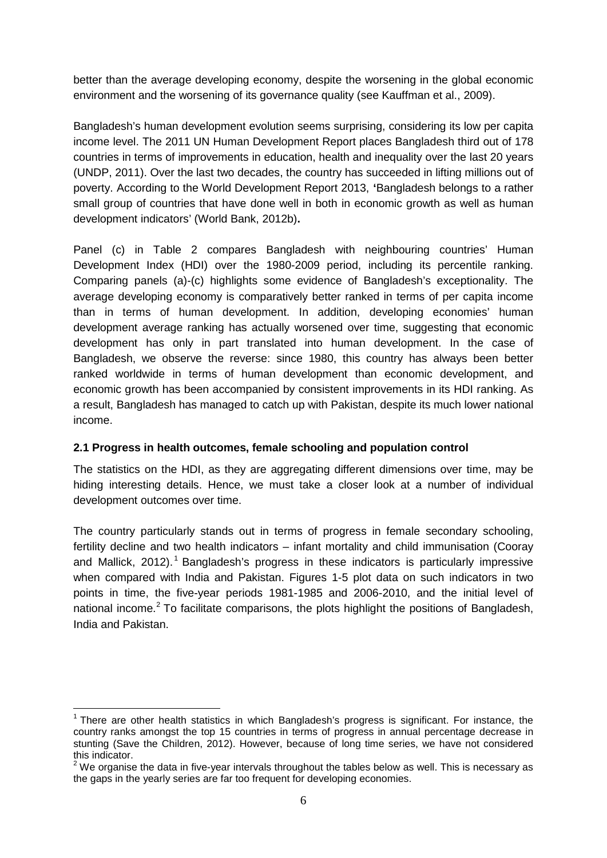better than the average developing economy, despite the worsening in the global economic environment and the worsening of its governance quality (see Kauffman et al., 2009).

Bangladesh's human development evolution seems surprising, considering its low per capita income level. The 2011 UN Human Development Report places Bangladesh third out of 178 countries in terms of improvements in education, health and inequality over the last 20 years (UNDP, 2011). Over the last two decades, the country has succeeded in lifting millions out of poverty. According to the World Development Report 2013, **'**Bangladesh belongs to a rather small group of countries that have done well in both in economic growth as well as human development indicators' (World Bank, 2012b)**.**

Panel (c) in Table 2 compares Bangladesh with neighbouring countries' Human Development Index (HDI) over the 1980-2009 period, including its percentile ranking. Comparing panels (a)-(c) highlights some evidence of Bangladesh's exceptionality. The average developing economy is comparatively better ranked in terms of per capita income than in terms of human development. In addition, developing economies' human development average ranking has actually worsened over time, suggesting that economic development has only in part translated into human development. In the case of Bangladesh, we observe the reverse: since 1980, this country has always been better ranked worldwide in terms of human development than economic development, and economic growth has been accompanied by consistent improvements in its HDI ranking. As a result, Bangladesh has managed to catch up with Pakistan, despite its much lower national income.

# **2.1 Progress in health outcomes, female schooling and population control**

The statistics on the HDI, as they are aggregating different dimensions over time, may be hiding interesting details. Hence, we must take a closer look at a number of individual development outcomes over time.

The country particularly stands out in terms of progress in female secondary schooling, fertility decline and two health indicators – infant mortality and child immunisation (Cooray and Mallick, 20[1](#page-5-0)2).<sup>1</sup> Bangladesh's progress in these indicators is particularly impressive when compared with India and Pakistan. Figures 1-5 plot data on such indicators in two points in time, the five-year periods 1981-1985 and 2006-2010, and the initial level of national income.<sup>[2](#page-5-1)</sup> To facilitate comparisons, the plots highlight the positions of Bangladesh, India and Pakistan.

<span id="page-5-0"></span> $1$  There are other health statistics in which Bangladesh's progress is significant. For instance, the country ranks amongst the top 15 countries in terms of progress in annual percentage decrease in stunting (Save the Children, 2012). However, because of long time series, we have not considered this indicator.  $\overline{a}$ 

<span id="page-5-1"></span><sup>&</sup>lt;sup>2</sup> We organise the data in five-year intervals throughout the tables below as well. This is necessary as the gaps in the yearly series are far too frequent for developing economies.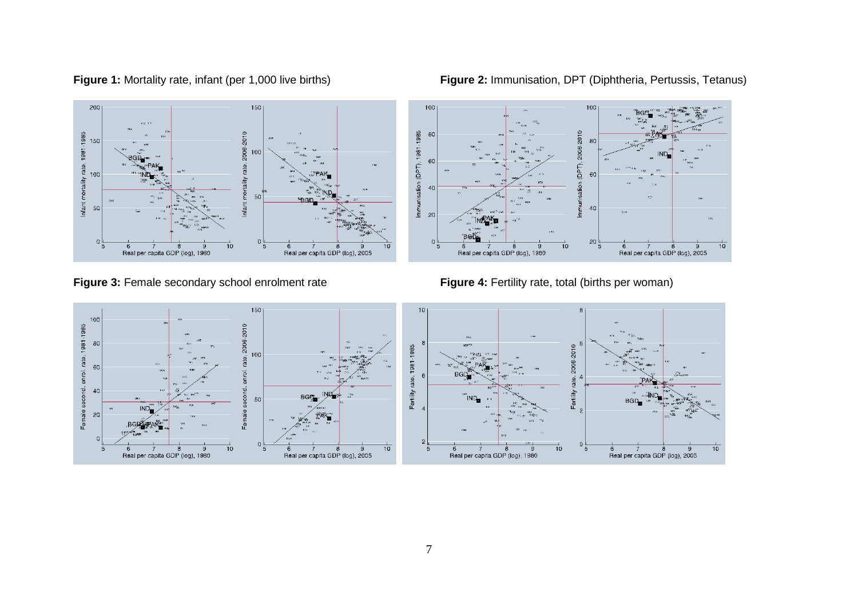**Figure 1:** Mortality rate, infant (per 1,000 live births) **Figure 2:** Immunisation, DPT (Diphtheria, Pertussis, Tetanus)



Figure 3: Female secondary school enrolment rate **Figure 4:** Fertility rate, total (births per woman)



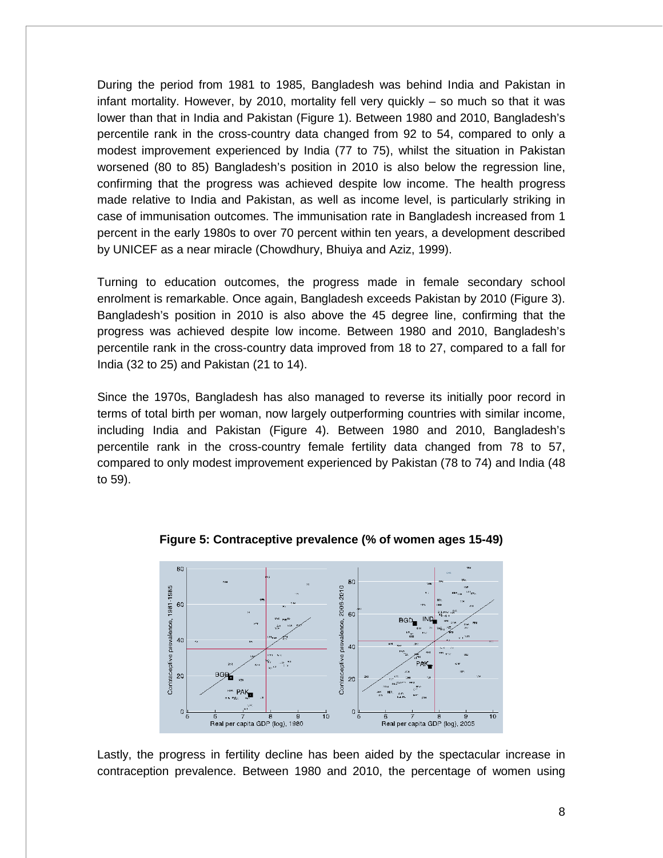During the period from 1981 to 1985, Bangladesh was behind India and Pakistan in infant mortality. However, by 2010, mortality fell very quickly – so much so that it was lower than that in India and Pakistan (Figure 1). Between 1980 and 2010, Bangladesh's percentile rank in the cross-country data changed from 92 to 54, compared to only a modest improvement experienced by India (77 to 75), whilst the situation in Pakistan worsened (80 to 85) Bangladesh's position in 2010 is also below the regression line, confirming that the progress was achieved despite low income. The health progress made relative to India and Pakistan, as well as income level, is particularly striking in case of immunisation outcomes. The immunisation rate in Bangladesh increased from 1 percent in the early 1980s to over 70 percent within ten years, a development described by UNICEF as a near miracle (Chowdhury, Bhuiya and Aziz, 1999).

Turning to education outcomes, the progress made in female secondary school enrolment is remarkable. Once again, Bangladesh exceeds Pakistan by 2010 (Figure 3). Bangladesh's position in 2010 is also above the 45 degree line, confirming that the progress was achieved despite low income. Between 1980 and 2010, Bangladesh's percentile rank in the cross-country data improved from 18 to 27, compared to a fall for India (32 to 25) and Pakistan (21 to 14).

Since the 1970s, Bangladesh has also managed to reverse its initially poor record in terms of total birth per woman, now largely outperforming countries with similar income, including India and Pakistan (Figure 4). Between 1980 and 2010, Bangladesh's percentile rank in the cross-country female fertility data changed from 78 to 57, compared to only modest improvement experienced by Pakistan (78 to 74) and India (48 to 59).



**Figure 5: Contraceptive prevalence (% of women ages 15-49)** 

Lastly, the progress in fertility decline has been aided by the spectacular increase in contraception prevalence. Between 1980 and 2010, the percentage of women using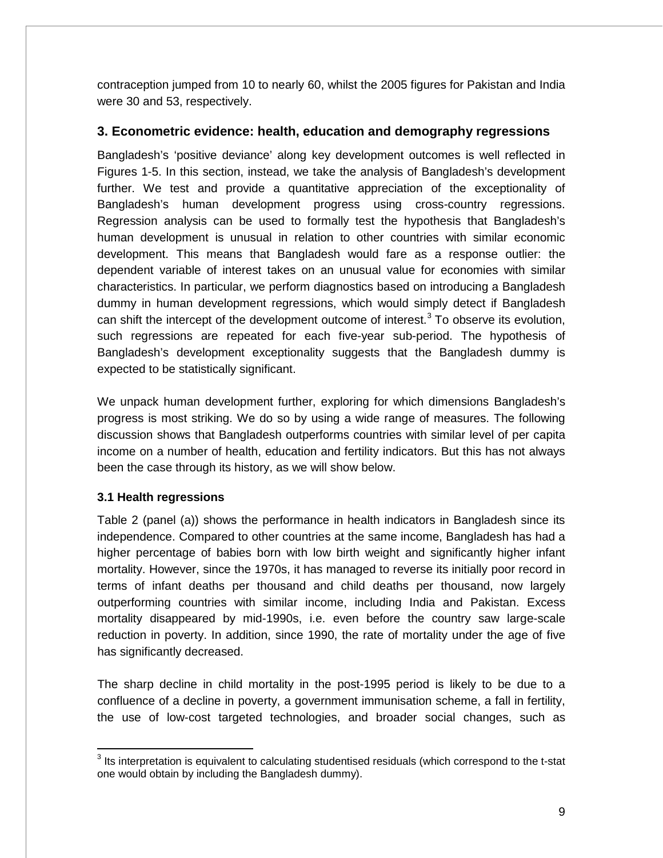contraception jumped from 10 to nearly 60, whilst the 2005 figures for Pakistan and India were 30 and 53, respectively.

# **3. Econometric evidence: health, education and demography regressions**

Bangladesh's 'positive deviance' along key development outcomes is well reflected in Figures 1-5. In this section, instead, we take the analysis of Bangladesh's development further. We test and provide a quantitative appreciation of the exceptionality of Bangladesh's human development progress using cross-country regressions. Regression analysis can be used to formally test the hypothesis that Bangladesh's human development is unusual in relation to other countries with similar economic development. This means that Bangladesh would fare as a response outlier: the dependent variable of interest takes on an unusual value for economies with similar characteristics. In particular, we perform diagnostics based on introducing a Bangladesh dummy in human development regressions, which would simply detect if Bangladesh can shift the intercept of the development outcome of interest.<sup>[3](#page-8-0)</sup> To observe its evolution, such regressions are repeated for each five-year sub-period. The hypothesis of Bangladesh's development exceptionality suggests that the Bangladesh dummy is expected to be statistically significant.

We unpack human development further, exploring for which dimensions Bangladesh's progress is most striking. We do so by using a wide range of measures. The following discussion shows that Bangladesh outperforms countries with similar level of per capita income on a number of health, education and fertility indicators. But this has not always been the case through its history, as we will show below.

# **3.1 Health regressions**

 $\overline{a}$ 

Table 2 (panel (a)) shows the performance in health indicators in Bangladesh since its independence. Compared to other countries at the same income, Bangladesh has had a higher percentage of babies born with low birth weight and significantly higher infant mortality. However, since the 1970s, it has managed to reverse its initially poor record in terms of infant deaths per thousand and child deaths per thousand, now largely outperforming countries with similar income, including India and Pakistan. Excess mortality disappeared by mid-1990s, i.e. even before the country saw large-scale reduction in poverty. In addition, since 1990, the rate of mortality under the age of five has significantly decreased.

The sharp decline in child mortality in the post-1995 period is likely to be due to a confluence of a decline in poverty, a government immunisation scheme, a fall in fertility, the use of low-cost targeted technologies, and broader social changes, such as

<span id="page-8-0"></span> $3$  Its interpretation is equivalent to calculating studentised residuals (which correspond to the t-stat one would obtain by including the Bangladesh dummy).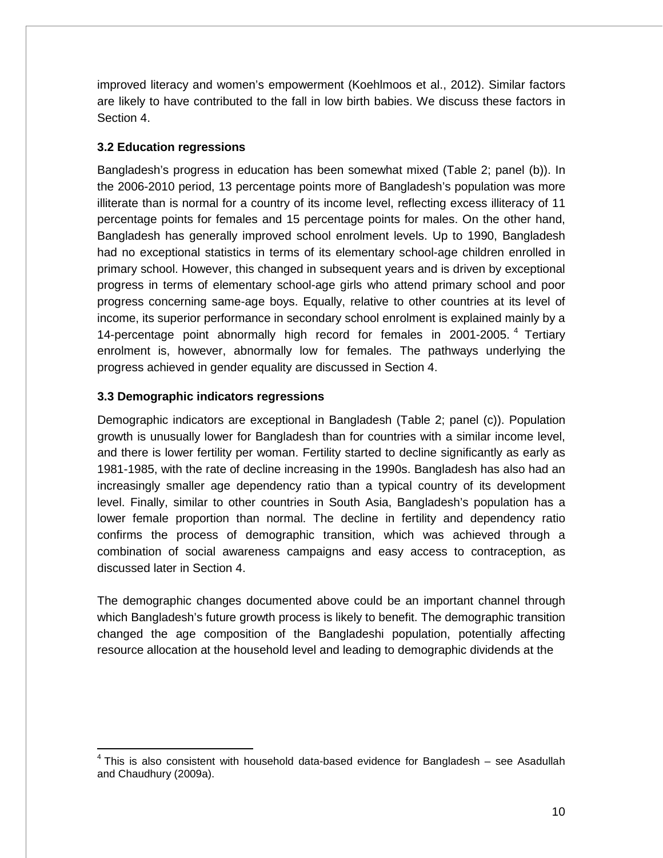improved literacy and women's empowerment (Koehlmoos et al., 2012). Similar factors are likely to have contributed to the fall in low birth babies. We discuss these factors in Section 4.

## **3.2 Education regressions**

Bangladesh's progress in education has been somewhat mixed (Table 2; panel (b)). In the 2006-2010 period, 13 percentage points more of Bangladesh's population was more illiterate than is normal for a country of its income level, reflecting excess illiteracy of 11 percentage points for females and 15 percentage points for males. On the other hand, Bangladesh has generally improved school enrolment levels. Up to 1990, Bangladesh had no exceptional statistics in terms of its elementary school-age children enrolled in primary school. However, this changed in subsequent years and is driven by exceptional progress in terms of elementary school-age girls who attend primary school and poor progress concerning same-age boys. Equally, relative to other countries at its level of income, its superior performance in secondary school enrolment is explained mainly by a 1[4](#page-9-0)-percentage point abnormally high record for females in 2001-2005.<sup>4</sup> Tertiary enrolment is, however, abnormally low for females. The pathways underlying the progress achieved in gender equality are discussed in Section 4.

## **3.3 Demographic indicators regressions**

 $\overline{\phantom{a}}$ 

Demographic indicators are exceptional in Bangladesh (Table 2; panel (c)). Population growth is unusually lower for Bangladesh than for countries with a similar income level, and there is lower fertility per woman. Fertility started to decline significantly as early as 1981-1985, with the rate of decline increasing in the 1990s. Bangladesh has also had an increasingly smaller age dependency ratio than a typical country of its development level. Finally, similar to other countries in South Asia, Bangladesh's population has a lower female proportion than normal. The decline in fertility and dependency ratio confirms the process of demographic transition, which was achieved through a combination of social awareness campaigns and easy access to contraception, as discussed later in Section 4.

The demographic changes documented above could be an important channel through which Bangladesh's future growth process is likely to benefit. The demographic transition changed the age composition of the Bangladeshi population, potentially affecting resource allocation at the household level and leading to demographic dividends at the

<span id="page-9-0"></span> $4$  This is also consistent with household data-based evidence for Bangladesh – see Asadullah and Chaudhury (2009a).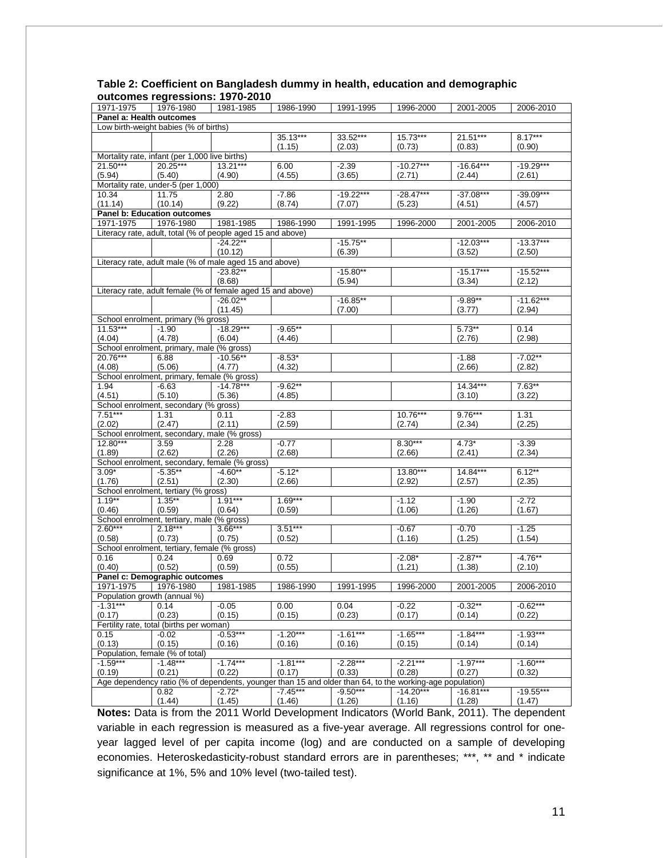| 1971-1975                             | 1976-1980                                                   | - v i v<br>1981-1985 | 1986-1990  | 1991-1995   | 1996-2000                                                                                                | 2001-2005   | 2006-2010   |  |  |  |
|---------------------------------------|-------------------------------------------------------------|----------------------|------------|-------------|----------------------------------------------------------------------------------------------------------|-------------|-------------|--|--|--|
| Panel a: Health outcomes              |                                                             |                      |            |             |                                                                                                          |             |             |  |  |  |
| Low birth-weight babies (% of births) |                                                             |                      |            |             |                                                                                                          |             |             |  |  |  |
|                                       |                                                             |                      | 35.13***   | 33.52***    | $15.73***$                                                                                               | $21.51***$  | $8.17***$   |  |  |  |
|                                       |                                                             |                      | (1.15)     | (2.03)      | (0.73)                                                                                                   | (0.83)      | (0.90)      |  |  |  |
|                                       | Mortality rate, infant (per 1,000 live births)              |                      |            |             |                                                                                                          |             |             |  |  |  |
| $21.50***$                            | 20.25***                                                    | $13.21***$           | 6.00       | $-2.39$     | $-10.27***$                                                                                              | $-16.64***$ | $-19.29***$ |  |  |  |
| (5.94)                                | (5.40)                                                      | (4.90)               | (4.55)     | (3.65)      | (2.71)                                                                                                   | (2.44)      | (2.61)      |  |  |  |
|                                       |                                                             |                      |            |             |                                                                                                          |             |             |  |  |  |
|                                       | Mortality rate, under-5 (per 1,000)                         |                      |            | $-19.22***$ | $-28.47***$                                                                                              | $-37.08***$ | $-39.09***$ |  |  |  |
| 10.34                                 | 11.75                                                       | 2.80                 | $-7.86$    |             |                                                                                                          |             |             |  |  |  |
| (11.14)                               | (10.14)                                                     | (9.22)               | (8.74)     | (7.07)      | (5.23)                                                                                                   | (4.51)      | (4.57)      |  |  |  |
|                                       | Panel b: Education outcomes                                 |                      |            |             |                                                                                                          |             |             |  |  |  |
| 1971-1975                             | 1976-1980                                                   | 1981-1985            | 1986-1990  | 1991-1995   | 1996-2000                                                                                                | 2001-2005   | 2006-2010   |  |  |  |
|                                       | Literacy rate, adult, total (% of people aged 15 and above) |                      |            |             |                                                                                                          |             |             |  |  |  |
|                                       |                                                             | $-24.22**$           |            | $-15.75**$  |                                                                                                          | $-12.03***$ | $-13.37***$ |  |  |  |
|                                       |                                                             | (10.12)              |            | (6.39)      |                                                                                                          | (3.52)      | (2.50)      |  |  |  |
|                                       | Literacy rate, adult male (% of male aged 15 and above)     |                      |            |             |                                                                                                          |             |             |  |  |  |
|                                       |                                                             | $-23.82**$           |            | $-15.80**$  |                                                                                                          | $-15.17***$ | $-15.52***$ |  |  |  |
|                                       |                                                             | (8.68)               |            | (5.94)      |                                                                                                          | (3.34)      | (2.12)      |  |  |  |
|                                       | Literacy rate, adult female (% of female aged 15 and above) |                      |            |             |                                                                                                          |             |             |  |  |  |
|                                       |                                                             | $-26.02**$           |            | $-16.85**$  |                                                                                                          | $-9.89**$   | $-11.62***$ |  |  |  |
|                                       |                                                             | (11.45)              |            | (7.00)      |                                                                                                          | (3.77)      | (2.94)      |  |  |  |
|                                       | School enrolment, primary (% gross)                         |                      |            |             |                                                                                                          |             |             |  |  |  |
| $11.53***$                            | $-1.90$                                                     | $-18.29***$          | $-9.65**$  |             |                                                                                                          | $5.73***$   | 0.14        |  |  |  |
| (4.04)                                | (4.78)                                                      | (6.04)               | (4.46)     |             |                                                                                                          | (2.76)      | (2.98)      |  |  |  |
|                                       | School enrolment, primary, male (% gross)                   |                      |            |             |                                                                                                          |             |             |  |  |  |
| 20.76***                              | 6.88                                                        | $-10.56**$           | $-8.53*$   |             |                                                                                                          | $-1.88$     | $-7.02**$   |  |  |  |
| (4.08)                                | (5.06)                                                      | (4.77)               | (4.32)     |             |                                                                                                          | (2.66)      | (2.82)      |  |  |  |
|                                       | School enrolment, primary, female (% gross)                 |                      |            |             |                                                                                                          |             |             |  |  |  |
| 1.94                                  | $-6.63$                                                     | $-14.78***$          | $-9.62**$  |             |                                                                                                          | $14.34***$  | $7.63**$    |  |  |  |
| (4.51)                                | (5.10)                                                      | (5.36)               | (4.85)     |             |                                                                                                          | (3.10)      | (3.22)      |  |  |  |
|                                       | School enrolment, secondary (% gross)                       |                      |            |             |                                                                                                          |             |             |  |  |  |
| $7.51***$                             | 1.31                                                        | 0.11                 | $-2.83$    |             | 10.76***                                                                                                 | $9.76***$   | 1.31        |  |  |  |
| (2.02)                                | (2.47)                                                      | (2.11)               | (2.59)     |             | (2.74)                                                                                                   | (2.34)      | (2.25)      |  |  |  |
|                                       | School enrolment, secondary, male (% gross)                 |                      |            |             |                                                                                                          |             |             |  |  |  |
| $12.80***$                            | 3.59                                                        | 2.28                 | $-0.77$    |             | $8.30***$                                                                                                | $4.73*$     | $-3.39$     |  |  |  |
| (1.89)                                | (2.62)                                                      | (2.26)               | (2.68)     |             | (2.66)                                                                                                   | (2.41)      | (2.34)      |  |  |  |
|                                       | School enrolment, secondary, female (% gross)               |                      |            |             |                                                                                                          |             |             |  |  |  |
| $3.09*$                               | $-5.35**$                                                   | $-4.60**$            | $-5.12*$   |             | 13.80***                                                                                                 | 14.84***    | $6.12***$   |  |  |  |
| (1.76)                                | (2.51)                                                      | (2.30)               | (2.66)     |             | (2.92)                                                                                                   | (2.57)      | (2.35)      |  |  |  |
|                                       | School enrolment, tertiary (% gross)                        |                      |            |             |                                                                                                          |             |             |  |  |  |
| $1.19***$                             | $1.35***$                                                   | $1.91***$            | $1.69***$  |             | $-1.12$                                                                                                  | $-1.90$     | $-2.72$     |  |  |  |
|                                       |                                                             |                      |            |             |                                                                                                          |             |             |  |  |  |
| (0.46)                                | (0.59)                                                      | (0.64)               | (0.59)     |             | (1.06)                                                                                                   | (1.26)      | (1.67)      |  |  |  |
|                                       | School enrolment, tertiary, male (% gross)<br>$2.18***$     |                      |            |             |                                                                                                          |             |             |  |  |  |
| $2.60***$                             |                                                             | $3.66***$            | $3.51***$  |             | $-0.67$                                                                                                  | $-0.70$     | $-1.25$     |  |  |  |
| (0.58)                                | (0.73)                                                      | (0.75)               | (0.52)     |             | (1.16)                                                                                                   | (1.25)      | (1.54)      |  |  |  |
|                                       | School enrolment, tertiary, female (% gross)                |                      |            |             |                                                                                                          |             |             |  |  |  |
| 0.16                                  | 0.24                                                        | 0.69                 | 0.72       |             | $-2.08*$                                                                                                 | $-2.87**$   | $-4.76**$   |  |  |  |
| (0.40)                                | (0.52)                                                      | (0.59)               | (0.55)     |             | (1.21)                                                                                                   | (1.38)      | (2.10)      |  |  |  |
|                                       | Panel c: Demographic outcomes                               |                      |            |             |                                                                                                          |             |             |  |  |  |
| 1971-1975                             | 1976-1980                                                   | 1981-1985            | 1986-1990  | 1991-1995   | 1996-2000                                                                                                | 2001-2005   | 2006-2010   |  |  |  |
|                                       | Population growth (annual %)                                |                      |            |             |                                                                                                          |             |             |  |  |  |
| $-1.31***$                            | 0.14                                                        | $-0.05$              | 0.00       | 0.04        | $-0.22$                                                                                                  | $-0.32**$   | $-0.62***$  |  |  |  |
| (0.17)                                | (0.23)                                                      | (0.15)               | (0.15)     | (0.23)      | (0.17)                                                                                                   | (0.14)      | (0.22)      |  |  |  |
|                                       | Fertility rate, total (births per woman)                    |                      |            |             |                                                                                                          |             |             |  |  |  |
| 0.15                                  | $-0.02$                                                     | $-0.53***$           | $-1.20***$ | $-1.61***$  | $-1.65***$                                                                                               | $-1.84***$  | $-1.93***$  |  |  |  |
| (0.13)                                | (0.15)                                                      | (0.16)               | (0.16)     | (0.16)      | (0.15)                                                                                                   | (0.14)      | (0.14)      |  |  |  |
|                                       | Population, female (% of total)                             |                      |            |             |                                                                                                          |             |             |  |  |  |
| $-1.59***$                            | $-1.48***$                                                  | $-1.74***$           | $-1.81***$ | $-2.28***$  | $-2.21***$                                                                                               | $-1.97***$  | $-1.60***$  |  |  |  |
| (0.19)                                | (0.21)                                                      | (0.22)               | (0.17)     | (0.33)      | (0.28)                                                                                                   | (0.27)      | (0.32)      |  |  |  |
|                                       |                                                             |                      |            |             | Age dependency ratio (% of dependents, younger than 15 and older than 64, to the working-age population) |             |             |  |  |  |
|                                       | 0.82                                                        | $-2.72*$             | $-7.45***$ | $-9.50***$  | $-14.20***$                                                                                              | $-16.81***$ | $-19.55***$ |  |  |  |
|                                       | (1.44)                                                      | (1.45)               | (1.46)     | (1.26)      | (1.16)                                                                                                   | (1.28)      | (1.47)      |  |  |  |
|                                       |                                                             |                      |            |             |                                                                                                          |             |             |  |  |  |

#### **Table 2: Coefficient on Bangladesh dummy in health, education and demographic outcomes regressions: 1970-2010**

**Notes:** Data is from the 2011 World Development Indicators (World Bank, 2011). The dependent variable in each regression is measured as a five-year average. All regressions control for oneyear lagged level of per capita income (log) and are conducted on a sample of developing economies. Heteroskedasticity-robust standard errors are in parentheses; \*\*\*, \*\* and \* indicate significance at 1%, 5% and 10% level (two-tailed test).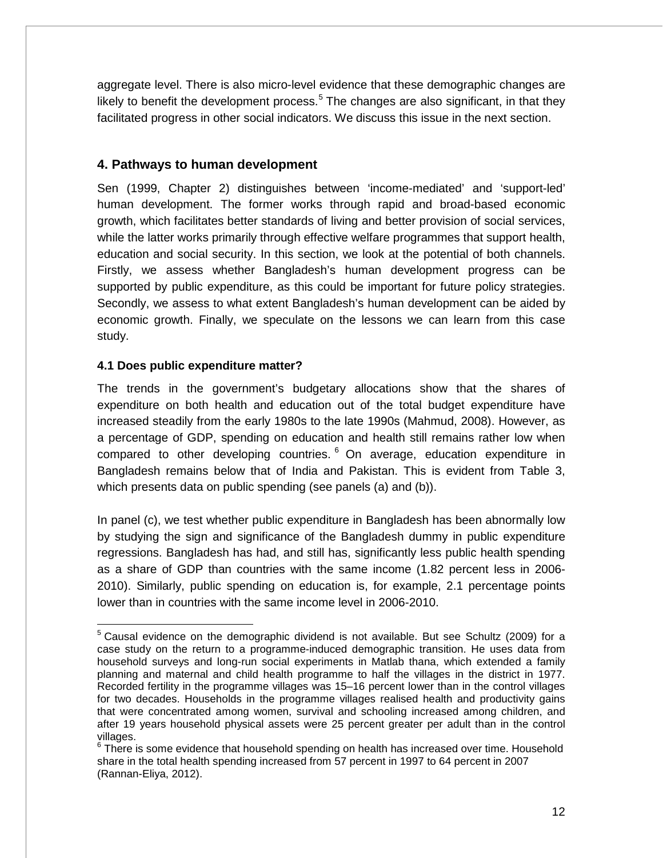aggregate level. There is also micro-level evidence that these demographic changes are likely to benefit the development process.<sup>[5](#page-11-0)</sup> The changes are also significant, in that they facilitated progress in other social indicators. We discuss this issue in the next section.

# **4. Pathways to human development**

Sen (1999, Chapter 2) distinguishes between 'income-mediated' and 'support-led' human development. The former works through rapid and broad-based economic growth, which facilitates better standards of living and better provision of social services, while the latter works primarily through effective welfare programmes that support health, education and social security. In this section, we look at the potential of both channels. Firstly, we assess whether Bangladesh's human development progress can be supported by public expenditure, as this could be important for future policy strategies. Secondly, we assess to what extent Bangladesh's human development can be aided by economic growth. Finally, we speculate on the lessons we can learn from this case study.

## **4.1 Does public expenditure matter?**

The trends in the government's budgetary allocations show that the shares of expenditure on both health and education out of the total budget expenditure have increased steadily from the early 1980s to the late 1990s (Mahmud, 2008). However, as a percentage of GDP, spending on education and health still remains rather low when compared to other developing countries.  $6$  On average, education expenditure in Bangladesh remains below that of India and Pakistan. This is evident from Table 3, which presents data on public spending (see panels (a) and (b)).

In panel (c), we test whether public expenditure in Bangladesh has been abnormally low by studying the sign and significance of the Bangladesh dummy in public expenditure regressions. Bangladesh has had, and still has, significantly less public health spending as a share of GDP than countries with the same income (1.82 percent less in 2006- 2010). Similarly, public spending on education is, for example, 2.1 percentage points lower than in countries with the same income level in 2006-2010.

<span id="page-11-0"></span> $5$  Causal evidence on the demographic dividend is not available. But see Schultz (2009) for a case study on the return to a programme-induced demographic transition. He uses data from household surveys and long-run social experiments in Matlab thana, which extended a family planning and maternal and child health programme to half the villages in the district in 1977. Recorded fertility in the programme villages was 15–16 percent lower than in the control villages for two decades. Households in the programme villages realised health and productivity gains that were concentrated among women, survival and schooling increased among children, and after 19 years household physical assets were 25 percent greater per adult than in the control villages.  $\overline{a}$ 

<span id="page-11-1"></span> $6$  There is some evidence that household spending on health has increased over time. Household share in the total health spending increased from 57 percent in 1997 to 64 percent in 2007 (Rannan-Eliya, 2012).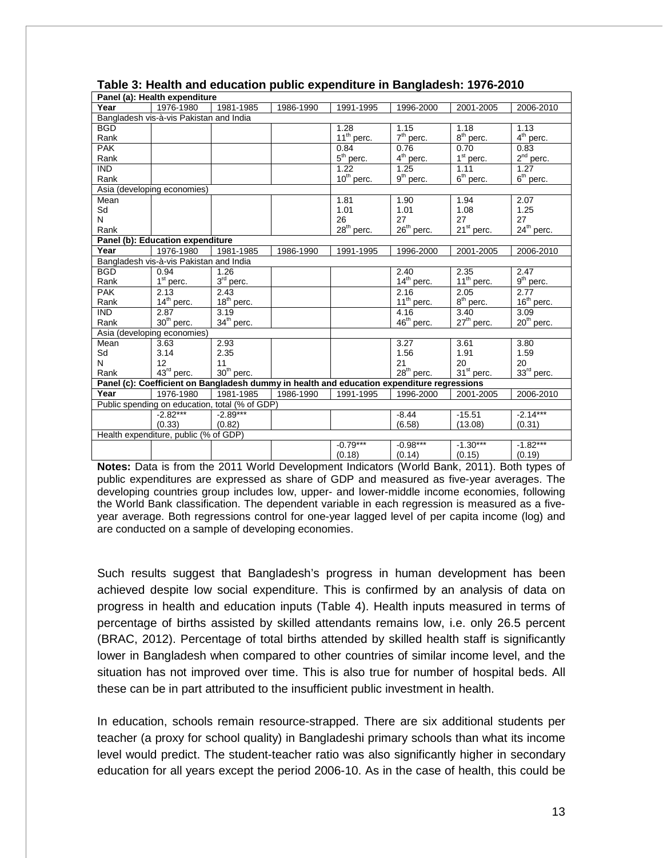|                                         | Panel (a): Health expenditure                  |                        |           |                        |                                                                                            |                        |                        |
|-----------------------------------------|------------------------------------------------|------------------------|-----------|------------------------|--------------------------------------------------------------------------------------------|------------------------|------------------------|
| Year                                    | 1976-1980                                      | 1981-1985              | 1986-1990 | 1991-1995              | 1996-2000                                                                                  | 2001-2005              | 2006-2010              |
|                                         | Bangladesh vis-à-vis Pakistan and India        |                        |           |                        |                                                                                            |                        |                        |
| <b>BGD</b>                              |                                                |                        |           | 1.28                   | 1.15                                                                                       | 1.18                   | 1.13                   |
| Rank                                    |                                                |                        |           | 11 <sup>th</sup> perc. | $7th$ perc.                                                                                | 8 <sup>th</sup> perc.  | 4 <sup>th</sup> perc.  |
| <b>PAK</b>                              |                                                |                        |           | 0.84                   | 0.76                                                                                       | 0.70                   | 0.83                   |
| Rank                                    |                                                |                        |           | $5th$ perc.            | $4th$ perc.                                                                                | $1st$ perc.            | 2 <sup>nd</sup> perc.  |
| $\overline{\mathsf{IND}}$               |                                                |                        |           | 1.22                   | 1.25                                                                                       | 1.11                   | 1.27                   |
| Rank                                    |                                                |                        |           | 10 <sup>th</sup> perc. | 9 <sup>th</sup> perc.                                                                      | $6th$ perc.            | $6th$ perc.            |
|                                         | Asia (developing economies)                    |                        |           |                        |                                                                                            |                        |                        |
| Mean                                    |                                                |                        |           | 1.81                   | 1.90                                                                                       | 1.94                   | 2.07                   |
| Sd                                      |                                                |                        |           | 1.01                   | 1.01                                                                                       | 1.08                   | 1.25                   |
| N                                       |                                                |                        |           | 26                     | 27                                                                                         | 27                     | 27                     |
| Rank                                    |                                                |                        |           | 28 <sup>th</sup> perc. | 26 <sup>th</sup> perc.                                                                     | 21 <sup>st</sup> perc. | 24 <sup>th</sup> perc. |
|                                         | Panel (b): Education expenditure               |                        |           |                        |                                                                                            |                        |                        |
| Year                                    | 1976-1980                                      | 1981-1985              | 1986-1990 | 1991-1995              | 1996-2000                                                                                  | 2001-2005              | 2006-2010              |
| Bangladesh vis-à-vis Pakistan and India |                                                |                        |           |                        |                                                                                            |                        |                        |
| <b>BGD</b>                              | 0.94                                           | 1.26                   |           |                        | 2.40                                                                                       | 2.35                   | 2.47                   |
| Rank                                    | 1 <sup>st</sup> perc.                          | $3rd$ perc.            |           |                        | 14 <sup>th</sup> perc.                                                                     | 11 <sup>th</sup> perc. | 9 <sup>th</sup> perc.  |
| <b>PAK</b>                              | 2.13                                           | 2.43                   |           |                        | 2.16                                                                                       | 2.05                   | 2.77                   |
| Rank                                    | 14 <sup>th</sup> perc.                         | 18 <sup>th</sup> perc. |           |                        | 11 <sup>th</sup> perc.                                                                     | 8 <sup>th</sup> perc.  | 16 <sup>th</sup> perc. |
| $\overline{\text{IND}}$                 | 2.87                                           | 3.19                   |           |                        | 4.16                                                                                       | 3.40                   | 3.09                   |
| Rank                                    | $30th$ perc.                                   | 34 <sup>th</sup> perc. |           |                        | 46 <sup>th</sup> perc.                                                                     | $27th$ perc.           | $20th$ perc.           |
|                                         | Asia (developing economies)                    |                        |           |                        |                                                                                            |                        |                        |
| Mean                                    | 3.63                                           | 2.93                   |           |                        | 3.27                                                                                       | 3.61                   | 3.80                   |
| Sd                                      | 3.14                                           | 2.35                   |           |                        | 1.56                                                                                       | 1.91                   | 1.59                   |
| N                                       | 12                                             | 11                     |           |                        | 21                                                                                         | 20                     | 20                     |
| Rank                                    | 43rd perc.                                     | 30 <sup>th</sup> perc. |           |                        | 28 <sup>th</sup> perc.                                                                     | 31 <sup>st</sup> perc. | 33rd perc.             |
|                                         |                                                |                        |           |                        | Panel (c): Coefficient on Bangladesh dummy in health and education expenditure regressions |                        |                        |
| Year                                    | 1976-1980                                      | 1981-1985              | 1986-1990 | 1991-1995              | 1996-2000                                                                                  | 2001-2005              | 2006-2010              |
|                                         | Public spending on education, total (% of GDP) |                        |           |                        |                                                                                            |                        |                        |
|                                         | $-2.82***$                                     | $-2.89***$             |           |                        | $-8.44$                                                                                    | $-15.51$               | $-2.14***$             |
|                                         | (0.33)                                         | (0.82)                 |           |                        | (6.58)                                                                                     | (13.08)                | (0.31)                 |
|                                         | Health expenditure, public (% of GDP)          |                        |           |                        |                                                                                            |                        |                        |
|                                         |                                                |                        |           | $-0.79***$             | $-0.98***$                                                                                 | $-1.30***$             | $-1.82***$             |
|                                         |                                                |                        |           | (0.18)                 | (0.14)                                                                                     | (0.15)                 | (0.19)                 |

#### **Table 3: Health and education public expenditure in Bangladesh: 1976-2010**

**Notes:** Data is from the 2011 World Development Indicators (World Bank, 2011). Both types of public expenditures are expressed as share of GDP and measured as five-year averages. The developing countries group includes low, upper- and lower-middle income economies, following the World Bank classification. The dependent variable in each regression is measured as a fiveyear average. Both regressions control for one-year lagged level of per capita income (log) and are conducted on a sample of developing economies.

Such results suggest that Bangladesh's progress in human development has been achieved despite low social expenditure. This is confirmed by an analysis of data on progress in health and education inputs (Table 4). Health inputs measured in terms of percentage of births assisted by skilled attendants remains low, i.e. only 26.5 percent (BRAC, 2012). Percentage of total births attended by skilled health staff is significantly lower in Bangladesh when compared to other countries of similar income level, and the situation has not improved over time. This is also true for number of hospital beds. All these can be in part attributed to the insufficient public investment in health.

In education, schools remain resource-strapped. There are six additional students per teacher (a proxy for school quality) in Bangladeshi primary schools than what its income level would predict. The student-teacher ratio was also significantly higher in secondary education for all years except the period 2006-10. As in the case of health, this could be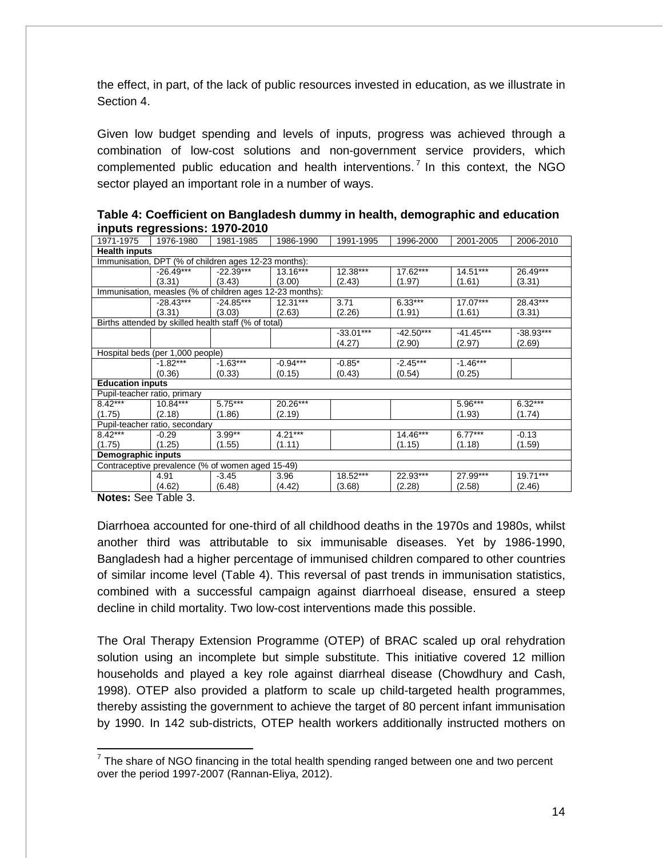the effect, in part, of the lack of public resources invested in education, as we illustrate in Section 4.

Given low budget spending and levels of inputs, progress was achieved through a combination of low-cost solutions and non-government service providers, which complemented public education and health interventions. [7](#page-13-0) In this context, the NGO sector played an important role in a number of ways.

| <u>.</u>                     |                                  |                                                          |            |             |             |             |             |  |  |  |
|------------------------------|----------------------------------|----------------------------------------------------------|------------|-------------|-------------|-------------|-------------|--|--|--|
| 1971-1975                    | 1976-1980                        | 1981-1985                                                | 1986-1990  | 1991-1995   | 1996-2000   | 2001-2005   | 2006-2010   |  |  |  |
| <b>Health inputs</b>         |                                  |                                                          |            |             |             |             |             |  |  |  |
|                              |                                  | Immunisation, DPT (% of children ages 12-23 months):     |            |             |             |             |             |  |  |  |
|                              | $-26.49***$                      | $-22.39***$                                              | $13.16***$ | 12.38***    | 17.62***    | $14.51***$  | 26.49***    |  |  |  |
|                              | (3.31)                           | (3.43)                                                   | (3.00)     | (2.43)      | (1.97)      | (1.61)      | (3.31)      |  |  |  |
|                              |                                  | Immunisation, measles (% of children ages 12-23 months): |            |             |             |             |             |  |  |  |
|                              | $-28.43***$                      | $-24.85***$                                              | $12.31***$ | 3.71        | $6.33***$   | $17.07***$  | 28.43***    |  |  |  |
|                              | (3.31)                           | (3.03)                                                   | (2.63)     | (2.26)      | (1.91)      | (1.61)      | (3.31)      |  |  |  |
|                              |                                  | Births attended by skilled health staff (% of total)     |            |             |             |             |             |  |  |  |
|                              |                                  |                                                          |            | $-33.01***$ | $-42.50***$ | $-41.45***$ | $-38.93***$ |  |  |  |
|                              |                                  |                                                          |            | (4.27)      | (2.90)      | (2.97)      | (2.69)      |  |  |  |
|                              | Hospital beds (per 1,000 people) |                                                          |            |             |             |             |             |  |  |  |
|                              | $-1.82***$                       | $-1.63***$                                               | $-0.94***$ | $-0.85*$    | $-2.45***$  | $-1.46***$  |             |  |  |  |
|                              | (0.36)                           | (0.33)                                                   | (0.15)     | (0.43)      | (0.54)      | (0.25)      |             |  |  |  |
| <b>Education inputs</b>      |                                  |                                                          |            |             |             |             |             |  |  |  |
| Pupil-teacher ratio, primary |                                  |                                                          |            |             |             |             |             |  |  |  |
| $8.42***$                    | 10.84***                         | $5.75***$                                                | 20.26***   |             |             | 5.96***     | $6.32***$   |  |  |  |
| (1.75)                       | (2.18)                           | (1.86)                                                   | (2.19)     |             |             | (1.93)      | (1.74)      |  |  |  |
|                              | Pupil-teacher ratio, secondary   |                                                          |            |             |             |             |             |  |  |  |
| 8.42***                      | $-0.29$                          | $3.99**$                                                 | $4.21***$  |             | 14.46***    | $6.77***$   | $-0.13$     |  |  |  |
| (1.75)                       | (1.25)                           | (1.55)                                                   | (1.11)     |             | (1.15)      | (1.18)      | (1.59)      |  |  |  |
| Demographic inputs           |                                  |                                                          |            |             |             |             |             |  |  |  |
|                              |                                  | Contraceptive prevalence (% of women aged 15-49)         |            |             |             |             |             |  |  |  |
|                              | 4.91                             | $-3.45$                                                  | 3.96       | 18.52***    | 22.93***    | 27.99***    | 19.71***    |  |  |  |
|                              | (4.62)                           | (6.48)                                                   | (4.42)     | (3.68)      | (2.28)      | (2.58)      | (2.46)      |  |  |  |

| Table 4: Coefficient on Bangladesh dummy in health, demographic and education |  |
|-------------------------------------------------------------------------------|--|
| inputs regressions: 1970-2010                                                 |  |

**Notes:** See Table 3.

 $\overline{a}$ 

Diarrhoea accounted for one-third of all childhood deaths in the 1970s and 1980s, whilst another third was attributable to six immunisable diseases. Yet by 1986-1990, Bangladesh had a higher percentage of immunised children compared to other countries of similar income level (Table 4). This reversal of past trends in immunisation statistics, combined with a successful campaign against diarrhoeal disease, ensured a steep decline in child mortality. Two low-cost interventions made this possible.

The Oral Therapy Extension Programme (OTEP) of BRAC scaled up oral rehydration solution using an incomplete but simple substitute. This initiative covered 12 million households and played a key role against diarrheal disease (Chowdhury and Cash, 1998). OTEP also provided a platform to scale up child-targeted health programmes, thereby assisting the government to achieve the target of 80 percent infant immunisation by 1990. In 142 sub-districts, OTEP health workers additionally instructed mothers on

<span id="page-13-0"></span> $7$  The share of NGO financing in the total health spending ranged between one and two percent over the period 1997-2007 (Rannan-Eliya, 2012).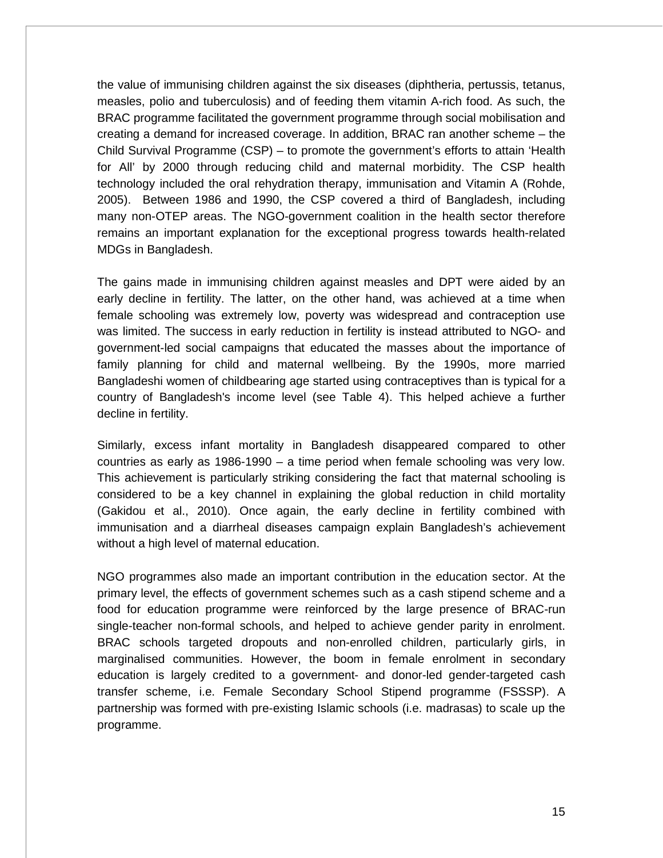the value of immunising children against the six diseases (diphtheria, pertussis, tetanus, measles, polio and tuberculosis) and of feeding them vitamin A-rich food. As such, the BRAC programme facilitated the government programme through social mobilisation and creating a demand for increased coverage. In addition, BRAC ran another scheme – the Child Survival Programme (CSP) – to promote the government's efforts to attain 'Health for All' by 2000 through reducing child and maternal morbidity. The CSP health technology included the oral rehydration therapy, immunisation and Vitamin A (Rohde, 2005). Between 1986 and 1990, the CSP covered a third of Bangladesh, including many non-OTEP areas. The NGO-government coalition in the health sector therefore remains an important explanation for the exceptional progress towards health-related MDGs in Bangladesh.

The gains made in immunising children against measles and DPT were aided by an early decline in fertility. The latter, on the other hand, was achieved at a time when female schooling was extremely low, poverty was widespread and contraception use was limited. The success in early reduction in fertility is instead attributed to NGO- and government-led social campaigns that educated the masses about the importance of family planning for child and maternal wellbeing. By the 1990s, more married Bangladeshi women of childbearing age started using contraceptives than is typical for a country of Bangladesh's income level (see Table 4). This helped achieve a further decline in fertility.

Similarly, excess infant mortality in Bangladesh disappeared compared to other countries as early as 1986-1990 – a time period when female schooling was very low. This achievement is particularly striking considering the fact that maternal schooling is considered to be a key channel in explaining the global reduction in child mortality (Gakidou et al., 2010). Once again, the early decline in fertility combined with immunisation and a diarrheal diseases campaign explain Bangladesh's achievement without a high level of maternal education.

NGO programmes also made an important contribution in the education sector. At the primary level, the effects of government schemes such as a cash stipend scheme and a food for education programme were reinforced by the large presence of BRAC-run single-teacher non-formal schools, and helped to achieve gender parity in enrolment. BRAC schools targeted dropouts and non-enrolled children, particularly girls, in marginalised communities. However, the boom in female enrolment in secondary education is largely credited to a government- and donor-led gender-targeted cash transfer scheme, i.e. Female Secondary School Stipend programme (FSSSP). A partnership was formed with pre-existing Islamic schools (i.e. madrasas) to scale up the programme.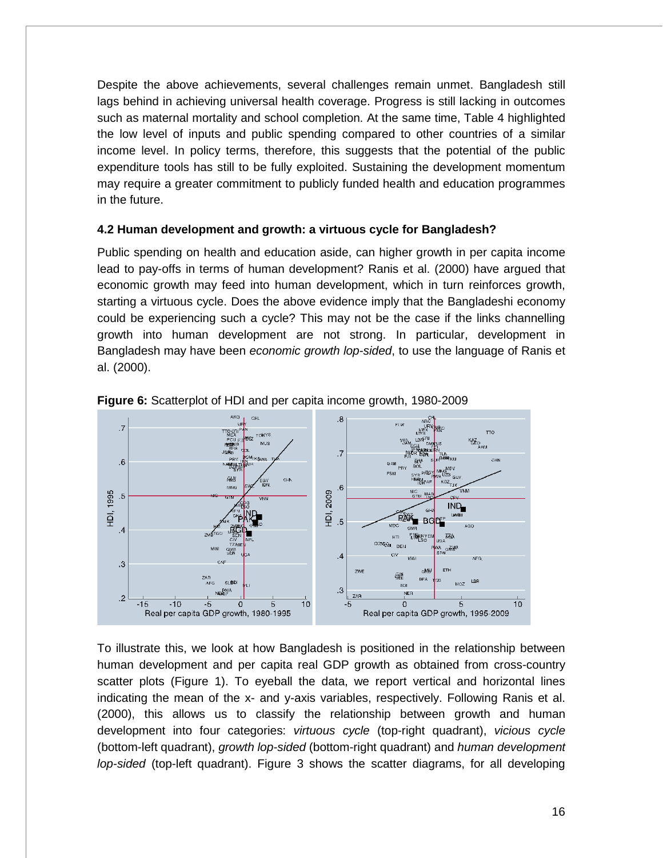Despite the above achievements, several challenges remain unmet. Bangladesh still lags behind in achieving universal health coverage. Progress is still lacking in outcomes such as maternal mortality and school completion. At the same time, Table 4 highlighted the low level of inputs and public spending compared to other countries of a similar income level. In policy terms, therefore, this suggests that the potential of the public expenditure tools has still to be fully exploited. Sustaining the development momentum may require a greater commitment to publicly funded health and education programmes in the future.

#### **4.2 Human development and growth: a virtuous cycle for Bangladesh?**

Public spending on health and education aside, can higher growth in per capita income lead to pay-offs in terms of human development? Ranis et al. (2000) have argued that economic growth may feed into human development, which in turn reinforces growth, starting a virtuous cycle. Does the above evidence imply that the Bangladeshi economy could be experiencing such a cycle? This may not be the case if the links channelling growth into human development are not strong. In particular, development in Bangladesh may have been *economic growth lop-sided*, to use the language of Ranis et al. (2000).



**Figure 6:** Scatterplot of HDI and per capita income growth, 1980-2009

To illustrate this, we look at how Bangladesh is positioned in the relationship between human development and per capita real GDP growth as obtained from cross-country scatter plots (Figure 1). To eyeball the data, we report vertical and horizontal lines indicating the mean of the x- and y-axis variables, respectively. Following Ranis et al. (2000), this allows us to classify the relationship between growth and human development into four categories: *virtuous cycle* (top-right quadrant), *vicious cycle* (bottom-left quadrant), *growth lop-sided* (bottom-right quadrant) and *human development lop-sided* (top-left quadrant). Figure 3 shows the scatter diagrams, for all developing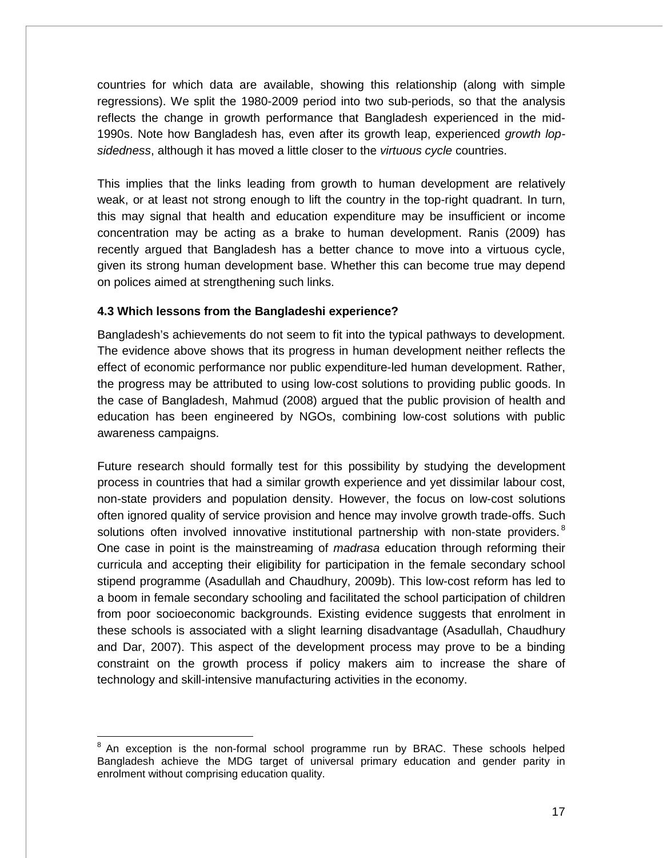countries for which data are available, showing this relationship (along with simple regressions). We split the 1980-2009 period into two sub-periods, so that the analysis reflects the change in growth performance that Bangladesh experienced in the mid-1990s. Note how Bangladesh has, even after its growth leap, experienced *growth lopsidedness*, although it has moved a little closer to the *virtuous cycle* countries.

This implies that the links leading from growth to human development are relatively weak, or at least not strong enough to lift the country in the top-right quadrant. In turn, this may signal that health and education expenditure may be insufficient or income concentration may be acting as a brake to human development. Ranis (2009) has recently argued that Bangladesh has a better chance to move into a virtuous cycle, given its strong human development base. Whether this can become true may depend on polices aimed at strengthening such links.

## **4.3 Which lessons from the Bangladeshi experience?**

Bangladesh's achievements do not seem to fit into the typical pathways to development. The evidence above shows that its progress in human development neither reflects the effect of economic performance nor public expenditure-led human development. Rather, the progress may be attributed to using low-cost solutions to providing public goods. In the case of Bangladesh, Mahmud (2008) argued that the public provision of health and education has been engineered by NGOs, combining low-cost solutions with public awareness campaigns.

Future research should formally test for this possibility by studying the development process in countries that had a similar growth experience and yet dissimilar labour cost, non-state providers and population density. However, the focus on low-cost solutions often ignored quality of service provision and hence may involve growth trade-offs. Such solutions often involved innovative institutional partnership with non-state providers.<sup>[8](#page-16-0)</sup> One case in point is the mainstreaming of *madrasa* education through reforming their curricula and accepting their eligibility for participation in the female secondary school stipend programme (Asadullah and Chaudhury, 2009b). This low-cost reform has led to a boom in female secondary schooling and facilitated the school participation of children from poor socioeconomic backgrounds. Existing evidence suggests that enrolment in these schools is associated with a slight learning disadvantage (Asadullah, Chaudhury and Dar, 2007). This aspect of the development process may prove to be a binding constraint on the growth process if policy makers aim to increase the share of technology and skill-intensive manufacturing activities in the economy.

<span id="page-16-0"></span> $8$  An exception is the non-formal school programme run by BRAC. These schools helped Bangladesh achieve the MDG target of universal primary education and gender parity in enrolment without comprising education quality.  $\overline{\phantom{a}}$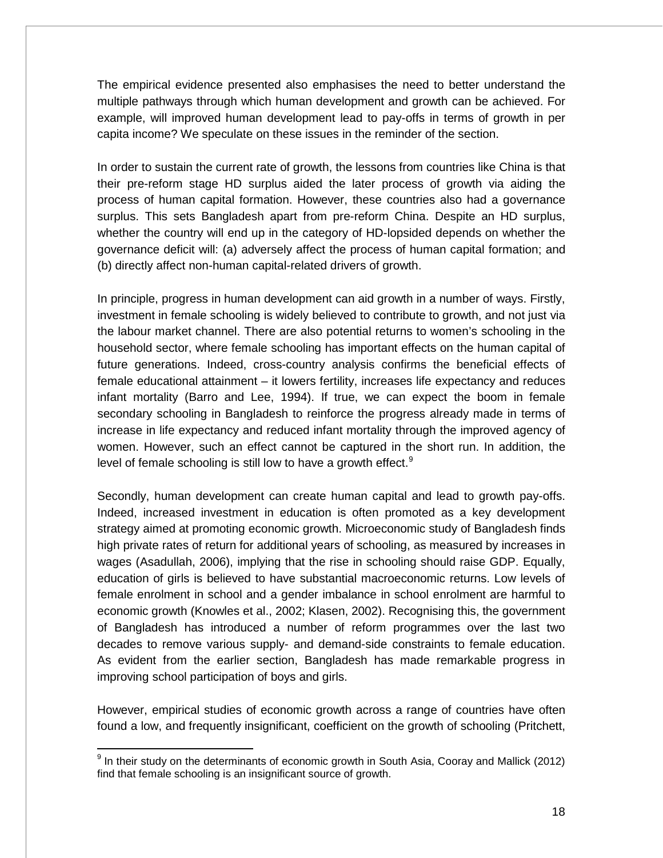The empirical evidence presented also emphasises the need to better understand the multiple pathways through which human development and growth can be achieved. For example, will improved human development lead to pay-offs in terms of growth in per capita income? We speculate on these issues in the reminder of the section.

In order to sustain the current rate of growth, the lessons from countries like China is that their pre-reform stage HD surplus aided the later process of growth via aiding the process of human capital formation. However, these countries also had a governance surplus. This sets Bangladesh apart from pre-reform China. Despite an HD surplus, whether the country will end up in the category of HD-lopsided depends on whether the governance deficit will: (a) adversely affect the process of human capital formation; and (b) directly affect non-human capital-related drivers of growth.

In principle, progress in human development can aid growth in a number of ways. Firstly, investment in female schooling is widely believed to contribute to growth, and not just via the labour market channel. There are also potential returns to women's schooling in the household sector, where female schooling has important effects on the human capital of future generations. Indeed, cross-country analysis confirms the beneficial effects of female educational attainment – it lowers fertility, increases life expectancy and reduces infant mortality (Barro and Lee, 1994). If true, we can expect the boom in female secondary schooling in Bangladesh to reinforce the progress already made in terms of increase in life expectancy and reduced infant mortality through the improved agency of women. However, such an effect cannot be captured in the short run. In addition, the level of female schooling is still low to have a growth effect.<sup>[9](#page-17-0)</sup>

Secondly, human development can create human capital and lead to growth pay-offs. Indeed, increased investment in education is often promoted as a key development strategy aimed at promoting economic growth. Microeconomic study of Bangladesh finds high private rates of return for additional years of schooling, as measured by increases in wages (Asadullah, 2006), implying that the rise in schooling should raise GDP. Equally, education of girls is believed to have substantial macroeconomic returns. Low levels of female enrolment in school and a gender imbalance in school enrolment are harmful to economic growth (Knowles et al., 2002; Klasen, 2002). Recognising this, the government of Bangladesh has introduced a number of reform programmes over the last two decades to remove various supply- and demand-side constraints to female education. As evident from the earlier section, Bangladesh has made remarkable progress in improving school participation of boys and girls.

However, empirical studies of economic growth across a range of countries have often found a low, and frequently insignificant, coefficient on the growth of schooling (Pritchett,

 $\overline{\phantom{a}}$ 

<span id="page-17-0"></span> $9$  In their study on the determinants of economic growth in South Asia, Cooray and Mallick (2012) find that female schooling is an insignificant source of growth.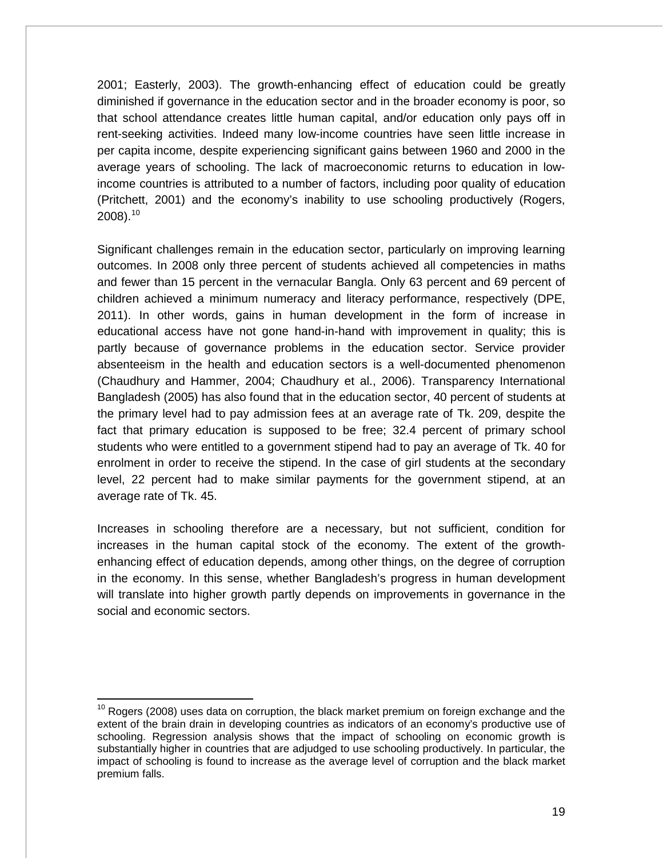2001; Easterly, 2003). The growth-enhancing effect of education could be greatly diminished if governance in the education sector and in the broader economy is poor, so that school attendance creates little human capital, and/or education only pays off in rent-seeking activities. Indeed many low-income countries have seen little increase in per capita income, despite experiencing significant gains between 1960 and 2000 in the average years of schooling. The lack of macroeconomic returns to education in lowincome countries is attributed to a number of factors, including poor quality of education (Pritchett, 2001) and the economy's inability to use schooling productively (Rogers,  $2008$ ).<sup>[10](#page-18-0)</sup>

Significant challenges remain in the education sector, particularly on improving learning outcomes. In 2008 only three percent of students achieved all competencies in maths and fewer than 15 percent in the vernacular Bangla. Only 63 percent and 69 percent of children achieved a minimum numeracy and literacy performance, respectively (DPE, 2011). In other words, gains in human development in the form of increase in educational access have not gone hand-in-hand with improvement in quality; this is partly because of governance problems in the education sector. Service provider absenteeism in the health and education sectors is a well-documented phenomenon (Chaudhury and Hammer, 2004; Chaudhury et al., 2006). Transparency International Bangladesh (2005) has also found that in the education sector, 40 percent of students at the primary level had to pay admission fees at an average rate of Tk. 209, despite the fact that primary education is supposed to be free; 32.4 percent of primary school students who were entitled to a government stipend had to pay an average of Tk. 40 for enrolment in order to receive the stipend. In the case of girl students at the secondary level, 22 percent had to make similar payments for the government stipend, at an average rate of Tk. 45.

Increases in schooling therefore are a necessary, but not sufficient, condition for increases in the human capital stock of the economy. The extent of the growthenhancing effect of education depends, among other things, on the degree of corruption in the economy. In this sense, whether Bangladesh's progress in human development will translate into higher growth partly depends on improvements in governance in the social and economic sectors.

 $\overline{\phantom{a}}$ 

<span id="page-18-0"></span> $10$  Rogers (2008) uses data on corruption, the black market premium on foreign exchange and the extent of the brain drain in developing countries as indicators of an economy's productive use of schooling. Regression analysis shows that the impact of schooling on economic growth is substantially higher in countries that are adjudged to use schooling productively. In particular, the impact of schooling is found to increase as the average level of corruption and the black market premium falls.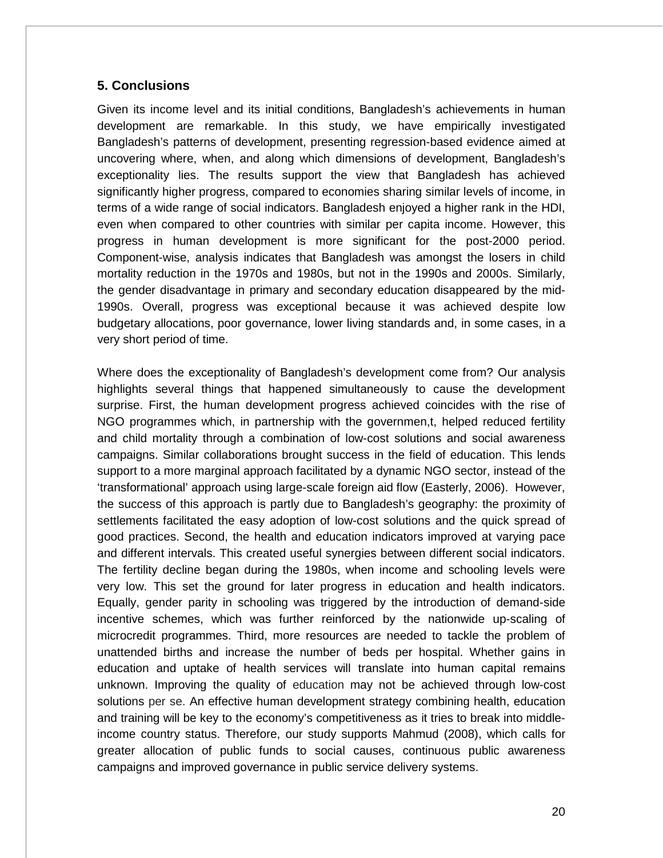## **5. Conclusions**

Given its income level and its initial conditions, Bangladesh's achievements in human development are remarkable. In this study, we have empirically investigated Bangladesh's patterns of development, presenting regression-based evidence aimed at uncovering where, when, and along which dimensions of development, Bangladesh's exceptionality lies. The results support the view that Bangladesh has achieved significantly higher progress, compared to economies sharing similar levels of income, in terms of a wide range of social indicators. Bangladesh enjoyed a higher rank in the HDI, even when compared to other countries with similar per capita income. However, this progress in human development is more significant for the post-2000 period. Component-wise, analysis indicates that Bangladesh was amongst the losers in child mortality reduction in the 1970s and 1980s, but not in the 1990s and 2000s. Similarly, the gender disadvantage in primary and secondary education disappeared by the mid-1990s. Overall, progress was exceptional because it was achieved despite low budgetary allocations, poor governance, lower living standards and, in some cases, in a very short period of time.

Where does the exceptionality of Bangladesh's development come from? Our analysis highlights several things that happened simultaneously to cause the development surprise. First, the human development progress achieved coincides with the rise of NGO programmes which, in partnership with the governmen,t, helped reduced fertility and child mortality through a combination of low-cost solutions and social awareness campaigns. Similar collaborations brought success in the field of education. This lends support to a more marginal approach facilitated by a dynamic NGO sector, instead of the 'transformational' approach using large-scale foreign aid flow (Easterly, 2006). However, the success of this approach is partly due to Bangladesh's geography: the proximity of settlements facilitated the easy adoption of low-cost solutions and the quick spread of good practices. Second, the health and education indicators improved at varying pace and different intervals. This created useful synergies between different social indicators. The fertility decline began during the 1980s, when income and schooling levels were very low. This set the ground for later progress in education and health indicators. Equally, gender parity in schooling was triggered by the introduction of demand-side incentive schemes, which was further reinforced by the nationwide up-scaling of microcredit programmes. Third, more resources are needed to tackle the problem of unattended births and increase the number of beds per hospital. Whether gains in education and uptake of health services will translate into human capital remains unknown. Improving the quality of education may not be achieved through low-cost solutions per se. An effective human development strategy combining health, education and training will be key to the economy's competitiveness as it tries to break into middleincome country status. Therefore, our study supports Mahmud (2008), which calls for greater allocation of public funds to social causes, continuous public awareness campaigns and improved governance in public service delivery systems.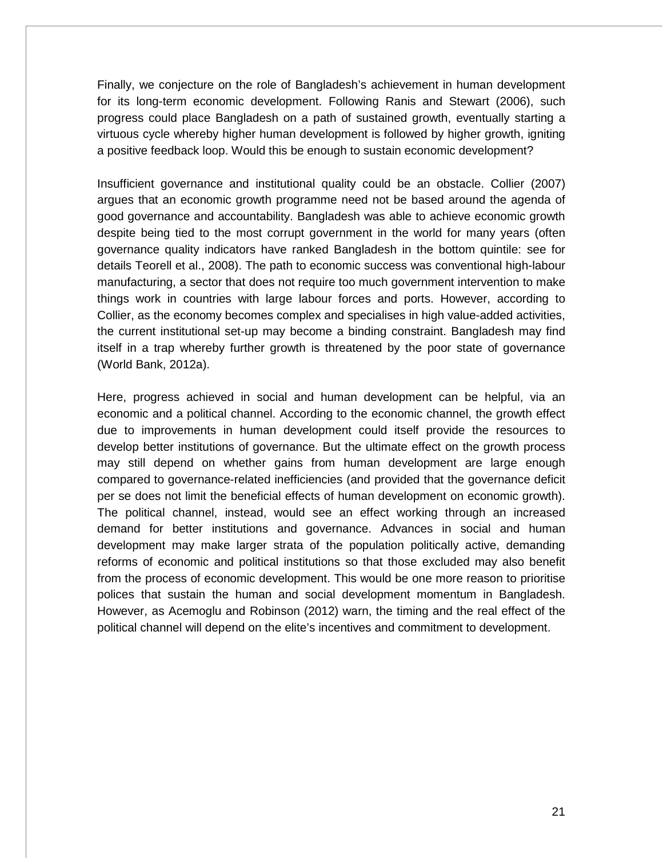Finally, we conjecture on the role of Bangladesh's achievement in human development for its long-term economic development. Following Ranis and Stewart (2006), such progress could place Bangladesh on a path of sustained growth, eventually starting a virtuous cycle whereby higher human development is followed by higher growth, igniting a positive feedback loop. Would this be enough to sustain economic development?

Insufficient governance and institutional quality could be an obstacle. Collier (2007) argues that an economic growth programme need not be based around the agenda of good governance and accountability. Bangladesh was able to achieve economic growth despite being tied to the most corrupt government in the world for many years (often governance quality indicators have ranked Bangladesh in the bottom quintile: see for details Teorell et al., 2008). The path to economic success was conventional high-labour manufacturing, a sector that does not require too much government intervention to make things work in countries with large labour forces and ports. However, according to Collier, as the economy becomes complex and specialises in high value-added activities, the current institutional set-up may become a binding constraint. Bangladesh may find itself in a trap whereby further growth is threatened by the poor state of governance (World Bank, 2012a).

Here, progress achieved in social and human development can be helpful, via an economic and a political channel. According to the economic channel, the growth effect due to improvements in human development could itself provide the resources to develop better institutions of governance. But the ultimate effect on the growth process may still depend on whether gains from human development are large enough compared to governance-related inefficiencies (and provided that the governance deficit per se does not limit the beneficial effects of human development on economic growth). The political channel, instead, would see an effect working through an increased demand for better institutions and governance. Advances in social and human development may make larger strata of the population politically active, demanding reforms of economic and political institutions so that those excluded may also benefit from the process of economic development. This would be one more reason to prioritise polices that sustain the human and social development momentum in Bangladesh. However, as Acemoglu and Robinson (2012) warn, the timing and the real effect of the political channel will depend on the elite's incentives and commitment to development.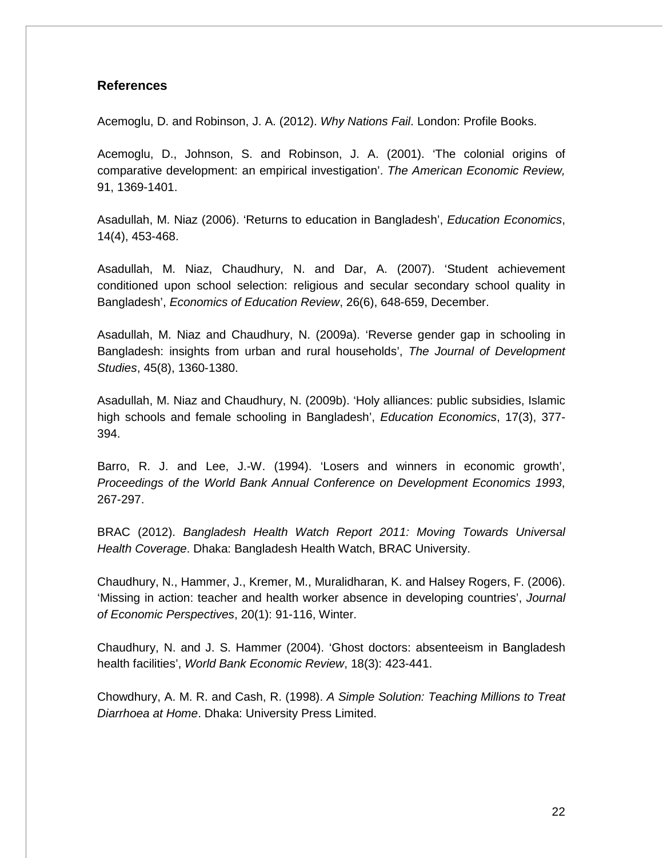#### **References**

Acemoglu, D. and Robinson, J. A. (2012). *Why Nations Fail*. London: Profile Books.

Acemoglu, D., Johnson, S. and Robinson, J. A. (2001). 'The colonial origins of comparative development: an empirical investigation'. *The American Economic Review,* 91, 1369-1401.

Asadullah, M. Niaz (2006). 'Returns to education in Bangladesh', *Education Economics*, 14(4), 453-468.

Asadullah, M. Niaz, Chaudhury, N. and Dar, A. (2007). 'Student achievement conditioned upon school selection: religious and secular secondary school quality in Bangladesh', *Economics of Education Review*, 26(6), 648-659, December.

Asadullah, M. Niaz and Chaudhury, N. (2009a). 'Reverse gender gap in schooling in Bangladesh: insights from urban and rural households', *The Journal of Development Studies*, 45(8), 1360-1380.

Asadullah, M. Niaz and Chaudhury, N. (2009b). 'Holy alliances: public subsidies, Islamic high schools and female schooling in Bangladesh', *Education Economics*, 17(3), 377- 394.

Barro, R. J. and Lee, J.-W. (1994). 'Losers and winners in economic growth', *Proceedings of the World Bank Annual Conference on Development Economics 1993*, 267-297.

BRAC (2012). *Bangladesh Health Watch Report 2011: Moving Towards Universal Health Coverage*. Dhaka: Bangladesh Health Watch, BRAC University.

Chaudhury, N., Hammer, J., Kremer, M., Muralidharan, K. and Halsey Rogers, F. (2006). 'Missing in action: teacher and health worker absence in developing countries', *Journal of Economic Perspectives*, 20(1): 91-116, Winter.

Chaudhury, N. and J. S. Hammer (2004). 'Ghost doctors: absenteeism in Bangladesh health facilities', *World Bank Economic Review*, 18(3): 423-441.

Chowdhury, A. M. R. and Cash, R. (1998). *A Simple Solution: Teaching Millions to Treat Diarrhoea at Home*. Dhaka: University Press Limited.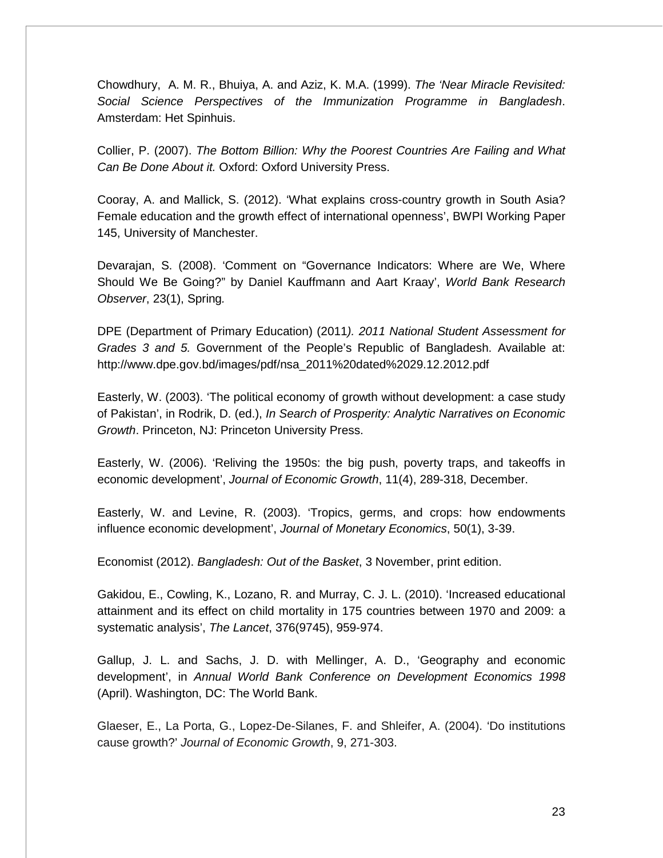Chowdhury, A. M. R., Bhuiya, A. and Aziz, K. M.A. (1999). *The 'Near Miracle Revisited: Social Science Perspectives of the Immunization Programme in Bangladesh*. Amsterdam: Het Spinhuis.

Collier, P. (2007). *The Bottom Billion: Why the Poorest Countries Are Failing and What Can Be Done About it.* Oxford: Oxford University Press.

Cooray, A. and Mallick, S. (2012). 'What explains cross-country growth in South Asia? Female education and the growth effect of international openness', BWPI Working Paper 145, University of Manchester.

Devarajan, S. (2008). 'Comment on "Governance Indicators: Where are We, Where Should We Be Going?" by Daniel Kauffmann and Aart Kraay', *World Bank Research Observer*, 23(1), Spring*.* 

DPE (Department of Primary Education) (2011*). 2011 National Student Assessment for Grades 3 and 5.* Government of the People's Republic of Bangladesh. Available at: http://www.dpe.gov.bd/images/pdf/nsa\_2011%20dated%2029.12.2012.pdf

Easterly, W. (2003). 'The political economy of growth without development: a case study of Pakistan', in Rodrik, D. (ed.), *In Search of Prosperity: Analytic Narratives on Economic Growth*. Princeton, NJ: Princeton University Press.

Easterly, W. (2006). 'Reliving the 1950s: the big push, poverty traps, and takeoffs in economic development', *Journal of Economic Growth*, 11(4), 289-318, December.

Easterly, W. and Levine, R. (2003). 'Tropics, germs, and crops: how endowments influence economic development', *Journal of Monetary Economics*, 50(1), 3-39.

Economist (2012). *Bangladesh: Out of the Basket*, 3 November, print edition.

Gakidou, E., Cowling, K., Lozano, R. and Murray, C. J. L. (2010). 'Increased educational attainment and its effect on child mortality in 175 countries between 1970 and 2009: a systematic analysis', *The Lancet*, 376(9745), 959-974.

Gallup, J. L. and Sachs, J. D. with Mellinger, A. D., 'Geography and economic development', in *Annual World Bank Conference on Development Economics 1998*  (April). Washington, DC: The World Bank.

Glaeser, E., La Porta, G., Lopez-De-Silanes, F. and Shleifer, A. (2004). 'Do institutions cause growth?' *Journal of Economic Growth*, 9, 271-303.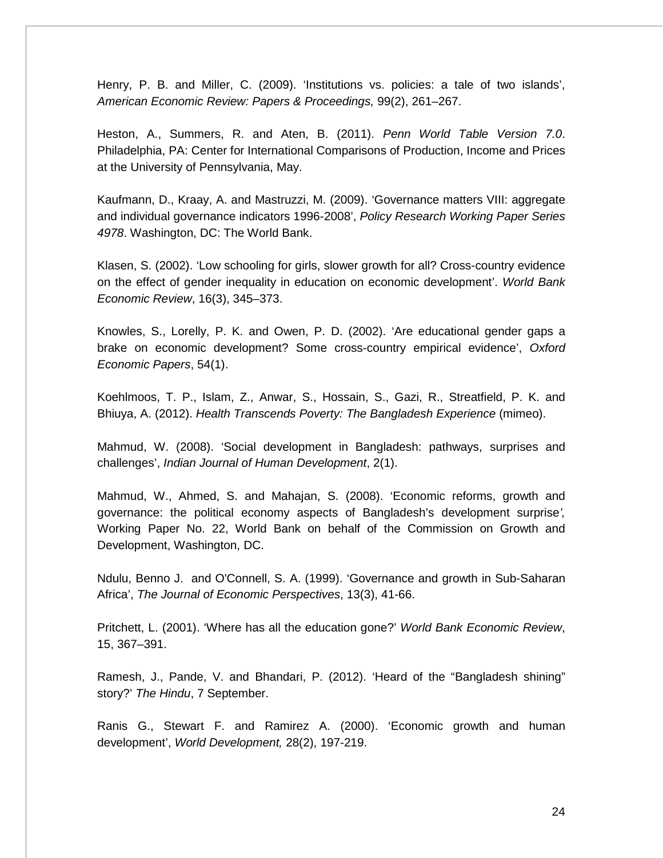Henry, P. B. and Miller, C. (2009). 'Institutions vs. policies: a tale of two islands', *American Economic Review: Papers & Proceedings,* 99(2), 261–267.

Heston, A., Summers, R. and Aten, B. (2011). *Penn World Table Version 7.0*. Philadelphia, PA: Center for International Comparisons of Production, Income and Prices at the University of Pennsylvania, May.

Kaufmann, D., Kraay, A. and Mastruzzi, M. (2009). 'Governance matters VIII: aggregate and individual governance indicators 1996-2008', *Policy Research Working Paper Series 4978*. Washington, DC: The World Bank.

Klasen, S. (2002). 'Low schooling for girls, slower growth for all? Cross-country evidence on the effect of gender inequality in education on economic development'. *World Bank Economic Review*, 16(3), 345–373.

Knowles, S., Lorelly, P. K. and Owen, P. D. (2002). 'Are educational gender gaps a brake on economic development? Some cross-country empirical evidence', *Oxford Economic Papers*, 54(1).

Koehlmoos, T. P., Islam, Z., Anwar, S., Hossain, S., Gazi, R., Streatfield, P. K. and Bhiuya, A. (2012). *Health Transcends Poverty: The Bangladesh Experience* (mimeo).

Mahmud, W. (2008). 'Social development in Bangladesh: pathways, surprises and challenges', *Indian Journal of Human Development*, 2(1).

Mahmud, W., Ahmed, S. and Mahajan, S. (2008). 'Economic reforms, growth and governance: the political economy aspects of Bangladesh's development surprise*',*  Working Paper No. 22, World Bank on behalf of the Commission on Growth and Development, Washington, DC.

Ndulu, Benno J. and O'Connell, S. A. (1999). 'Governance and growth in Sub-Saharan Africa', *The Journal of Economic Perspectives*, 13(3), 41-66.

Pritchett, L. (2001). 'Where has all the education gone?' *World Bank Economic Review*, 15, 367–391.

Ramesh, J., Pande, V. and Bhandari, P. (2012). 'Heard of the "Bangladesh shining" story?' *The Hindu*, 7 September.

Ranis G., Stewart F. and Ramirez A. (2000). 'Economic growth and human development', *World Development,* 28(2), 197-219.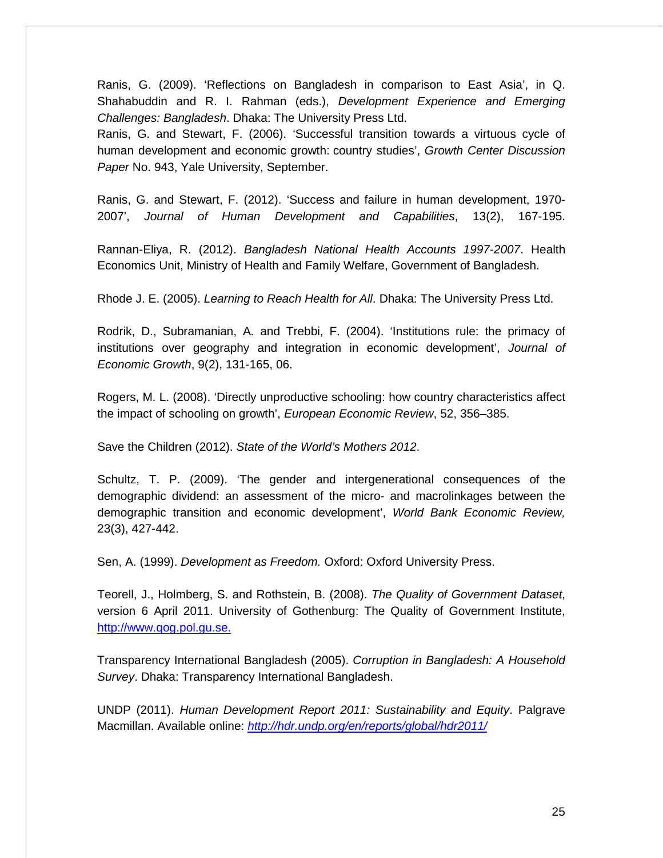Ranis, G. (2009). 'Reflections on Bangladesh in comparison to East Asia', in Q. Shahabuddin and R. I. Rahman (eds.), *Development Experience and Emerging Challenges: Bangladesh*. Dhaka: The University Press Ltd.

Ranis, G. and Stewart, F. (2006). 'Successful transition towards a virtuous cycle of human development and economic growth: country studies', *Growth Center Discussion Paper* No. 943, Yale University, September.

Ranis, G. and Stewart, F. (2012). 'Success and failure in human development, 1970- 2007', *Journal of Human Development and Capabilities*, 13(2), 167-195.

Rannan-Eliya, R. (2012). *Bangladesh National Health Accounts 1997-2007*. Health Economics Unit, Ministry of Health and Family Welfare, Government of Bangladesh.

Rhode J. E. (2005). *Learning to Reach Health for All*. Dhaka: The University Press Ltd.

Rodrik, D., Subramanian, A. and Trebbi, F. (2004). 'Institutions rule: the primacy of institutions over geography and integration in economic development', *Journal of Economic Growth*, 9(2), 131-165, 06.

Rogers, M. L. (2008). 'Directly unproductive schooling: how country characteristics affect the impact of schooling on growth', *European Economic Review*, 52, 356–385.

Save the Children (2012). *State of the World's Mothers 2012*.

Schultz, T. P. (2009). 'The gender and intergenerational consequences of the demographic dividend: an assessment of the micro- and macrolinkages between the demographic transition and economic development', *World Bank Economic Review,*  23(3), 427-442.

Sen, A. (1999). *Development as Freedom.* Oxford: Oxford University Press.

Teorell, J., Holmberg, S. and Rothstein, B. (2008). *The Quality of Government Dataset*, version 6 April 2011. University of Gothenburg: The Quality of Government Institute, [http://www.qog.pol.gu.se.](http://www.qog.pol.gu.se/)

Transparency International Bangladesh (2005). *Corruption in Bangladesh: A Household Survey*. Dhaka: Transparency International Bangladesh.

UNDP (2011). *Human Development Report 2011: Sustainability and Equity*. Palgrave Macmillan. Available online: *<http://hdr.undp.org/en/reports/global/hdr2011/>*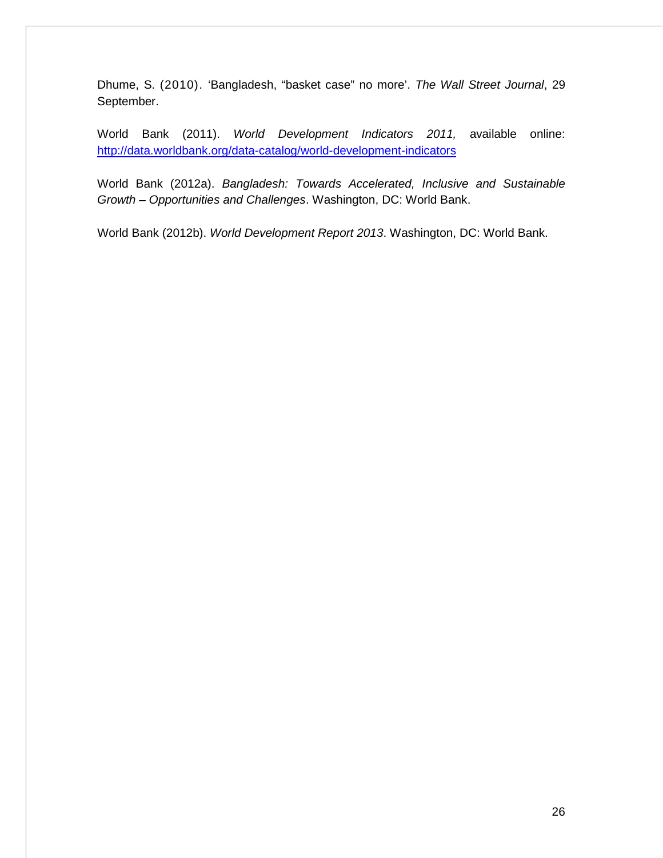Dhume, S. [\(2010\).](http://online.wsj.com/search/term.html?KEYWORDS=SADANAND+DHUME&bylinesearch=true) 'Bangladesh, "basket case" no more'. *The Wall Street Journal*, 29 September.

World Bank (2011). *World Development Indicators 2011,* available online: <http://data.worldbank.org/data-catalog/world-development-indicators>

World Bank (2012a). *Bangladesh: Towards Accelerated, Inclusive and Sustainable Growth – Opportunities and Challenges*. Washington, DC: World Bank.

World Bank (2012b). *World Development Report 2013*. Washington, DC: World Bank.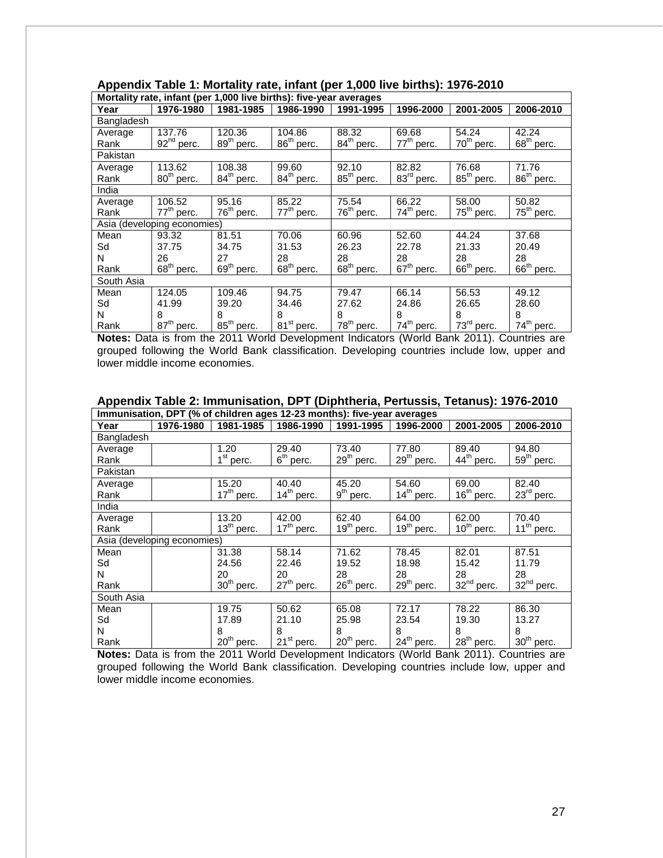| Mortality rate, infant (per 1,000 live births): five-year averages |                             |                        |                        |                        |                        |                        |                        |  |  |  |
|--------------------------------------------------------------------|-----------------------------|------------------------|------------------------|------------------------|------------------------|------------------------|------------------------|--|--|--|
| Year                                                               | 1976-1980                   | 1981-1985              | 1986-1990              | 1991-1995              | 1996-2000              | 2001-2005              | 2006-2010              |  |  |  |
| Bangladesh                                                         |                             |                        |                        |                        |                        |                        |                        |  |  |  |
| Average                                                            | 137.76                      | 120.36                 | 104.86                 | 88.32                  | 69.68                  | 54.24                  | 42.24                  |  |  |  |
| Rank                                                               | $92nd$ perc.                | 89 <sup>th</sup> perc. | $86^{\text{th}}$ perc. | 84 <sup>th</sup> perc. | $77th$ perc.           | $70th$ perc.           | $68th$ perc.           |  |  |  |
| Pakistan                                                           |                             |                        |                        |                        |                        |                        |                        |  |  |  |
| Average                                                            | 113.62                      | 108.38                 | 99.60                  | 92.10                  | 82.82                  | 76.68                  | 71.76                  |  |  |  |
| Rank                                                               | $80th$ perc.                | 84 <sup>th</sup> perc. | $84th$ perc.           | 85 <sup>th</sup> perc. | 83 <sup>rd</sup> perc. | 85 <sup>th</sup> perc. | 86 <sup>th</sup> perc. |  |  |  |
| India                                                              |                             |                        |                        |                        |                        |                        |                        |  |  |  |
| Average                                                            | 106.52                      | 95.16                  | 85.22                  | 75.54                  | 66.22                  | 58.00                  | 50.82                  |  |  |  |
| Rank                                                               | $77th$ perc.                | $76th$ perc.           | $77th$ perc.           | 76 <sup>th</sup> perc. | $74th$ perc.           | $75th$ perc.           | $75th$ perc.           |  |  |  |
|                                                                    | Asia (developing economies) |                        |                        |                        |                        |                        |                        |  |  |  |
| Mean                                                               | 93.32                       | 81.51                  | 70.06                  | 60.96                  | 52.60                  | 44.24                  | 37.68                  |  |  |  |
| Sd                                                                 | 37.75                       | 34.75                  | 31.53                  | 26.23                  | 22.78                  | 21.33                  | 20.49                  |  |  |  |
| N                                                                  | 26                          | 27                     | 28                     | 28                     | 28                     | 28                     | 28                     |  |  |  |
| Rank                                                               | $68th$ perc.                | 69 <sup>th</sup> perc. | $68th$ perc.           | $68th$ perc.           | $67th$ perc.           | $66th$ perc.           | $66th$ perc.           |  |  |  |
| South Asia                                                         |                             |                        |                        |                        |                        |                        |                        |  |  |  |
| Mean                                                               | 124.05                      | 109.46                 | 94.75                  | 79.47                  | 66.14                  | 56.53                  | 49.12                  |  |  |  |
| Sd                                                                 | 41.99                       | 39.20                  | 34.46                  | 27.62                  | 24.86                  | 26.65                  | 28.60                  |  |  |  |
| N                                                                  | 8                           | 8                      | 8                      | 8                      | 8                      | 8                      | 8                      |  |  |  |
| Rank                                                               | 87 <sup>th</sup> perc.      | 85 <sup>th</sup> perc. | 81 <sup>st</sup> perc. | $78th$ perc.           | $74th$ perc.           | 73 <sup>rd</sup> perc. | 74 <sup>th</sup> perc. |  |  |  |

# **Appendix Table 1: Mortality rate, infant (per 1,000 live births): 1976-2010**

**Notes:** Data is from the 2011 World Development Indicators (World Bank 2011). Countries are grouped following the World Bank classification. Developing countries include low, upper and lower middle income economies.

#### **Appendix Table 2: Immunisation, DPT (Diphtheria, Pertussis, Tetanus): 1976-2010**

| Immunisation, DPT (% of children ages 12-23 months): five-year averages |                             |                       |                        |              |                        |                        |              |  |  |
|-------------------------------------------------------------------------|-----------------------------|-----------------------|------------------------|--------------|------------------------|------------------------|--------------|--|--|
| Year                                                                    | 1976-1980                   | 1981-1985             | 1986-1990              | 1991-1995    | 1996-2000              | 2001-2005              | 2006-2010    |  |  |
| Bangladesh                                                              |                             |                       |                        |              |                        |                        |              |  |  |
| Average                                                                 |                             | 1.20                  | 29.40                  | 73.40        | 77.80                  | 89.40                  | 94.80        |  |  |
| Rank                                                                    |                             | 1 <sup>st</sup> perc. | $6th$ perc.            | $29th$ perc. | $29th$ perc.           | 44 <sup>th</sup> perc. | $59th$ perc. |  |  |
| Pakistan                                                                |                             |                       |                        |              |                        |                        |              |  |  |
| Average                                                                 |                             | 15.20                 | 40.40                  | 45.20        | 54.60                  | 69.00                  | 82.40        |  |  |
| Rank                                                                    |                             | $17th$ perc.          | $14^{\text{th}}$ perc. | $9th$ perc.  | $14^{\text{th}}$ perc. | $16th$ perc.           | $23rd$ perc. |  |  |
| India                                                                   |                             |                       |                        |              |                        |                        |              |  |  |
| Average                                                                 |                             | 13.20                 | 42.00                  | 62.40        | 64.00                  | 62.00                  | 70.40        |  |  |
| Rank                                                                    |                             | $13th$ perc.          | $17th$ perc.           | $19th$ perc. | 19 <sup>th</sup> perc. | $10th$ perc.           | $11th$ perc. |  |  |
|                                                                         | Asia (developing economies) |                       |                        |              |                        |                        |              |  |  |
| Mean                                                                    |                             | 31.38                 | 58.14                  | 71.62        | 78.45                  | 82.01                  | 87.51        |  |  |
| Sd                                                                      |                             | 24.56                 | 22.46                  | 19.52        | 18.98                  | 15.42                  | 11.79        |  |  |
| N                                                                       |                             | 20                    | 20                     | 28           | 28                     | 28                     | 28           |  |  |
| Rank                                                                    |                             | $30th$ perc.          | $27th$ perc.           | $26th$ perc. | $29th$ perc.           | $32nd$ perc.           | $32nd$ perc. |  |  |
| South Asia                                                              |                             |                       |                        |              |                        |                        |              |  |  |
| Mean                                                                    |                             | 19.75                 | 50.62                  | 65.08        | 72.17                  | 78.22                  | 86.30        |  |  |
| Sd                                                                      |                             | 17.89                 | 21.10                  | 25.98        | 23.54                  | 19.30                  | 13.27        |  |  |
| N                                                                       |                             | 8                     | 8                      | 8            | 8                      | 8                      | 8            |  |  |
| Rank                                                                    |                             | $20th$ perc.          | 21 <sup>st</sup> perc. | $20th$ perc. | 24 <sup>th</sup> perc. | 28 <sup>th</sup> perc. | $30th$ perc. |  |  |

**Notes:** Data is from the 2011 World Development Indicators (World Bank 2011). Countries are grouped following the World Bank classification. Developing countries include low, upper and lower middle income economies.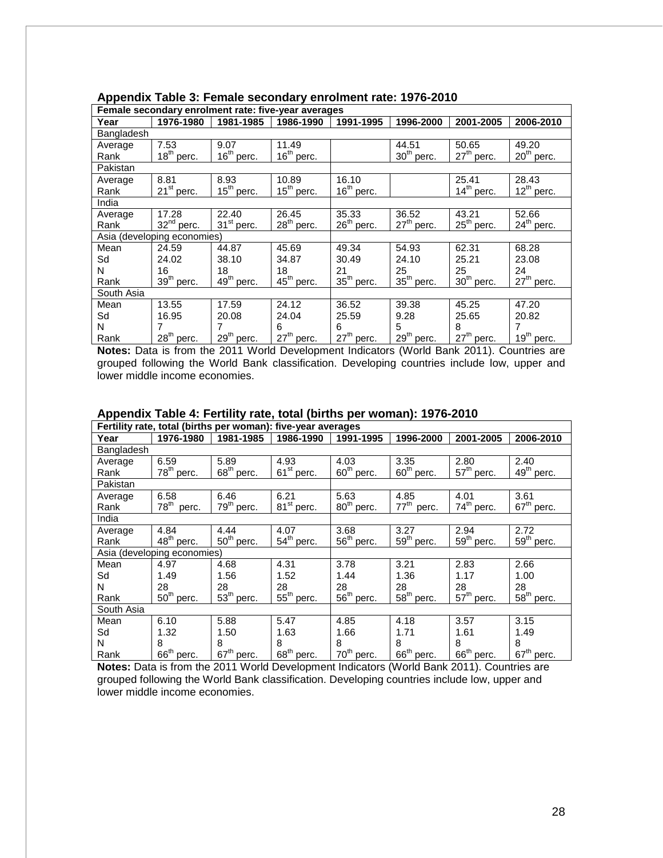|            | Female secondary enrolment rate: five-year averages |                        |                        |                        |                        |              |                        |  |  |  |
|------------|-----------------------------------------------------|------------------------|------------------------|------------------------|------------------------|--------------|------------------------|--|--|--|
| Year       | 1976-1980                                           | 1981-1985              | 1986-1990              | 1991-1995              | 1996-2000              | 2001-2005    | 2006-2010              |  |  |  |
| Bangladesh |                                                     |                        |                        |                        |                        |              |                        |  |  |  |
| Average    | 7.53                                                | 9.07                   | 11.49                  |                        | 44.51                  | 50.65        | 49.20                  |  |  |  |
| Rank       | $18th$ perc.                                        | 16 <sup>th</sup> perc. | $16th$ perc.           |                        | 30 <sup>th</sup> perc. | $27th$ perc. | $20th$ perc.           |  |  |  |
| Pakistan   |                                                     |                        |                        |                        |                        |              |                        |  |  |  |
| Average    | 8.81                                                | 8.93                   | 10.89                  | 16.10                  |                        | 25.41        | 28.43                  |  |  |  |
| Rank       | $21st$ perc.                                        | $15th$ perc.           | $15th$ perc.           | $16th$ perc.           |                        | $14th$ perc. | $12^{th}$ perc.        |  |  |  |
| India      |                                                     |                        |                        |                        |                        |              |                        |  |  |  |
| Average    | 17.28                                               | 22.40                  | 26.45                  | 35.33                  | 36.52                  | 43.21        | 52.66                  |  |  |  |
| Rank       | $32nd$ perc.                                        | $31st$ perc.           | $28th$ perc.           | $26th$ perc.           | $27th$ perc.           | $25th$ perc. | 24 <sup>th</sup> perc. |  |  |  |
|            | Asia (developing economies)                         |                        |                        |                        |                        |              |                        |  |  |  |
| Mean       | 24.59                                               | 44.87                  | 45.69                  | 49.34                  | 54.93                  | 62.31        | 68.28                  |  |  |  |
| Sd         | 24.02                                               | 38.10                  | 34.87                  | 30.49                  | 24.10                  | 25.21        | 23.08                  |  |  |  |
| N          | 16                                                  | 18                     | 18                     | 21                     | 25                     | 25           | 24                     |  |  |  |
| Rank       | 39 <sup>th</sup> perc.                              | 49 <sup>th</sup> perc. | 45 <sup>th</sup> perc. | 35 <sup>th</sup> perc. | 35 <sup>th</sup> perc. | $30th$ perc. | $27th$ perc.           |  |  |  |
| South Asia |                                                     |                        |                        |                        |                        |              |                        |  |  |  |
| Mean       | 13.55                                               | 17.59                  | 24.12                  | 36.52                  | 39.38                  | 45.25        | 47.20                  |  |  |  |
| Sd         | 16.95                                               | 20.08                  | 24.04                  | 25.59                  | 9.28                   | 25.65        | 20.82                  |  |  |  |
| N          |                                                     | 7                      | 6                      | 6                      | 5                      | 8            | 7                      |  |  |  |
| Rank       | 28 <sup>th</sup> perc.                              | $29th$ perc.           | $27th$ perc.           | $27th$ perc.           | 29 <sup>th</sup> perc. | $27th$ perc. | $19th$ perc.           |  |  |  |

## **Appendix Table 3: Female secondary enrolment rate: 1976-2010**

**Notes:** Data is from the 2011 World Development Indicators (World Bank 2011). Countries are grouped following the World Bank classification. Developing countries include low, upper and lower middle income economies.

|            | Fertility rate, total (births per woman): five-year averages |                        |                        |                        |                           |                        |                        |  |  |  |  |
|------------|--------------------------------------------------------------|------------------------|------------------------|------------------------|---------------------------|------------------------|------------------------|--|--|--|--|
| Year       | 1976-1980                                                    | 1981-1985              | 1986-1990              | 1991-1995              | 1996-2000                 | 2001-2005              | 2006-2010              |  |  |  |  |
| Bangladesh |                                                              |                        |                        |                        |                           |                        |                        |  |  |  |  |
| Average    | 6.59                                                         | 5.89                   | 4.93                   | 4.03                   | 3.35                      | 2.80                   | 2.40                   |  |  |  |  |
| Rank       | 78 <sup>th</sup><br>perc.                                    | $68th$ perc.           | $61st$ perc.           | $60th$ perc.           | $60th$ perc.              | $57th$ perc.           | 49 <sup>th</sup> perc. |  |  |  |  |
| Pakistan   |                                                              |                        |                        |                        |                           |                        |                        |  |  |  |  |
| Average    | 6.58                                                         | 6.46                   | 6.21                   | 5.63                   | 4.85                      | 4.01                   | 3.61                   |  |  |  |  |
| Rank       | 78 <sup>th</sup><br>perc.                                    | 79 <sup>th</sup> perc. | 81 <sup>st</sup> perc. | 80 <sup>th</sup> perc. | $77^{\text{th}}$<br>perc. | 74 <sup>th</sup> perc. | $67th$ perc.           |  |  |  |  |
| India      |                                                              |                        |                        |                        |                           |                        |                        |  |  |  |  |
| Average    | 4.84                                                         | 4.44                   | 4.07                   | 3.68                   | 3.27                      | 2.94                   | 2.72                   |  |  |  |  |
| Rank       | 48 <sup>th</sup> perc.                                       | $50th$ perc.           | $54^{\text{th}}$ perc. | $56th$ perc.           | $59th$ perc.              | $59th$ perc.           | $59th$ perc.           |  |  |  |  |
|            | Asia (developing economies)                                  |                        |                        |                        |                           |                        |                        |  |  |  |  |
| Mean       | 4.97                                                         | 4.68                   | 4.31                   | 3.78                   | 3.21                      | 2.83                   | 2.66                   |  |  |  |  |
| Sd         | 1.49                                                         | 1.56                   | 1.52                   | 1.44                   | 1.36                      | 1.17                   | 1.00                   |  |  |  |  |
| N          | 28                                                           | 28                     | 28                     | 28                     | 28                        | 28                     | 28                     |  |  |  |  |
| Rank       | $50th$ perc.                                                 | $53th$ perc.           | $55th$ perc.           | $56th$ perc.           | $58th$ perc.              | $57th$ perc.           | $58th$ perc.           |  |  |  |  |
| South Asia |                                                              |                        |                        |                        |                           |                        |                        |  |  |  |  |
| Mean       | 6.10                                                         | 5.88                   | 5.47                   | 4.85                   | 4.18                      | 3.57                   | 3.15                   |  |  |  |  |
| Sd         | 1.32                                                         | 1.50                   | 1.63                   | 1.66                   | 1.71                      | 1.61                   | 1.49                   |  |  |  |  |
| N          | 8                                                            | 8                      | 8                      | 8                      | 8                         | 8                      | 8                      |  |  |  |  |
| Rank       | 66 <sup>th</sup> perc.                                       | $67th$ perc.           | $68th$ perc.           | 70 <sup>th</sup> perc. | 66 <sup>th</sup> perc.    | $66th$ perc.           | $67th$ perc.           |  |  |  |  |

# **Appendix Table 4: Fertility rate, total (births per woman): 1976-2010**

**Notes:** Data is from the 2011 World Development Indicators (World Bank 2011). Countries are grouped following the World Bank classification. Developing countries include low, upper and lower middle income economies.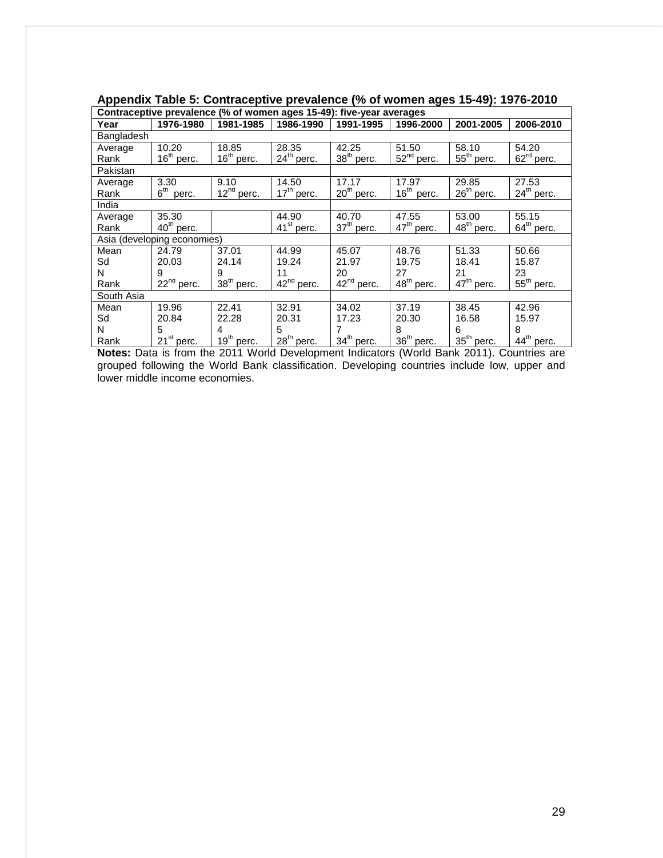| Contraceptive prevalence (% of women ages 15-49): five-year averages |                             |                        |                        |                        |                        |                        |                        |  |  |  |
|----------------------------------------------------------------------|-----------------------------|------------------------|------------------------|------------------------|------------------------|------------------------|------------------------|--|--|--|
| Year                                                                 | 1976-1980                   | 1981-1985              | 1986-1990              | 1991-1995              | 1996-2000              | 2001-2005              | 2006-2010              |  |  |  |
| Bangladesh                                                           |                             |                        |                        |                        |                        |                        |                        |  |  |  |
| Average                                                              | 10.20                       | 18.85                  | 28.35                  | 42.25                  | 51.50                  | 58.10                  | 54.20                  |  |  |  |
| Rank                                                                 | $16th$ perc.                | 16 <sup>th</sup> perc. | $24th$ perc.           | 38 <sup>th</sup> perc. | $52nd$ perc.           | $55th$ perc.           | $62rd$ perc.           |  |  |  |
| Pakistan                                                             |                             |                        |                        |                        |                        |                        |                        |  |  |  |
| Average                                                              | 3.30                        | 9.10                   | 14.50                  | 17.17                  | 17.97                  | 29.85                  | 27.53                  |  |  |  |
| Rank                                                                 | 6 <sup>th</sup><br>perc.    | $12^{nd}$ perc.        | $17th$ perc.           | $20th$ perc.           | 16 <sup>th</sup> perc. | $26th$ perc.           | $24th$ perc.           |  |  |  |
| India                                                                |                             |                        |                        |                        |                        |                        |                        |  |  |  |
| Average                                                              | 35.30                       |                        | 44.90                  | 40.70                  | 47.55                  | 53.00                  | 55.15                  |  |  |  |
| Rank                                                                 | $40th$ perc.                |                        | 41 <sup>st</sup> perc. | 37 <sup>th</sup> perc. | 47 <sup>th</sup> perc. | 48 <sup>th</sup> perc. | $64th$ perc.           |  |  |  |
|                                                                      | Asia (developing economies) |                        |                        |                        |                        |                        |                        |  |  |  |
| Mean                                                                 | 24.79                       | 37.01                  | 44.99                  | 45.07                  | 48.76                  | 51.33                  | 50.66                  |  |  |  |
| Sd                                                                   | 20.03                       | 24.14                  | 19.24                  | 21.97                  | 19.75                  | 18.41                  | 15.87                  |  |  |  |
| N                                                                    | 9                           | 9                      | 11                     | 20                     | 27                     | 21                     | 23                     |  |  |  |
| Rank                                                                 | $22nd$ perc.                | 38 <sup>th</sup> perc. | $42nd$ perc.           | $42nd$ perc.           | 48 <sup>th</sup> perc. | 47 <sup>th</sup> perc. | $55th$ perc.           |  |  |  |
| South Asia                                                           |                             |                        |                        |                        |                        |                        |                        |  |  |  |
| Mean                                                                 | 19.96                       | 22.41                  | 32.91                  | 34.02                  | 37.19                  | 38.45                  | 42.96                  |  |  |  |
| Sd                                                                   | 20.84                       | 22.28                  | 20.31                  | 17.23                  | 20.30                  | 16.58                  | 15.97                  |  |  |  |
| Ν                                                                    | 5                           | 4                      | 5                      |                        | 8                      | 6                      | 8                      |  |  |  |
| Rank                                                                 | 21 <sup>st</sup> perc.      | 19 <sup>th</sup> perc. | 28 <sup>th</sup> perc. | 34 <sup>th</sup> perc. | 36 <sup>th</sup> perc. | 35 <sup>th</sup> perc. | 44 <sup>th</sup> perc. |  |  |  |

**Appendix Table 5: Contraceptive prevalence (% of women ages 15-49): 1976-2010**

**Notes:** Data is from the 2011 World Development Indicators (World Bank 2011). Countries are grouped following the World Bank classification. Developing countries include low, upper and lower middle income economies.